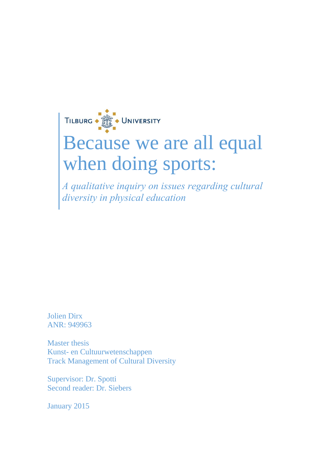

# Because we are all equal when doing sports:

*A qualitative inquiry on issues regarding cultural diversity in physical education*

Jolien Dirx ANR: 949963

Master thesis Kunst- en Cultuurwetenschappen Track Management of Cultural Diversity

Supervisor: Dr. Spotti Second reader: Dr. Siebers

January 2015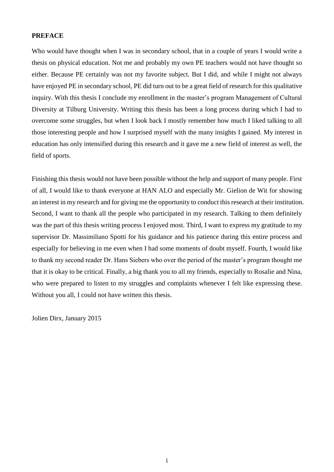## <span id="page-1-0"></span>**PREFACE**

Who would have thought when I was in secondary school, that in a couple of years I would write a thesis on physical education. Not me and probably my own PE teachers would not have thought so either. Because PE certainly was not my favorite subject. But I did, and while I might not always have enjoyed PE in secondary school, PE did turn out to be a great field of research for this qualitative inquiry. With this thesis I conclude my enrollment in the master's program Management of Cultural Diversity at Tilburg University. Writing this thesis has been a long process during which I had to overcome some struggles, but when I look back I mostly remember how much I liked talking to all those interesting people and how I surprised myself with the many insights I gained. My interest in education has only intensified during this research and it gave me a new field of interest as well, the field of sports.

Finishing this thesis would not have been possible without the help and support of many people. First of all, I would like to thank everyone at HAN ALO and especially Mr. Gielion de Wit for showing an interest in my research and for giving me the opportunity to conduct this research at their institution. Second, I want to thank all the people who participated in my research. Talking to them definitely was the part of this thesis writing process I enjoyed most. Third, I want to express my gratitude to my supervisor Dr. Massimiliano Spotti for his guidance and his patience during this entire process and especially for believing in me even when I had some moments of doubt myself. Fourth, I would like to thank my second reader Dr. Hans Siebers who over the period of the master's program thought me that it is okay to be critical. Finally, a big thank you to all my friends, especially to Rosalie and Nina, who were prepared to listen to my struggles and complaints whenever I felt like expressing these. Without you all, I could not have written this thesis.

Jolien Dirx, January 2015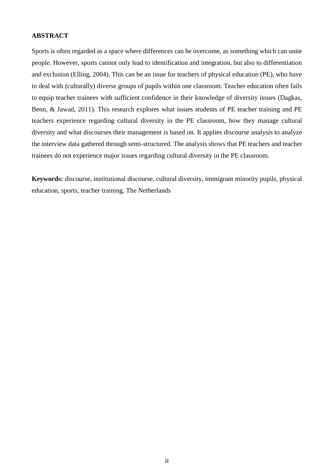## <span id="page-2-0"></span>**ABSTRACT**

Sports is often regarded as a space where differences can be overcome, as something which can unite people. However, sports cannot only lead to identification and integration, but also to differentiation and exclusion (Elling, 2004). This can be an issue for teachers of physical education (PE), who have to deal with (culturally) diverse groups of pupils within one classroom. Teacher education often fails to equip teacher trainees with sufficient confidence in their knowledge of diversity issues (Dagkas, Benn, & Jawad, 2011). This research explores what issues students of PE teacher training and PE teachers experience regarding cultural diversity in the PE classroom, how they manage cultural diversity and what discourses their management is based on. It applies discourse analysis to analyze the interview data gathered through semi-structured. The analysis shows that PE teachers and teacher trainees do not experience major issues regarding cultural diversity in the PE classroom.

**Keywords:** discourse, institutional discourse, cultural diversity, immigrant minority pupils, physical education, sports, teacher training, The Netherlands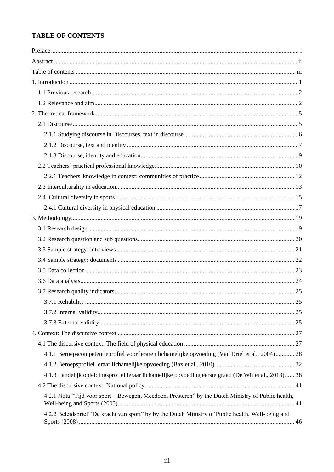## <span id="page-3-0"></span>**TABLE OF CONTENTS**

| 4.1.1 Beroepscompetentieprofiel voor leraren lichamelijke opvoeding (Van Driel et al., 2004) 28       |
|-------------------------------------------------------------------------------------------------------|
|                                                                                                       |
| 4.1.3 Landelijk opleidingsprofiel leraar lichamelijke opvoeding eerste graad (De Wit et al., 2013) 38 |
|                                                                                                       |
| 4.2.1 Nota "Tijd voor sport – Bewegen, Meedoen, Presteren" by the Dutch Ministry of Public health,    |
| 4.2.2 Beleidsbrief "De kracht van sport" by by the Dutch Ministry of Public health, Well-being and    |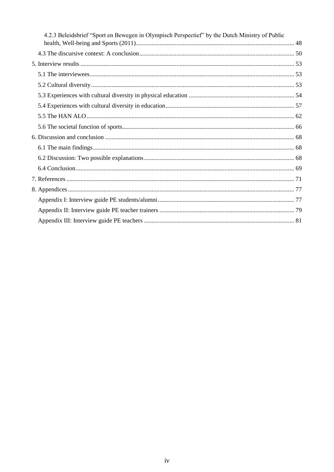| 4.2.3 Beleidsbrief "Sport en Bewegen in Olympisch Perspectief" by the Dutch Ministry of Public |  |
|------------------------------------------------------------------------------------------------|--|
|                                                                                                |  |
|                                                                                                |  |
|                                                                                                |  |
|                                                                                                |  |
|                                                                                                |  |
|                                                                                                |  |
|                                                                                                |  |
|                                                                                                |  |
|                                                                                                |  |
|                                                                                                |  |
|                                                                                                |  |
|                                                                                                |  |
|                                                                                                |  |
|                                                                                                |  |
|                                                                                                |  |
|                                                                                                |  |
|                                                                                                |  |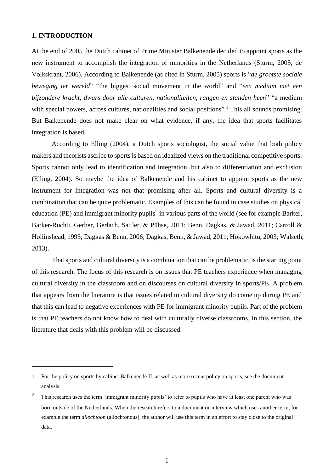#### <span id="page-5-0"></span>**1. INTRODUCTION**

1

At the end of 2005 the Dutch cabinet of Prime Minister Balkenende decided to appoint sports as the new instrument to accomplish the integration of minorities in the Netherlands (Sturm, 2005; de Volkskrant, 2006). According to Balkenende (as cited in Sturm, 2005) sports is "*de grootste sociale beweging ter wereld*" "the biggest social movement in the world" and "*een medium met een bijzondere kracht, dwars door alle culturen, nationaliteiten, rangen en standen heen*" "a medium with special powers, across cultures, nationalities and social positions".<sup>1</sup> This all sounds promising. But Balkenende does not make clear on what evidence, if any, the idea that sports facilitates integration is based.

According to Elling (2004), a Dutch sports sociologist, the social value that both policy makers and theorists ascribe to sports is based on idealized views on the traditional competitive sports. Sports cannot only lead to identification and integration, but also to differentiation and exclusion (Elling, 2004). So maybe the idea of Balkenende and his cabinet to appoint sports as the new instrument for integration was not that promising after all. Sports and cultural diversity is a combination that can be quite problematic. Examples of this can be found in case studies on physical education (PE) and immigrant minority pupils<sup>2</sup> in various parts of the world (see for example Barker, Barker-Ruchti, Gerber, Gerlach, Sattler, & Pühse, 2011; Benn, Dagkas, & Jawad, 2011; Carroll & Hollinshead, 1993; Dagkas & Benn, 2006; Dagkas, Benn, & Jawad, 2011; Hokowhitu, 2003; Walseth, 2013).

That sports and cultural diversity is a combination that can be problematic, is the starting point of this research. The focus of this research is on issues that PE teachers experience when managing cultural diversity in the classroom and on discourses on cultural diversity in sports/PE. A problem that appears from the literature is that issues related to cultural diversity do come up during PE and that this can lead to negative experiences with PE for immigrant minority pupils. Part of the problem is that PE teachers do not know how to deal with culturally diverse classrooms. In this section, the literature that deals with this problem will be discussed.

<sup>1</sup> For the policy on sports by cabinet Balkenende II, as well as more recent policy on sports, see the document analysis.

<sup>2</sup> This research uses the term 'immigrant minority pupils' to refer to pupils who have at least one parent who was born outside of the Netherlands. When the research refers to a document or interview which uses another term, for example the term *allochtoon* (allochtonous), the author will use this term in an effort to stay close to the original data.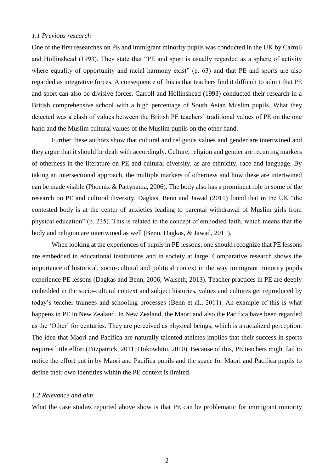#### <span id="page-6-0"></span>*1.1 Previous research*

One of the first researches on PE and immigrant minority pupils was conducted in the UK by Carroll and Hollinshead (1993). They state that "PE and sport is usually regarded as a sphere of activity where equality of opportunity and racial harmony exist" (p. 63) and that PE and sports are also regarded as integrative forces. A consequence of this is that teachers find it difficult to admit that PE and sport can also be divisive forces. Carroll and Hollinshead (1993) conducted their research in a British comprehensive school with a high percentage of South Asian Muslim pupils. What they detected was a clash of values between the British PE teachers' traditional values of PE on the one hand and the Muslim cultural values of the Muslim pupils on the other hand.

Further these authors show that cultural and religious values and gender are intertwined and they argue that it should be dealt with accordingly. Culture, religion and gender are recurring markers of otherness in the literature on PE and cultural diversity, as are ethnicity, race and language. By taking an intersectional approach, the multiple markers of otherness and how these are intertwined can be made visible (Phoenix & Pattynama, 2006). The body also has a prominent role in some of the research on PE and cultural diversity. Dagkas, Benn and Jawad (2011) found that in the UK "the contested body is at the center of anxieties leading to parental withdrawal of Muslim girls from physical education" (p. 235). This is related to the concept of embodied faith, which means that the body and religion are intertwined as well (Benn, Dagkas, & Jawad, 2011).

When looking at the experiences of pupils in PE lessons, one should recognize that PE lessons are embedded in educational institutions and in society at large. Comparative research shows the importance of historical, socio-cultural and political context in the way immigrant minority pupils experience PE lessons (Dagkas and Benn, 2006; Walseth, 2013). Teacher practices in PE are deeply embedded in the socio-cultural context and subject histories, values and cultures get reproduced by today's teacher trainees and schooling processes (Benn et al., 2011). An example of this is what happens in PE in New Zealand. In New Zealand, the Maori and also the Pacifica have been regarded as the 'Other' for centuries. They are perceived as physical beings, which is a racialized perception. The idea that Maori and Pacifica are naturally talented athletes implies that their success in sports requires little effort (Fitzpatrick, 2011; Hokowhitu, 2010). Because of this, PE teachers might fail to notice the effort put in by Maori and Pacifica pupils and the space for Maori and Pacifica pupils to define their own identities within the PE context is limited.

#### <span id="page-6-1"></span>*1.2 Relevance and aim*

What the case studies reported above show is that PE can be problematic for immigrant minority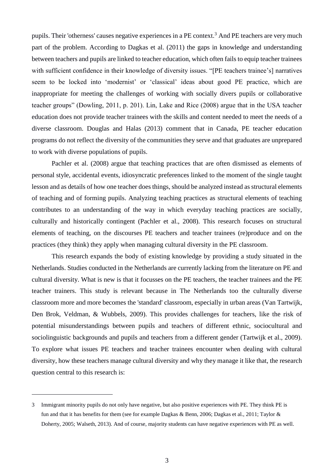pupils. Their 'otherness' causes negative experiences in a PE context.<sup>3</sup> And PE teachers are very much part of the problem. According to Dagkas et al. (2011) the gaps in knowledge and understanding between teachers and pupils are linked to teacher education, which often fails to equip teacher trainees with sufficient confidence in their knowledge of diversity issues. "[PE teachers trainee's] narratives seem to be locked into 'modernist' or 'classical' ideas about good PE practice, which are inappropriate for meeting the challenges of working with socially divers pupils or collaborative teacher groups" (Dowling, 2011, p. 201). Lin, Lake and Rice (2008) argue that in the USA teacher education does not provide teacher trainees with the skills and content needed to meet the needs of a diverse classroom. Douglas and Halas (2013) comment that in Canada, PE teacher education programs do not reflect the diversity of the communities they serve and that graduates are unprepared to work with diverse populations of pupils.

Pachler et al. (2008) argue that teaching practices that are often dismissed as elements of personal style, accidental events, idiosyncratic preferences linked to the moment of the single taught lesson and as details of how one teacher does things, should be analyzed instead as structural elements of teaching and of forming pupils. Analyzing teaching practices as structural elements of teaching contributes to an understanding of the way in which everyday teaching practices are socially, culturally and historically contingent (Pachler et al., 2008). This research focuses on structural elements of teaching, on the discourses PE teachers and teacher trainees (re)produce and on the practices (they think) they apply when managing cultural diversity in the PE classroom.

This research expands the body of existing knowledge by providing a study situated in the Netherlands. Studies conducted in the Netherlands are currently lacking from the literature on PE and cultural diversity. What is new is that it focusses on the PE teachers, the teacher trainees and the PE teacher trainers. This study is relevant because in The Netherlands too the culturally diverse classroom more and more becomes the 'standard' classroom, especially in urban areas (Van Tartwijk, Den Brok, Veldman, & Wubbels, 2009). This provides challenges for teachers, like the risk of potential misunderstandings between pupils and teachers of different ethnic, sociocultural and sociolinguistic backgrounds and pupils and teachers from a different gender (Tartwijk et al., 2009). To explore what issues PE teachers and teacher trainees encounter when dealing with cultural diversity, how these teachers manage cultural diversity and why they manage it like that, the research question central to this research is:

<u>.</u>

<sup>3</sup> Immigrant minority pupils do not only have negative, but also positive experiences with PE. They think PE is fun and that it has benefits for them (see for example Dagkas & Benn, 2006; Dagkas et al., 2011; Taylor & Doherty, 2005; Walseth, 2013). And of course, majority students can have negative experiences with PE as well.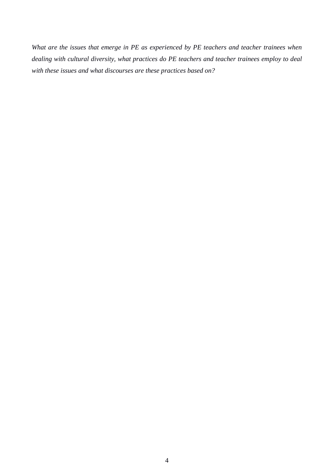*What are the issues that emerge in PE as experienced by PE teachers and teacher trainees when dealing with cultural diversity, what practices do PE teachers and teacher trainees employ to deal with these issues and what discourses are these practices based on?*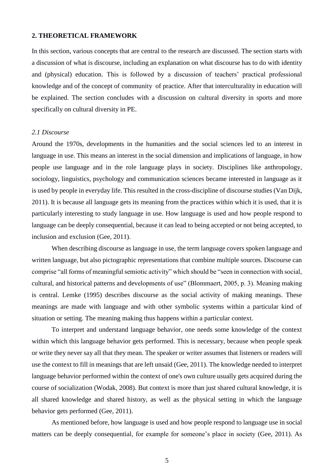## <span id="page-9-0"></span>**2. THEORETICAL FRAMEWORK**

In this section, various concepts that are central to the research are discussed. The section starts with a discussion of what is discourse, including an explanation on what discourse has to do with identity and (physical) education. This is followed by a discussion of teachers' practical professional knowledge and of the concept of community of practice. After that interculturality in education will be explained. The section concludes with a discussion on cultural diversity in sports and more specifically on cultural diversity in PE.

#### <span id="page-9-1"></span>*2.1 Discourse*

Around the 1970s, developments in the humanities and the social sciences led to an interest in language in use. This means an interest in the social dimension and implications of language, in how people use language and in the role language plays in society. Disciplines like anthropology, sociology, linguistics, psychology and communication sciences became interested in language as it is used by people in everyday life. This resulted in the cross-discipline of discourse studies (Van Dijk, 2011). It is because all language gets its meaning from the practices within which it is used, that it is particularly interesting to study language in use. How language is used and how people respond to language can be deeply consequential, because it can lead to being accepted or not being accepted, to inclusion and exclusion (Gee, 2011).

When describing discourse as language in use, the term language covers spoken language and written language, but also pictographic representations that combine multiple sources. Discourse can comprise "all forms of meaningful semiotic activity" which should be "seen in connection with social, cultural, and historical patterns and developments of use" (Blommaert, 2005, p. 3). Meaning making is central. Lemke (1995) describes discourse as the social activity of making meanings. These meanings are made with language and with other symbolic systems within a particular kind of situation or setting. The meaning making thus happens within a particular context.

To interpret and understand language behavior, one needs some knowledge of the context within which this language behavior gets performed. This is necessary, because when people speak or write they never say all that they mean. The speaker or writer assumes that listeners or readers will use the context to fill in meanings that are left unsaid (Gee, 2011). The knowledge needed to interpret language behavior performed within the context of one's own culture usually gets acquired during the course of socialization (Wodak, 2008). But context is more than just shared cultural knowledge, it is all shared knowledge and shared history, as well as the physical setting in which the language behavior gets performed (Gee, 2011).

As mentioned before, how language is used and how people respond to language use in social matters can be deeply consequential, for example for someone's place in society (Gee, 2011). As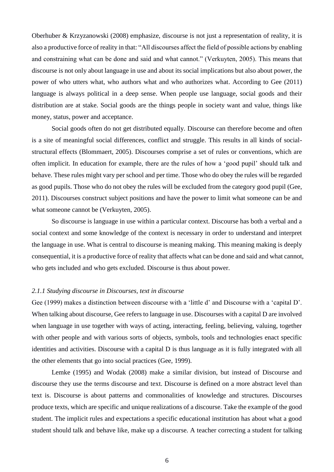Oberhuber & Krzyzanowski (2008) emphasize, discourse is not just a representation of reality, it is also a productive force of reality in that: "All discourses affect the field of possible actions by enabling and constraining what can be done and said and what cannot." (Verkuyten, 2005). This means that discourse is not only about language in use and about its social implications but also about power, the power of who utters what, who authors what and who authorizes what. According to Gee (2011) language is always political in a deep sense. When people use language, social goods and their distribution are at stake. Social goods are the things people in society want and value, things like money, status, power and acceptance.

Social goods often do not get distributed equally. Discourse can therefore become and often is a site of meaningful social differences, conflict and struggle. This results in all kinds of socialstructural effects (Blommaert, 2005). Discourses comprise a set of rules or conventions, which are often implicit. In education for example, there are the rules of how a 'good pupil' should talk and behave. These rules might vary per school and per time. Those who do obey the rules will be regarded as good pupils. Those who do not obey the rules will be excluded from the category good pupil (Gee, 2011). Discourses construct subject positions and have the power to limit what someone can be and what someone cannot be (Verkuyten, 2005).

So discourse is language in use within a particular context. Discourse has both a verbal and a social context and some knowledge of the context is necessary in order to understand and interpret the language in use. What is central to discourse is meaning making. This meaning making is deeply consequential, it is a productive force of reality that affects what can be done and said and what cannot, who gets included and who gets excluded. Discourse is thus about power.

#### <span id="page-10-0"></span>*2.1.1 Studying discourse in Discourses, text in discourse*

Gee (1999) makes a distinction between discourse with a 'little d' and Discourse with a 'capital D'. When talking about discourse, Gee refers to language in use. Discourses with a capital D are involved when language in use together with ways of acting, interacting, feeling, believing, valuing, together with other people and with various sorts of objects, symbols, tools and technologies enact specific identities and activities. Discourse with a capital D is thus language as it is fully integrated with all the other elements that go into social practices (Gee, 1999).

Lemke (1995) and Wodak (2008) make a similar division, but instead of Discourse and discourse they use the terms discourse and text. Discourse is defined on a more abstract level than text is. Discourse is about patterns and commonalities of knowledge and structures. Discourses produce texts, which are specific and unique realizations of a discourse. Take the example of the good student. The implicit rules and expectations a specific educational institution has about what a good student should talk and behave like, make up a discourse. A teacher correcting a student for talking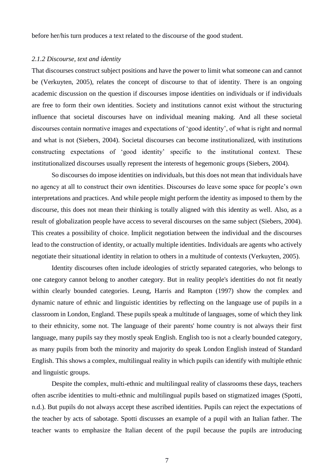before her/his turn produces a text related to the discourse of the good student.

#### <span id="page-11-0"></span>*2.1.2 Discourse, text and identity*

That discourses construct subject positions and have the power to limit what someone can and cannot be (Verkuyten, 2005), relates the concept of discourse to that of identity. There is an ongoing academic discussion on the question if discourses impose identities on individuals or if individuals are free to form their own identities. Society and institutions cannot exist without the structuring influence that societal discourses have on individual meaning making. And all these societal discourses contain normative images and expectations of 'good identity', of what is right and normal and what is not (Siebers, 2004). Societal discourses can become institutionalized, with institutions constructing expectations of 'good identity' specific to the institutional context. These institutionalized discourses usually represent the interests of hegemonic groups (Siebers, 2004).

So discourses do impose identities on individuals, but this does not mean that individuals have no agency at all to construct their own identities. Discourses do leave some space for people's own interpretations and practices. And while people might perform the identity as imposed to them by the discourse, this does not mean their thinking is totally aligned with this identity as well. Also, as a result of globalization people have access to several discourses on the same subject (Siebers, 2004). This creates a possibility of choice. Implicit negotiation between the individual and the discourses lead to the construction of identity, or actually multiple identities. Individuals are agents who actively negotiate their situational identity in relation to others in a multitude of contexts (Verkuyten, 2005).

Identity discourses often include ideologies of strictly separated categories, who belongs to one category cannot belong to another category. But in reality people's identities do not fit neatly within clearly bounded categories. Leung, Harris and Rampton (1997) show the complex and dynamic nature of ethnic and linguistic identities by reflecting on the language use of pupils in a classroom in London, England. These pupils speak a multitude of languages, some of which they link to their ethnicity, some not. The language of their parents' home country is not always their first language, many pupils say they mostly speak English. English too is not a clearly bounded category, as many pupils from both the minority and majority do speak London English instead of Standard English. This shows a complex, multilingual reality in which pupils can identify with multiple ethnic and linguistic groups.

Despite the complex, multi-ethnic and multilingual reality of classrooms these days, teachers often ascribe identities to multi-ethnic and multilingual pupils based on stigmatized images (Spotti, n.d.). But pupils do not always accept these ascribed identities. Pupils can reject the expectations of the teacher by acts of sabotage. Spotti discusses an example of a pupil with an Italian father. The teacher wants to emphasize the Italian decent of the pupil because the pupils are introducing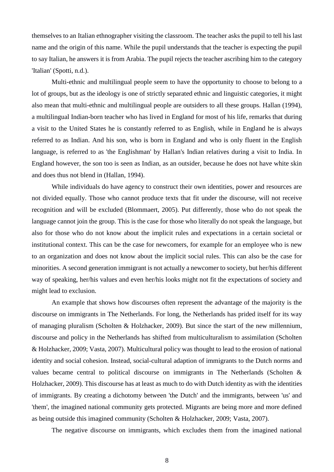themselves to an Italian ethnographer visiting the classroom. The teacher asks the pupil to tell his last name and the origin of this name. While the pupil understands that the teacher is expecting the pupil to say Italian, he answers it is from Arabia. The pupil rejects the teacher ascribing him to the category 'Italian' (Spotti, n.d.).

Multi-ethnic and multilingual people seem to have the opportunity to choose to belong to a lot of groups, but as the ideology is one of strictly separated ethnic and linguistic categories, it might also mean that multi-ethnic and multilingual people are outsiders to all these groups. Hallan (1994), a multilingual Indian-born teacher who has lived in England for most of his life, remarks that during a visit to the United States he is constantly referred to as English, while in England he is always referred to as Indian. And his son, who is born in England and who is only fluent in the English language, is referred to as 'the Englishman' by Hallan's Indian relatives during a visit to India. In England however, the son too is seen as Indian, as an outsider, because he does not have white skin and does thus not blend in (Hallan, 1994).

While individuals do have agency to construct their own identities, power and resources are not divided equally. Those who cannot produce texts that fit under the discourse, will not receive recognition and will be excluded (Blommaert, 2005). Put differently, those who do not speak the language cannot join the group. This is the case for those who literally do not speak the language, but also for those who do not know about the implicit rules and expectations in a certain societal or institutional context. This can be the case for newcomers, for example for an employee who is new to an organization and does not know about the implicit social rules. This can also be the case for minorities. A second generation immigrant is not actually a newcomer to society, but her/his different way of speaking, her/his values and even her/his looks might not fit the expectations of society and might lead to exclusion.

An example that shows how discourses often represent the advantage of the majority is the discourse on immigrants in The Netherlands. For long, the Netherlands has prided itself for its way of managing pluralism (Scholten & Holzhacker, 2009). But since the start of the new millennium, discourse and policy in the Netherlands has shifted from multiculturalism to assimilation (Scholten & Holzhacker, 2009; Vasta, 2007). Multicultural policy was thought to lead to the erosion of national identity and social cohesion. Instead, social-cultural adaption of immigrants to the Dutch norms and values became central to political discourse on immigrants in The Netherlands (Scholten & Holzhacker, 2009). This discourse has at least as much to do with Dutch identity as with the identities of immigrants. By creating a dichotomy between 'the Dutch' and the immigrants, between 'us' and 'them', the imagined national community gets protected. Migrants are being more and more defined as being outside this imagined community (Scholten & Holzhacker, 2009; Vasta, 2007).

The negative discourse on immigrants, which excludes them from the imagined national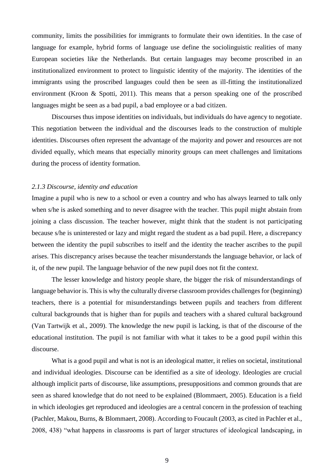community, limits the possibilities for immigrants to formulate their own identities. In the case of language for example, hybrid forms of language use define the sociolinguistic realities of many European societies like the Netherlands. But certain languages may become proscribed in an institutionalized environment to protect to linguistic identity of the majority. The identities of the immigrants using the proscribed languages could then be seen as ill-fitting the institutionalized environment (Kroon & Spotti, 2011). This means that a person speaking one of the proscribed languages might be seen as a bad pupil, a bad employee or a bad citizen.

Discourses thus impose identities on individuals, but individuals do have agency to negotiate. This negotiation between the individual and the discourses leads to the construction of multiple identities. Discourses often represent the advantage of the majority and power and resources are not divided equally, which means that especially minority groups can meet challenges and limitations during the process of identity formation.

#### <span id="page-13-0"></span>*2.1.3 Discourse, identity and education*

Imagine a pupil who is new to a school or even a country and who has always learned to talk only when s/he is asked something and to never disagree with the teacher. This pupil might abstain from joining a class discussion. The teacher however, might think that the student is not participating because s/he is uninterested or lazy and might regard the student as a bad pupil. Here, a discrepancy between the identity the pupil subscribes to itself and the identity the teacher ascribes to the pupil arises. This discrepancy arises because the teacher misunderstands the language behavior, or lack of it, of the new pupil. The language behavior of the new pupil does not fit the context.

The lesser knowledge and history people share, the bigger the risk of misunderstandings of language behavior is. This is why the culturally diverse classroom provides challenges for (beginning) teachers, there is a potential for misunderstandings between pupils and teachers from different cultural backgrounds that is higher than for pupils and teachers with a shared cultural background (Van Tartwijk et al., 2009). The knowledge the new pupil is lacking, is that of the discourse of the educational institution. The pupil is not familiar with what it takes to be a good pupil within this discourse.

What is a good pupil and what is not is an ideological matter, it relies on societal, institutional and individual ideologies. Discourse can be identified as a site of ideology. Ideologies are crucial although implicit parts of discourse, like assumptions, presuppositions and common grounds that are seen as shared knowledge that do not need to be explained (Blommaert, 2005). Education is a field in which ideologies get reproduced and ideologies are a central concern in the profession of teaching (Pachler, Makou, Burns, & Blommaert, 2008). According to Foucault (2003, as cited in Pachler et al., 2008, 438) "what happens in classrooms is part of larger structures of ideological landscaping, in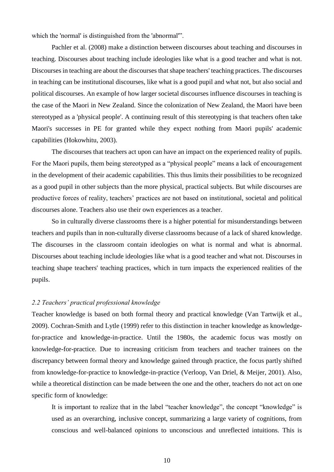which the 'normal' is distinguished from the 'abnormal'".

Pachler et al. (2008) make a distinction between discourses about teaching and discourses in teaching. Discourses about teaching include ideologies like what is a good teacher and what is not. Discourses in teaching are about the discourses that shape teachers' teaching practices. The discourses in teaching can be institutional discourses, like what is a good pupil and what not, but also social and political discourses. An example of how larger societal discourses influence discourses in teaching is the case of the Maori in New Zealand. Since the colonization of New Zealand, the Maori have been stereotyped as a 'physical people'. A continuing result of this stereotyping is that teachers often take Maori's successes in PE for granted while they expect nothing from Maori pupils' academic capabilities (Hokowhitu, 2003).

The discourses that teachers act upon can have an impact on the experienced reality of pupils. For the Maori pupils, them being stereotyped as a "physical people" means a lack of encouragement in the development of their academic capabilities. This thus limits their possibilities to be recognized as a good pupil in other subjects than the more physical, practical subjects. But while discourses are productive forces of reality, teachers' practices are not based on institutional, societal and political discourses alone. Teachers also use their own experiences as a teacher.

So in culturally diverse classrooms there is a higher potential for misunderstandings between teachers and pupils than in non-culturally diverse classrooms because of a lack of shared knowledge. The discourses in the classroom contain ideologies on what is normal and what is abnormal. Discourses about teaching include ideologies like what is a good teacher and what not. Discourses in teaching shape teachers' teaching practices, which in turn impacts the experienced realities of the pupils.

#### <span id="page-14-0"></span>*2.2 Teachers' practical professional knowledge*

Teacher knowledge is based on both formal theory and practical knowledge (Van Tartwijk et al., 2009). Cochran-Smith and Lytle (1999) refer to this distinction in teacher knowledge as knowledgefor-practice and knowledge-in-practice. Until the 1980s, the academic focus was mostly on knowledge-for-practice. Due to increasing criticism from teachers and teacher trainees on the discrepancy between formal theory and knowledge gained through practice, the focus partly shifted from knowledge-for-practice to knowledge-in-practice (Verloop, Van Driel, & Meijer, 2001). Also, while a theoretical distinction can be made between the one and the other, teachers do not act on one specific form of knowledge:

It is important to realize that in the label "teacher knowledge", the concept "knowledge" is used as an overarching, inclusive concept, summarizing a large variety of cognitions, from conscious and well-balanced opinions to unconscious and unreflected intuitions. This is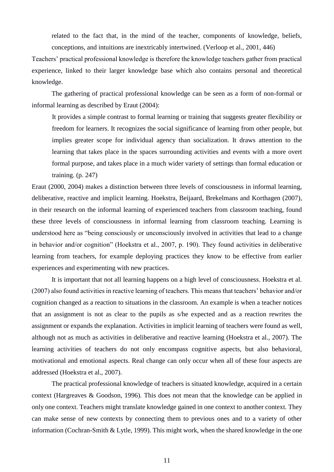related to the fact that, in the mind of the teacher, components of knowledge, beliefs, conceptions, and intuitions are inextricably intertwined. (Verloop et al., 2001, 446)

Teachers' practical professional knowledge is therefore the knowledge teachers gather from practical experience, linked to their larger knowledge base which also contains personal and theoretical knowledge.

The gathering of practical professional knowledge can be seen as a form of non-formal or informal learning as described by Eraut (2004):

It provides a simple contrast to formal learning or training that suggests greater flexibility or freedom for learners. It recognizes the social significance of learning from other people, but implies greater scope for individual agency than socialization. It draws attention to the learning that takes place in the spaces surrounding activities and events with a more overt formal purpose, and takes place in a much wider variety of settings than formal education or training. (p. 247)

Eraut (2000, 2004) makes a distinction between three levels of consciousness in informal learning, deliberative, reactive and implicit learning. Hoekstra, Beijaard, Brekelmans and Korthagen (2007), in their research on the informal learning of experienced teachers from classroom teaching, found these three levels of consciousness in informal learning from classroom teaching. Learning is understood here as "being consciously or unconsciously involved in activities that lead to a change in behavior and/or cognition" (Hoekstra et al., 2007, p. 190). They found activities in deliberative learning from teachers, for example deploying practices they know to be effective from earlier experiences and experimenting with new practices.

It is important that not all learning happens on a high level of consciousness. Hoekstra et al. (2007) also found activities in reactive learning of teachers. This means that teachers' behavior and/or cognition changed as a reaction to situations in the classroom. An example is when a teacher notices that an assignment is not as clear to the pupils as s/he expected and as a reaction rewrites the assignment or expands the explanation. Activities in implicit learning of teachers were found as well, although not as much as activities in deliberative and reactive learning (Hoekstra et al., 2007). The learning activities of teachers do not only encompass cognitive aspects, but also behavioral, motivational and emotional aspects. Real change can only occur when all of these four aspects are addressed (Hoekstra et al., 2007).

The practical professional knowledge of teachers is situated knowledge, acquired in a certain context (Hargreaves & Goodson, 1996). This does not mean that the knowledge can be applied in only one context. Teachers might translate knowledge gained in one context to another context. They can make sense of new contexts by connecting them to previous ones and to a variety of other information (Cochran-Smith & Lytle, 1999). This might work, when the shared knowledge in the one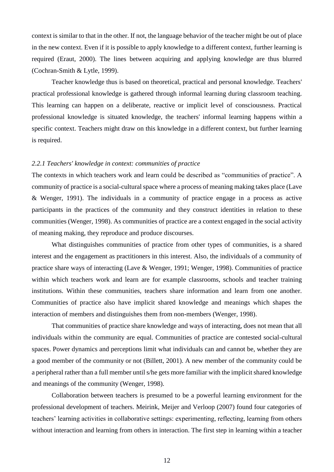context is similar to that in the other. If not, the language behavior of the teacher might be out of place in the new context. Even if it is possible to apply knowledge to a different context, further learning is required (Eraut, 2000). The lines between acquiring and applying knowledge are thus blurred (Cochran-Smith & Lytle, 1999).

Teacher knowledge thus is based on theoretical, practical and personal knowledge. Teachers' practical professional knowledge is gathered through informal learning during classroom teaching. This learning can happen on a deliberate, reactive or implicit level of consciousness. Practical professional knowledge is situated knowledge, the teachers' informal learning happens within a specific context. Teachers might draw on this knowledge in a different context, but further learning is required.

## <span id="page-16-0"></span>*2.2.1 Teachers' knowledge in context: communities of practice*

The contexts in which teachers work and learn could be described as "communities of practice". A community of practice is a social-cultural space where a process of meaning making takes place (Lave & Wenger, 1991). The individuals in a community of practice engage in a process as active participants in the practices of the community and they construct identities in relation to these communities (Wenger, 1998). As communities of practice are a context engaged in the social activity of meaning making, they reproduce and produce discourses.

What distinguishes communities of practice from other types of communities, is a shared interest and the engagement as practitioners in this interest. Also, the individuals of a community of practice share ways of interacting (Lave & Wenger, 1991; Wenger, 1998). Communities of practice within which teachers work and learn are for example classrooms, schools and teacher training institutions. Within these communities, teachers share information and learn from one another. Communities of practice also have implicit shared knowledge and meanings which shapes the interaction of members and distinguishes them from non-members (Wenger, 1998).

That communities of practice share knowledge and ways of interacting, does not mean that all individuals within the community are equal. Communities of practice are contested social-cultural spaces. Power dynamics and perceptions limit what individuals can and cannot be, whether they are a good member of the community or not (Billett, 2001). A new member of the community could be a peripheral rather than a full member until s/he gets more familiar with the implicit shared knowledge and meanings of the community (Wenger, 1998).

Collaboration between teachers is presumed to be a powerful learning environment for the professional development of teachers. Meirink, Meijer and Verloop (2007) found four categories of teachers' learning activities in collaborative settings: experimenting, reflecting, learning from others without interaction and learning from others in interaction. The first step in learning within a teacher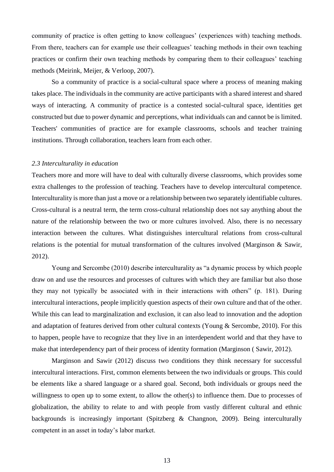community of practice is often getting to know colleagues' (experiences with) teaching methods. From there, teachers can for example use their colleagues' teaching methods in their own teaching practices or confirm their own teaching methods by comparing them to their colleagues' teaching methods (Meirink, Meijer, & Verloop, 2007).

So a community of practice is a social-cultural space where a process of meaning making takes place. The individuals in the community are active participants with a shared interest and shared ways of interacting. A community of practice is a contested social-cultural space, identities get constructed but due to power dynamic and perceptions, what individuals can and cannot be is limited. Teachers' communities of practice are for example classrooms, schools and teacher training institutions. Through collaboration, teachers learn from each other.

#### <span id="page-17-0"></span>*2.3 Interculturality in education*

Teachers more and more will have to deal with culturally diverse classrooms, which provides some extra challenges to the profession of teaching. Teachers have to develop intercultural competence. Interculturality is more than just a move or a relationship between two separately identifiable cultures. Cross-cultural is a neutral term, the term cross-cultural relationship does not say anything about the nature of the relationship between the two or more cultures involved. Also, there is no necessary interaction between the cultures. What distinguishes intercultural relations from cross-cultural relations is the potential for mutual transformation of the cultures involved (Marginson & Sawir, 2012).

Young and Sercombe (2010) describe interculturality as "a dynamic process by which people draw on and use the resources and processes of cultures with which they are familiar but also those they may not typically be associated with in their interactions with others" (p. 181). During intercultural interactions, people implicitly question aspects of their own culture and that of the other. While this can lead to marginalization and exclusion, it can also lead to innovation and the adoption and adaptation of features derived from other cultural contexts (Young & Sercombe, 2010). For this to happen, people have to recognize that they live in an interdependent world and that they have to make that interdependency part of their process of identity formation (Marginson ( Sawir, 2012).

Marginson and Sawir (2012) discuss two conditions they think necessary for successful intercultural interactions. First, common elements between the two individuals or groups. This could be elements like a shared language or a shared goal. Second, both individuals or groups need the willingness to open up to some extent, to allow the other(s) to influence them. Due to processes of globalization, the ability to relate to and with people from vastly different cultural and ethnic backgrounds is increasingly important (Spitzberg & Changnon, 2009). Being interculturally competent in an asset in today's labor market.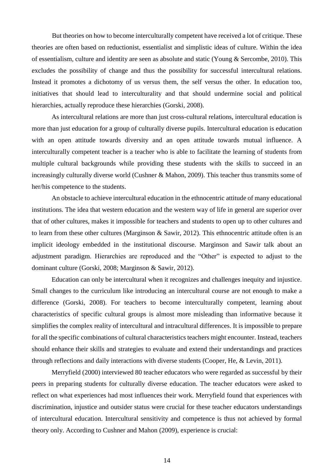But theories on how to become interculturally competent have received a lot of critique. These theories are often based on reductionist, essentialist and simplistic ideas of culture. Within the idea of essentialism, culture and identity are seen as absolute and static (Young & Sercombe, 2010). This excludes the possibility of change and thus the possibility for successful intercultural relations. Instead it promotes a dichotomy of us versus them, the self versus the other. In education too, initiatives that should lead to interculturality and that should undermine social and political hierarchies, actually reproduce these hierarchies (Gorski, 2008).

As intercultural relations are more than just cross-cultural relations, intercultural education is more than just education for a group of culturally diverse pupils. Intercultural education is education with an open attitude towards diversity and an open attitude towards mutual influence. A interculturally competent teacher is a teacher who is able to facilitate the learning of students from multiple cultural backgrounds while providing these students with the skills to succeed in an increasingly culturally diverse world (Cushner & Mahon, 2009). This teacher thus transmits some of her/his competence to the students.

An obstacle to achieve intercultural education in the ethnocentric attitude of many educational institutions. The idea that western education and the western way of life in general are superior over that of other cultures, makes it impossible for teachers and students to open up to other cultures and to learn from these other cultures (Marginson & Sawir, 2012). This ethnocentric attitude often is an implicit ideology embedded in the institutional discourse. Marginson and Sawir talk about an adjustment paradigm. Hierarchies are reproduced and the "Other" is expected to adjust to the dominant culture (Gorski, 2008; Marginson & Sawir, 2012).

Education can only be intercultural when it recognizes and challenges inequity and injustice. Small changes to the curriculum like introducing an intercultural course are not enough to make a difference (Gorski, 2008). For teachers to become interculturally competent, learning about characteristics of specific cultural groups is almost more misleading than informative because it simplifies the complex reality of intercultural and intracultural differences. It is impossible to prepare for all the specific combinations of cultural characteristics teachers might encounter. Instead, teachers should enhance their skills and strategies to evaluate and extend their understandings and practices through reflections and daily interactions with diverse students (Cooper, He, & Levin, 2011).

Merryfield (2000) interviewed 80 teacher educators who were regarded as successful by their peers in preparing students for culturally diverse education. The teacher educators were asked to reflect on what experiences had most influences their work. Merryfield found that experiences with discrimination, injustice and outsider status were crucial for these teacher educators understandings of intercultural education. Intercultural sensitivity and competence is thus not achieved by formal theory only. According to Cushner and Mahon (2009), experience is crucial: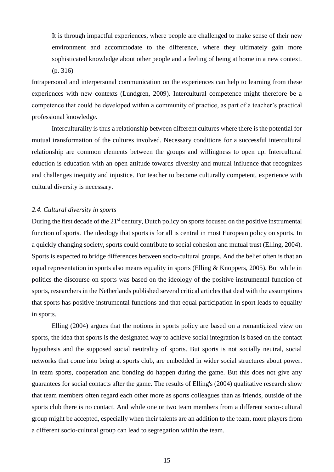It is through impactful experiences, where people are challenged to make sense of their new environment and accommodate to the difference, where they ultimately gain more sophisticated knowledge about other people and a feeling of being at home in a new context. (p. 316)

Intrapersonal and interpersonal communication on the experiences can help to learning from these experiences with new contexts (Lundgren, 2009). Intercultural competence might therefore be a competence that could be developed within a community of practice, as part of a teacher's practical professional knowledge.

Interculturality is thus a relationship between different cultures where there is the potential for mutual transformation of the cultures involved. Necessary conditions for a successful intercultural relationship are common elements between the groups and willingness to open up. Intercultural eduction is education with an open attitude towards diversity and mutual influence that recognizes and challenges inequity and injustice. For teacher to become culturally competent, experience with cultural diversity is necessary.

## <span id="page-19-0"></span>*2.4. Cultural diversity in sports*

During the first decade of the 21<sup>st</sup> century, Dutch policy on sports focused on the positive instrumental function of sports. The ideology that sports is for all is central in most European policy on sports. In a quickly changing society, sports could contribute to social cohesion and mutual trust (Elling, 2004). Sports is expected to bridge differences between socio-cultural groups. And the belief often is that an equal representation in sports also means equality in sports (Elling & Knoppers, 2005). But while in politics the discourse on sports was based on the ideology of the positive instrumental function of sports, researchers in the Netherlands published several critical articles that deal with the assumptions that sports has positive instrumental functions and that equal participation in sport leads to equality in sports.

Elling (2004) argues that the notions in sports policy are based on a romanticized view on sports, the idea that sports is the designated way to achieve social integration is based on the contact hypothesis and the supposed social neutrality of sports. But sports is not socially neutral, social networks that come into being at sports club, are embedded in wider social structures about power. In team sports, cooperation and bonding do happen during the game. But this does not give any guarantees for social contacts after the game. The results of Elling's (2004) qualitative research show that team members often regard each other more as sports colleagues than as friends, outside of the sports club there is no contact. And while one or two team members from a different socio-cultural group might be accepted, especially when their talents are an addition to the team, more players from a different socio-cultural group can lead to segregation within the team.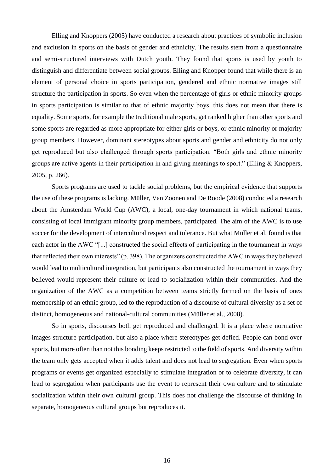Elling and Knoppers (2005) have conducted a research about practices of symbolic inclusion and exclusion in sports on the basis of gender and ethnicity. The results stem from a questionnaire and semi-structured interviews with Dutch youth. They found that sports is used by youth to distinguish and differentiate between social groups. Elling and Knopper found that while there is an element of personal choice in sports participation, gendered and ethnic normative images still structure the participation in sports. So even when the percentage of girls or ethnic minority groups in sports participation is similar to that of ethnic majority boys, this does not mean that there is equality. Some sports, for example the traditional male sports, get ranked higher than other sports and some sports are regarded as more appropriate for either girls or boys, or ethnic minority or majority group members. However, dominant stereotypes about sports and gender and ethnicity do not only get reproduced but also challenged through sports participation. "Both girls and ethnic minority groups are active agents in their participation in and giving meanings to sport." (Elling & Knoppers, 2005, p. 266).

Sports programs are used to tackle social problems, but the empirical evidence that supports the use of these programs is lacking. Müller, Van Zoonen and De Roode (2008) conducted a research about the Amsterdam World Cup (AWC), a local, one-day tournament in which national teams, consisting of local immigrant minority group members, participated. The aim of the AWC is to use soccer for the development of intercultural respect and tolerance. But what Müller et al. found is that each actor in the AWC "[...] constructed the social effects of participating in the tournament in ways that reflected their own interests" (p. 398). The organizers constructed the AWC in ways they believed would lead to multicultural integration, but participants also constructed the tournament in ways they believed would represent their culture or lead to socialization within their communities. And the organization of the AWC as a competition between teams strictly formed on the basis of ones membership of an ethnic group, led to the reproduction of a discourse of cultural diversity as a set of distinct, homogeneous and national-cultural communities (Müller et al., 2008).

So in sports, discourses both get reproduced and challenged. It is a place where normative images structure participation, but also a place where stereotypes get defied. People can bond over sports, but more often than not this bonding keeps restricted to the field of sports. And diversity within the team only gets accepted when it adds talent and does not lead to segregation. Even when sports programs or events get organized especially to stimulate integration or to celebrate diversity, it can lead to segregation when participants use the event to represent their own culture and to stimulate socialization within their own cultural group. This does not challenge the discourse of thinking in separate, homogeneous cultural groups but reproduces it.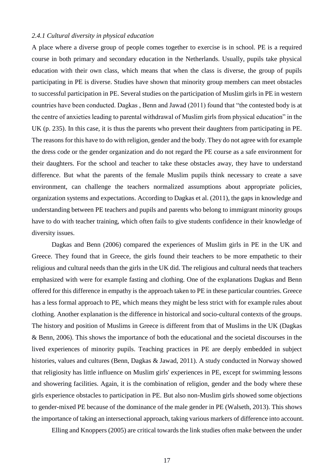## <span id="page-21-0"></span>*2.4.1 Cultural diversity in physical education*

A place where a diverse group of people comes together to exercise is in school. PE is a required course in both primary and secondary education in the Netherlands. Usually, pupils take physical education with their own class, which means that when the class is diverse, the group of pupils participating in PE is diverse. Studies have shown that minority group members can meet obstacles to successful participation in PE. Several studies on the participation of Muslim girls in PE in western countries have been conducted. Dagkas , Benn and Jawad (2011) found that "the contested body is at the centre of anxieties leading to parental withdrawal of Muslim girls from physical education" in the UK (p. 235). In this case, it is thus the parents who prevent their daughters from participating in PE. The reasons for this have to do with religion, gender and the body. They do not agree with for example the dress code or the gender organization and do not regard the PE course as a safe environment for their daughters. For the school and teacher to take these obstacles away, they have to understand difference. But what the parents of the female Muslim pupils think necessary to create a save environment, can challenge the teachers normalized assumptions about appropriate policies, organization systems and expectations. According to Dagkas et al. (2011), the gaps in knowledge and understanding between PE teachers and pupils and parents who belong to immigrant minority groups have to do with teacher training, which often fails to give students confidence in their knowledge of diversity issues.

Dagkas and Benn (2006) compared the experiences of Muslim girls in PE in the UK and Greece. They found that in Greece, the girls found their teachers to be more empathetic to their religious and cultural needs than the girls in the UK did. The religious and cultural needs that teachers emphasized with were for example fasting and clothing. One of the explanations Dagkas and Benn offered for this difference in empathy is the approach taken to PE in these particular countries. Greece has a less formal approach to PE, which means they might be less strict with for example rules about clothing. Another explanation is the difference in historical and socio-cultural contexts of the groups. The history and position of Muslims in Greece is different from that of Muslims in the UK (Dagkas & Benn, 2006). This shows the importance of both the educational and the societal discourses in the lived experiences of minority pupils. Teaching practices in PE are deeply embedded in subject histories, values and cultures (Benn, Dagkas & Jawad, 2011). A study conducted in Norway showed that religiosity has little influence on Muslim girls' experiences in PE, except for swimming lessons and showering facilities. Again, it is the combination of religion, gender and the body where these girls experience obstacles to participation in PE. But also non-Muslim girls showed some objections to gender-mixed PE because of the dominance of the male gender in PE (Walseth, 2013). This shows the importance of taking an intersectional approach, taking various markers of difference into account.

Elling and Knoppers (2005) are critical towards the link studies often make between the under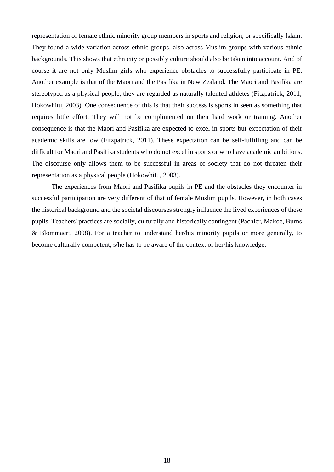representation of female ethnic minority group members in sports and religion, or specifically Islam. They found a wide variation across ethnic groups, also across Muslim groups with various ethnic backgrounds. This shows that ethnicity or possibly culture should also be taken into account. And of course it are not only Muslim girls who experience obstacles to successfully participate in PE. Another example is that of the Maori and the Pasifika in New Zealand. The Maori and Pasifika are stereotyped as a physical people, they are regarded as naturally talented athletes (Fitzpatrick, 2011; Hokowhitu, 2003). One consequence of this is that their success is sports in seen as something that requires little effort. They will not be complimented on their hard work or training. Another consequence is that the Maori and Pasifika are expected to excel in sports but expectation of their academic skills are low (Fitzpatrick, 2011). These expectation can be self-fulfilling and can be difficult for Maori and Pasifika students who do not excel in sports or who have academic ambitions. The discourse only allows them to be successful in areas of society that do not threaten their representation as a physical people (Hokowhitu, 2003).

The experiences from Maori and Pasifika pupils in PE and the obstacles they encounter in successful participation are very different of that of female Muslim pupils. However, in both cases the historical background and the societal discourses strongly influence the lived experiences of these pupils. Teachers' practices are socially, culturally and historically contingent (Pachler, Makoe, Burns & Blommaert, 2008). For a teacher to understand her/his minority pupils or more generally, to become culturally competent, s/he has to be aware of the context of her/his knowledge.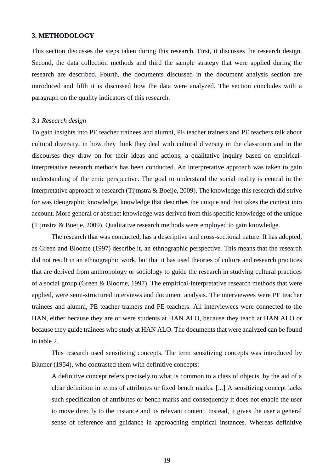#### <span id="page-23-0"></span>**3. METHODOLOGY**

This section discusses the steps taken during this research. First, it discusses the research design. Second, the data collection methods and third the sample strategy that were applied during the research are described. Fourth, the documents discussed in the document analysis section are introduced and fifth it is discussed how the data were analyzed. The section concludes with a paragraph on the quality indicators of this research.

#### <span id="page-23-1"></span>*3.1 Research design*

To gain insights into PE teacher trainees and alumni, PE teacher trainers and PE teachers talk about cultural diversity, in how they think they deal with cultural diversity in the classroom and in the discourses they draw on for their ideas and actions, a qualitative inquiry based on empiricalinterpretative research methods has been conducted. An interpretative approach was taken to gain understanding of the emic perspective. The goal to understand the social reality is central in the interpretative approach to research (Tijmstra & Boeije, 2009). The knowledge this research did strive for was ideographic knowledge, knowledge that describes the unique and that takes the context into account. More general or abstract knowledge was derived from this specific knowledge of the unique (Tijmstra & Boeije, 2009). Qualitative research methods were employed to gain knowledge.

The research that was conducted, has a descriptive and cross-sectional nature. It has adopted, as Green and Bloome (1997) describe it, an ethnographic perspective. This means that the research did not result in an ethnographic work, but that it has used theories of culture and research practices that are derived from anthropology or sociology to guide the research in studying cultural practices of a social group (Green & Bloome, 1997). The empirical-interpretative research methods that were applied, were semi-structured interviews and document analysis. The interviewees were PE teacher trainees and alumni, PE teacher trainers and PE teachers. All interviewees were connected to the HAN, either because they are or were students at HAN ALO, because they teach at HAN ALO or because they guide trainees who study at HAN ALO. The documents that were analyzed can be found in table 2.

This research used sensitizing concepts. The term sensitizing concepts was introduced by Blumer (1954), who contrasted them with definitive concepts:

A definitive concept refers precisely to what is common to a class of objects, by the aid of a clear definition in terms of attributes or fixed bench marks. [...] A sensitizing concept lacks such specification of attributes or bench marks and consequently it does not enable the user to move directly to the instance and its relevant content. Instead, it gives the user a general sense of reference and guidance in approaching empirical instances. Whereas definitive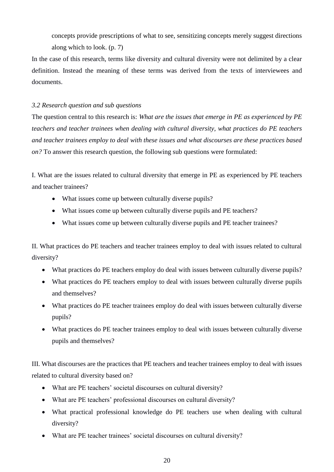concepts provide prescriptions of what to see, sensitizing concepts merely suggest directions along which to look. (p. 7)

In the case of this research, terms like diversity and cultural diversity were not delimited by a clear definition. Instead the meaning of these terms was derived from the texts of interviewees and documents.

## <span id="page-24-0"></span>*3.2 Research question and sub questions*

The question central to this research is: *What are the issues that emerge in PE as experienced by PE teachers and teacher trainees when dealing with cultural diversity, what practices do PE teachers and teacher trainees employ to deal with these issues and what discourses are these practices based on?* To answer this research question, the following sub questions were formulated:

I. What are the issues related to cultural diversity that emerge in PE as experienced by PE teachers and teacher trainees?

- What issues come up between culturally diverse pupils?
- What issues come up between culturally diverse pupils and PE teachers?
- What issues come up between culturally diverse pupils and PE teacher trainees?

II. What practices do PE teachers and teacher trainees employ to deal with issues related to cultural diversity?

- What practices do PE teachers employ do deal with issues between culturally diverse pupils?
- What practices do PE teachers employ to deal with issues between culturally diverse pupils and themselves?
- What practices do PE teacher trainees employ do deal with issues between culturally diverse pupils?
- What practices do PE teacher trainees employ to deal with issues between culturally diverse pupils and themselves?

III. What discourses are the practices that PE teachers and teacher trainees employ to deal with issues related to cultural diversity based on?

- What are PE teachers' societal discourses on cultural diversity?
- What are PE teachers' professional discourses on cultural diversity?
- What practical professional knowledge do PE teachers use when dealing with cultural diversity?
- What are PE teacher trainees' societal discourses on cultural diversity?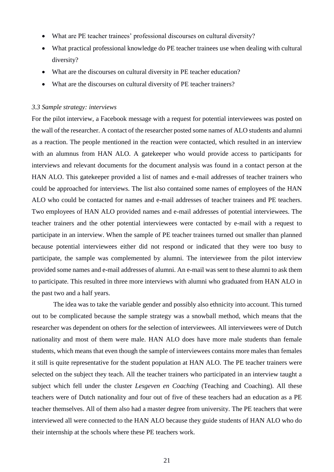- What are PE teacher trainees' professional discourses on cultural diversity?
- What practical professional knowledge do PE teacher trainees use when dealing with cultural diversity?
- What are the discourses on cultural diversity in PE teacher education?
- What are the discourses on cultural diversity of PE teacher trainers?

#### <span id="page-25-0"></span>*3.3 Sample strategy: interviews*

For the pilot interview, a Facebook message with a request for potential interviewees was posted on the wall of the researcher. A contact of the researcher posted some names of ALO students and alumni as a reaction. The people mentioned in the reaction were contacted, which resulted in an interview with an alumnus from HAN ALO. A gatekeeper who would provide access to participants for interviews and relevant documents for the document analysis was found in a contact person at the HAN ALO. This gatekeeper provided a list of names and e-mail addresses of teacher trainers who could be approached for interviews. The list also contained some names of employees of the HAN ALO who could be contacted for names and e-mail addresses of teacher trainees and PE teachers. Two employees of HAN ALO provided names and e-mail addresses of potential interviewees. The teacher trainers and the other potential interviewees were contacted by e-mail with a request to participate in an interview. When the sample of PE teacher trainees turned out smaller than planned because potential interviewees either did not respond or indicated that they were too busy to participate, the sample was complemented by alumni. The interviewee from the pilot interview provided some names and e-mail addresses of alumni. An e-mail was sent to these alumni to ask them to participate. This resulted in three more interviews with alumni who graduated from HAN ALO in the past two and a half years.

The idea was to take the variable gender and possibly also ethnicity into account. This turned out to be complicated because the sample strategy was a snowball method, which means that the researcher was dependent on others for the selection of interviewees. All interviewees were of Dutch nationality and most of them were male. HAN ALO does have more male students than female students, which means that even though the sample of interviewees contains more males than females it still is quite representative for the student population at HAN ALO. The PE teacher trainers were selected on the subject they teach. All the teacher trainers who participated in an interview taught a subject which fell under the cluster *Lesgeven en Coaching* (Teaching and Coaching). All these teachers were of Dutch nationality and four out of five of these teachers had an education as a PE teacher themselves. All of them also had a master degree from university. The PE teachers that were interviewed all were connected to the HAN ALO because they guide students of HAN ALO who do their internship at the schools where these PE teachers work.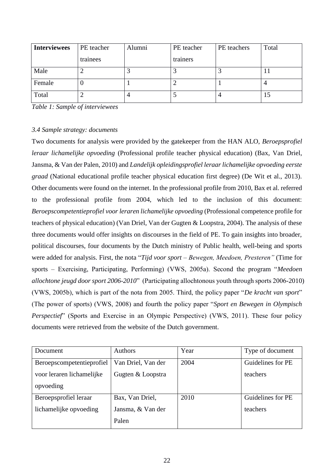| <b>Interviewees</b> | PE teacher | Alumni | PE teacher | PE teachers | Total |
|---------------------|------------|--------|------------|-------------|-------|
|                     | trainees   |        | trainers   |             |       |
| Male                |            |        |            |             |       |
| Female              |            |        |            |             |       |
| Total               |            |        |            |             | IJ    |

*Table 1: Sample of interviewees*

## <span id="page-26-0"></span>*3.4 Sample strategy: documents*

Two documents for analysis were provided by the gatekeeper from the HAN ALO, *Beroepsprofiel leraar lichamelijke opvoeding* (Professional profile teacher physical education) (Bax, Van Driel, Jansma, & Van der Palen, 2010) and *Landelijk opleidingsprofiel leraar lichamelijke opvoeding eerste graad* (National educational profile teacher physical education first degree) (De Wit et al., 2013). Other documents were found on the internet. In the professional profile from 2010, Bax et al. referred to the professional profile from 2004, which led to the inclusion of this document: *Beroepscompetentieprofiel voor leraren lichamelijke opvoeding* (Professional competence profile for teachers of physical education) (Van Driel, Van der Gugten & Loopstra, 2004). The analysis of these three documents would offer insights on discourses in the field of PE. To gain insights into broader, political discourses, four documents by the Dutch ministry of Public health, well-being and sports were added for analysis. First, the nota "*Tijd voor sport – Bewegen, Meedoen, Presteren"* (Time for sports – Exercising, Participating, Performing) (VWS, 2005a). Second the program "*Meedoen allochtone jeugd door sport 2006-2010*" (Participating allochtonous youth through sports 2006-2010) (VWS, 2005b), which is part of the nota from 2005. Third, the policy paper "*De kracht van sport*" (The power of sports) (VWS, 2008) and fourth the policy paper "*Sport en Bewegen in Olympisch Perspectief*" (Sports and Exercise in an Olympic Perspective) (VWS, 2011). These four policy documents were retrieved from the website of the Dutch government.

| Document                  | <b>Authors</b>     | Year | Type of document  |
|---------------------------|--------------------|------|-------------------|
| Beroepscompetentieprofiel | Van Driel, Van der | 2004 | Guidelines for PE |
| voor leraren lichamelijke | Gugten & Loopstra  |      | teachers          |
| opvoeding                 |                    |      |                   |
| Beroepsprofiel leraar     | Bax, Van Driel,    | 2010 | Guidelines for PE |
| lichamelijke opvoeding    | Jansma, & Van der  |      | teachers          |
|                           | Palen              |      |                   |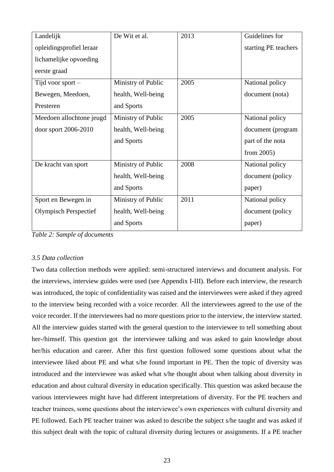| Landelijk                    | De Wit et al.      | 2013 | Guidelines for       |
|------------------------------|--------------------|------|----------------------|
| opleidingsprofiel leraar     |                    |      | starting PE teachers |
| lichamelijke opvoeding       |                    |      |                      |
| eerste graad                 |                    |      |                      |
| Tijd voor sport $-$          | Ministry of Public | 2005 | National policy      |
| Bewegen, Meedoen,            | health, Well-being |      | document (nota)      |
| Presteren                    | and Sports         |      |                      |
| Meedoen allochtone jeugd     | Ministry of Public | 2005 | National policy      |
| door sport 2006-2010         | health, Well-being |      | document (program    |
|                              | and Sports         |      | part of the nota     |
|                              |                    |      | from $2005$ )        |
| De kracht van sport          | Ministry of Public | 2008 | National policy      |
|                              | health, Well-being |      | document (policy     |
|                              | and Sports         |      | paper)               |
| Sport en Bewegen in          | Ministry of Public | 2011 | National policy      |
| <b>Olympisch Perspectief</b> | health, Well-being |      | document (policy     |
|                              | and Sports         |      | paper)               |

*Table 2: Sample of documents*

## <span id="page-27-0"></span>*3.5 Data collection*

Two data collection methods were applied: semi-structured interviews and document analysis. For the interviews, interview guides were used (see Appendix I-III). Before each interview, the research was introduced, the topic of confidentiality was raised and the interviewees were asked if they agreed to the interview being recorded with a voice recorder. All the interviewees agreed to the use of the voice recorder. If the interviewees had no more questions prior to the interview, the interview started. All the interview guides started with the general question to the interviewee to tell something about her-/himself. This question got the interviewee talking and was asked to gain knowledge about her/his education and career. After this first question followed some questions about what the interviewee liked about PE and what s/he found important in PE. Then the topic of diversity was introduced and the interviewee was asked what s/he thought about when talking about diversity in education and about cultural diversity in education specifically. This question was asked because the various interviewees might have had different interpretations of diversity. For the PE teachers and teacher trainees, some questions about the interviewee's own experiences with cultural diversity and PE followed. Each PE teacher trainer was asked to describe the subject s/he taught and was asked if this subject dealt with the topic of cultural diversity during lectures or assignments. If a PE teacher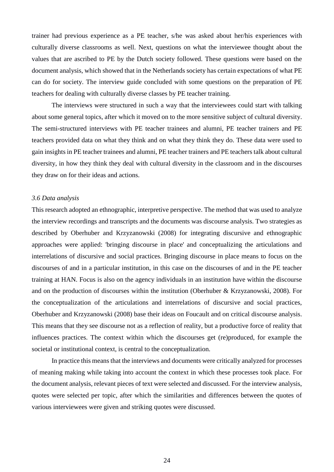trainer had previous experience as a PE teacher, s/he was asked about her/his experiences with culturally diverse classrooms as well. Next, questions on what the interviewee thought about the values that are ascribed to PE by the Dutch society followed. These questions were based on the document analysis, which showed that in the Netherlands society has certain expectations of what PE can do for society. The interview guide concluded with some questions on the preparation of PE teachers for dealing with culturally diverse classes by PE teacher training.

The interviews were structured in such a way that the interviewees could start with talking about some general topics, after which it moved on to the more sensitive subject of cultural diversity. The semi-structured interviews with PE teacher trainees and alumni, PE teacher trainers and PE teachers provided data on what they think and on what they think they do. These data were used to gain insights in PE teacher trainees and alumni, PE teacher trainers and PE teachers talk about cultural diversity, in how they think they deal with cultural diversity in the classroom and in the discourses they draw on for their ideas and actions.

#### <span id="page-28-0"></span>*3.6 Data analysis*

This research adopted an ethnographic, interpretive perspective. The method that was used to analyze the interview recordings and transcripts and the documents was discourse analysis. Two strategies as described by Oberhuber and Krzyzanowski (2008) for integrating discursive and ethnographic approaches were applied: 'bringing discourse in place' and conceptualizing the articulations and interrelations of discursive and social practices. Bringing discourse in place means to focus on the discourses of and in a particular institution, in this case on the discourses of and in the PE teacher training at HAN. Focus is also on the agency individuals in an institution have within the discourse and on the production of discourses within the institution (Oberhuber & Krzyzanowski, 2008). For the conceptualization of the articulations and interrelations of discursive and social practices, Oberhuber and Krzyzanowski (2008) base their ideas on Foucault and on critical discourse analysis. This means that they see discourse not as a reflection of reality, but a productive force of reality that influences practices. The context within which the discourses get (re)produced, for example the societal or institutional context, is central to the conceptualization.

In practice this means that the interviews and documents were critically analyzed for processes of meaning making while taking into account the context in which these processes took place. For the document analysis, relevant pieces of text were selected and discussed. For the interview analysis, quotes were selected per topic, after which the similarities and differences between the quotes of various interviewees were given and striking quotes were discussed.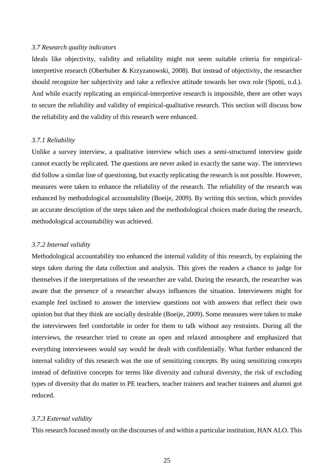#### <span id="page-29-0"></span>*3.7 Research quality indicators*

Ideals like objectivity, validity and reliability might not seem suitable criteria for empiricalinterpretive research (Oberhuber & Krzyzanowski, 2008). But instead of objectivity, the researcher should recognize her subjectivity and take a reflexive attitude towards her own role (Spotti, n.d.). And while exactly replicating an empirical-interpretive research is impossible, there are other ways to secure the reliability and validity of empirical-qualitative research. This section will discuss how the reliability and the validity of this research were enhanced.

#### <span id="page-29-1"></span>*3.7.1 Reliability*

Unlike a survey interview, a qualitative interview which uses a semi-structured interview guide cannot exactly be replicated. The questions are never asked in exactly the same way. The interviews did follow a similar line of questioning, but exactly replicating the research is not possible. However, measures were taken to enhance the reliability of the research. The reliability of the research was enhanced by methodological accountability (Boeije, 2009). By writing this section, which provides an accurate description of the steps taken and the methodological choices made during the research, methodological accountability was achieved.

#### <span id="page-29-2"></span>*3.7.2 Internal validity*

Methodological accountability too enhanced the internal validity of this research, by explaining the steps taken during the data collection and analysis. This gives the readers a chance to judge for themselves if the interpretations of the researcher are valid. During the research, the researcher was aware that the presence of a researcher always influences the situation. Interviewees might for example feel inclined to answer the interview questions not with answers that reflect their own opinion but that they think are socially desirable (Boeije, 2009). Some measures were taken to make the interviewees feel comfortable in order for them to talk without any restraints. During all the interviews, the researcher tried to create an open and relaxed atmosphere and emphasized that everything interviewees would say would be dealt with confidentially. What further enhanced the internal validity of this research was the use of sensitizing concepts. By using sensitizing concepts instead of definitive concepts for terms like diversity and cultural diversity, the risk of excluding types of diversity that do matter to PE teachers, teacher trainers and teacher trainees and alumni got reduced.

#### <span id="page-29-3"></span>*3.7.3 External validity*

This research focused mostly on the discourses of and within a particular institution, HAN ALO. This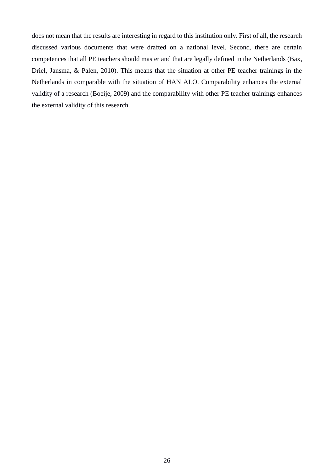does not mean that the results are interesting in regard to this institution only. First of all, the research discussed various documents that were drafted on a national level. Second, there are certain competences that all PE teachers should master and that are legally defined in the Netherlands (Bax, Driel, Jansma, & Palen, 2010). This means that the situation at other PE teacher trainings in the Netherlands in comparable with the situation of HAN ALO. Comparability enhances the external validity of a research (Boeije, 2009) and the comparability with other PE teacher trainings enhances the external validity of this research.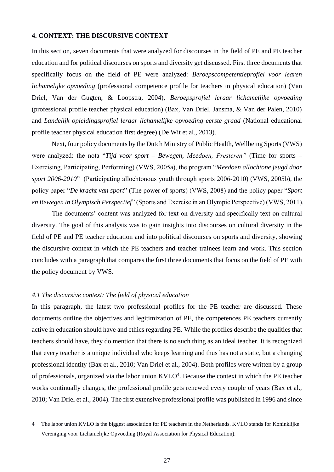## <span id="page-31-0"></span>**4. CONTEXT: THE DISCURSIVE CONTEXT**

In this section, seven documents that were analyzed for discourses in the field of PE and PE teacher education and for political discourses on sports and diversity get discussed. First three documents that specifically focus on the field of PE were analyzed: *Beroepscompetentieprofiel voor learen lichamelijke opvoeding* (professional competence profile for teachers in physical education) (Van Driel, Van der Gugten, & Loopstra, 2004), *Beroepsprofiel leraar lichamelijke opvoeding* (professional profile teacher physical education) (Bax, Van Driel, Jansma, & Van der Palen, 2010) and *Landelijk opleidingsprofiel leraar lichamelijke opvoeding eerste graad* (National educational profile teacher physical education first degree) (De Wit et al., 2013).

Next, four policy documents by the Dutch Ministry of Public Health, Wellbeing Sports (VWS) were analyzed: the nota "*Tijd voor sport – Bewegen, Meedoen, Presteren"* (Time for sports – Exercising, Participating, Performing) (VWS, 2005a), the program "*Meedoen allochtone jeugd door sport 2006-2010*" (Participating allochtonous youth through sports 2006-2010) (VWS, 2005b), the policy paper "*De kracht van sport*" (The power of sports) (VWS, 2008) and the policy paper "*Sport en Bewegen in Olympisch Perspectief*" (Sports and Exercise in an Olympic Perspective) (VWS, 2011).

The documents' content was analyzed for text on diversity and specifically text on cultural diversity. The goal of this analysis was to gain insights into discourses on cultural diversity in the field of PE and PE teacher education and into political discourses on sports and diversity, showing the discursive context in which the PE teachers and teacher trainees learn and work. This section concludes with a paragraph that compares the first three documents that focus on the field of PE with the policy document by VWS.

## <span id="page-31-1"></span>*4.1 The discursive context: The field of physical education*

1

In this paragraph, the latest two professional profiles for the PE teacher are discussed. These documents outline the objectives and legitimization of PE, the competences PE teachers currently active in education should have and ethics regarding PE. While the profiles describe the qualities that teachers should have, they do mention that there is no such thing as an ideal teacher. It is recognized that every teacher is a unique individual who keeps learning and thus has not a static, but a changing professional identity (Bax et al., 2010; Van Driel et al., 2004). Both profiles were written by a group of professionals, organized via the labor union  $KVLO<sup>4</sup>$ . Because the context in which the PE teacher works continually changes, the professional profile gets renewed every couple of years (Bax et al., 2010; Van Driel et al., 2004). The first extensive professional profile was published in 1996 and since

<sup>4</sup> The labor union KVLO is the biggest association for PE teachers in the Netherlands. KVLO stands for Koninklijke Vereniging voor Lichamelijke Opvoeding (Royal Association for Physical Education).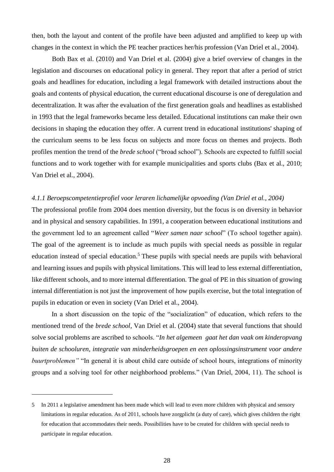then, both the layout and content of the profile have been adjusted and amplified to keep up with changes in the context in which the PE teacher practices her/his profession (Van Driel et al., 2004).

Both Bax et al. (2010) and Van Driel et al. (2004) give a brief overview of changes in the legislation and discourses on educational policy in general. They report that after a period of strict goals and headlines for education, including a legal framework with detailed instructions about the goals and contents of physical education, the current educational discourse is one of deregulation and decentralization. It was after the evaluation of the first generation goals and headlines as established in 1993 that the legal frameworks became less detailed. Educational institutions can make their own decisions in shaping the education they offer. A current trend in educational institutions' shaping of the curriculum seems to be less focus on subjects and more focus on themes and projects. Both profiles mention the trend of the *brede school* ("broad school"). Schools are expected to fulfill social functions and to work together with for example municipalities and sports clubs (Bax et al., 2010; Van Driel et al., 2004).

#### <span id="page-32-0"></span>*4.1.1 Beroepscompetentieprofiel voor leraren lichamelijke opvoeding (Van Driel et al., 2004)*

The professional profile from 2004 does mention diversity, but the focus is on diversity in behavior and in physical and sensory capabilities. In 1991, a cooperation between educational institutions and the government led to an agreement called "*Weer samen naar school*" (To school together again). The goal of the agreement is to include as much pupils with special needs as possible in regular education instead of special education.<sup>5</sup> These pupils with special needs are pupils with behavioral and learning issues and pupils with physical limitations. This will lead to less external differentiation, like different schools, and to more internal differentiation. The goal of PE in this situation of growing internal differentiation is not just the improvement of how pupils exercise, but the total integration of pupils in education or even in society (Van Driel et al., 2004).

In a short discussion on the topic of the "socialization" of education, which refers to the mentioned trend of the *brede school*, Van Driel et al. (2004) state that several functions that should solve social problems are ascribed to schools. "*In het algemeen gaat het dan vaak om kinderopvang buiten de schooluren, integratie van minderheidsgroepen en een oplossingsinstrument voor andere buurtproblemen"* "In general it is about child care outside of school hours, integrations of minority groups and a solving tool for other neighborhood problems." (Van Driel, 2004, 11). The school is

<u>.</u>

<sup>5</sup> In 2011 a legislative amendment has been made which will lead to even more children with physical and sensory limitations in regular education. As of 2011, schools have zorgplicht (a duty of care), which gives children the right for education that accommodates their needs. Possibilities have to be created for children with special needs to participate in regular education.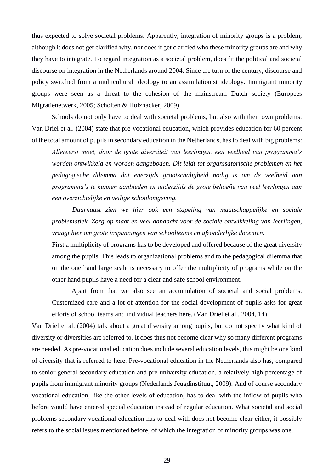thus expected to solve societal problems. Apparently, integration of minority groups is a problem, although it does not get clarified why, nor does it get clarified who these minority groups are and why they have to integrate. To regard integration as a societal problem, does fit the political and societal discourse on integration in the Netherlands around 2004. Since the turn of the century, discourse and policy switched from a multicultural ideology to an assimilationist ideology. Immigrant minority groups were seen as a threat to the cohesion of the mainstream Dutch society (Europees Migratienetwerk, 2005; Scholten & Holzhacker, 2009).

Schools do not only have to deal with societal problems, but also with their own problems. Van Driel et al. (2004) state that pre-vocational education, which provides education for 60 percent of the total amount of pupils in secondary education in the Netherlands, has to deal with big problems:

*Allereerst moet, door de grote diversiteit van leerlingen, een veelheid van programma's worden ontwikkeld en worden aangeboden. Dit leidt tot organisatorische problemen en het pedagogische dilemma dat enerzijds grootschaligheid nodig is om de veelheid aan programma's te kunnen aanbieden en anderzijds de grote behoefte van veel leerlingen aan een overzichtelijke en veilige schoolomgeving.* 

*Daarnaast zien we hier ook een stapeling van maatschappelijke en sociale problematiek. Zorg op maat en veel aandacht voor de sociale ontwikkeling van leerlingen, vraagt hier om grote inspanningen van schoolteams en afzonderlijke docenten.*

First a multiplicity of programs has to be developed and offered because of the great diversity among the pupils. This leads to organizational problems and to the pedagogical dilemma that on the one hand large scale is necessary to offer the multiplicity of programs while on the other hand pupils have a need for a clear and safe school environment.

Apart from that we also see an accumulation of societal and social problems. Customized care and a lot of attention for the social development of pupils asks for great efforts of school teams and individual teachers here. (Van Driel et al., 2004, 14)

Van Driel et al. (2004) talk about a great diversity among pupils, but do not specify what kind of diversity or diversities are referred to. It does thus not become clear why so many different programs are needed. As pre-vocational education does include several education levels, this might be one kind of diversity that is referred to here. Pre-vocational education in the Netherlands also has, compared to senior general secondary education and pre-university education, a relatively high percentage of pupils from immigrant minority groups (Nederlands Jeugdinstituut, 2009). And of course secondary vocational education, like the other levels of education, has to deal with the inflow of pupils who before would have entered special education instead of regular education. What societal and social problems secondary vocational education has to deal with does not become clear either, it possibly refers to the social issues mentioned before, of which the integration of minority groups was one.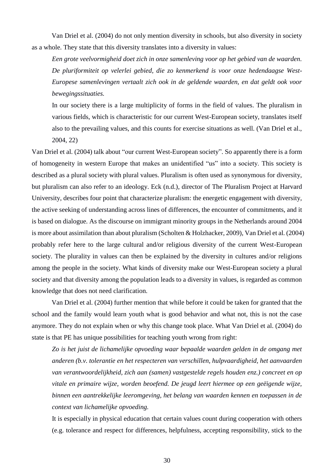Van Driel et al. (2004) do not only mention diversity in schools, but also diversity in society as a whole. They state that this diversity translates into a diversity in values:

*Een grote veelvormigheid doet zich in onze samenleving voor op het gebied van de waarden. De pluriformiteit op velerlei gebied, die zo kenmerkend is voor onze hedendaagse West-Europese samenlevingen vertaalt zich ook in de geldende waarden, en dat geldt ook voor bewegingssituaties.*

In our society there is a large multiplicity of forms in the field of values. The pluralism in various fields, which is characteristic for our current West-European society, translates itself also to the prevailing values, and this counts for exercise situations as well. (Van Driel et al., 2004, 22)

Van Driel et al. (2004) talk about "our current West-European society". So apparently there is a form of homogeneity in western Europe that makes an unidentified "us" into a society. This society is described as a plural society with plural values. Pluralism is often used as synonymous for diversity, but pluralism can also refer to an ideology. Eck (n.d.), director of The Pluralism Project at Harvard University, describes four point that characterize pluralism: the energetic engagement with diversity, the active seeking of understanding across lines of differences, the encounter of commitments, and it is based on dialogue. As the discourse on immigrant minority groups in the Netherlands around 2004 is more about assimilation than about pluralism (Scholten & Holzhacker, 2009), Van Driel et al. (2004) probably refer here to the large cultural and/or religious diversity of the current West-European society. The plurality in values can then be explained by the diversity in cultures and/or religions among the people in the society. What kinds of diversity make our West-European society a plural society and that diversity among the population leads to a diversity in values, is regarded as common knowledge that does not need clarification.

Van Driel et al. (2004) further mention that while before it could be taken for granted that the school and the family would learn youth what is good behavior and what not, this is not the case anymore. They do not explain when or why this change took place. What Van Driel et al. (2004) do state is that PE has unique possibilities for teaching youth wrong from right:

*Zo is het juist de lichamelijke opvoeding waar bepaalde waarden gelden in de omgang met anderen (b.v. tolerantie en het respecteren van verschillen, hulpvaardigheid, het aanvaarden van verantwoordelijkheid, zich aan (samen) vastgestelde regels houden enz.) concreet en op vitale en primaire wijze, worden beoefend. De jeugd leert hiermee op een geëigende wijze, binnen een aantrekkelijke leeromgeving, het belang van waarden kennen en toepassen in de context van lichamelijke opvoeding.*

It is especially in physical education that certain values count during cooperation with others (e.g. tolerance and respect for differences, helpfulness, accepting responsibility, stick to the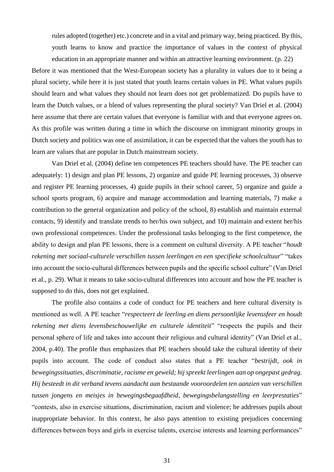rules adopted (together) etc.) concrete and in a vital and primary way, being practiced. By this, youth learns to know and practice the importance of values in the context of physical education in an appropriate manner and within an attractive learning environment. (p. 22)

Before it was mentioned that the West-European society has a plurality in values due to it being a plural society, while here it is just stated that youth learns certain values in PE. What values pupils should learn and what values they should not learn does not get problematized. Do pupils have to learn the Dutch values, or a blend of values representing the plural society? Van Driel et al. (2004) here assume that there are certain values that everyone is familiar with and that everyone agrees on. As this profile was written during a time in which the discourse on immigrant minority groups in Dutch society and politics was one of assimilation, it can be expected that the values the youth has to learn are values that are popular in Dutch mainstream society.

Van Driel et al. (2004) define ten competences PE teachers should have. The PE teacher can adequately: 1) design and plan PE lessons, 2) organize and guide PE learning processes, 3) observe and register PE learning processes, 4) guide pupils in their school career, 5) organize and guide a school sports program, 6) acquire and manage accommodation and learning materials, 7) make a contribution to the general organization and policy of the school, 8) establish and maintain external contacts, 9) identify and translate trends to her/his own subject, and 10) maintain and extent her/his own professional competences. Under the professional tasks belonging to the first competence, the ability to design and plan PE lessons, there is a comment on cultural diversity. A PE teacher "*houdt rekening met sociaal-culturele verschillen tussen leerlingen en een specifieke schoolcultuur*" "takes into account the socio-cultural differences between pupils and the specific school culture" (Van Driel et al., p. 29). What it means to take socio-cultural differences into account and how the PE teacher is supposed to do this, does not get explained.

The profile also contains a code of conduct for PE teachers and here cultural diversity is mentioned as well. A PE teacher "*respecteert de leerling en diens persoonlijke levenssfeer en houdt rekening met diens levensbeschouwelijke en culturele identiteit*" "respects the pupils and their personal sphere of life and takes into account their religious and cultural identity" (Van Driel et al., 2004, p.40). The profile thus emphasizes that PE teachers should take the cultural identity of their pupils into account. The code of conduct also states that a PE teacher "*bestrijdt, ook in bewegingssituaties, discriminatie, racisme en geweld; hij spreekt leerlingen aan op ongepast gedrag. Hij besteedt in dit verband tevens aandacht aan bestaande vooroordelen ten aanzien van verschillen tussen jongens en meisjes in bewegingsbegaafdheid, bewegingsbelangstelling en leerprestaties*" "contests, also in exercise situations, discrimination, racism and violence; he addresses pupils about inappropriate behavior. In this context, he also pays attention to existing prejudices concerning differences between boys and girls in exercise talents, exercise interests and learning performances"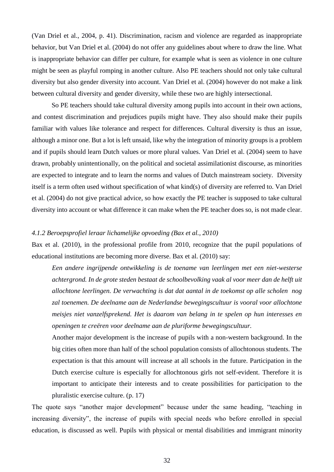(Van Driel et al., 2004, p. 41). Discrimination, racism and violence are regarded as inappropriate behavior, but Van Driel et al. (2004) do not offer any guidelines about where to draw the line. What is inappropriate behavior can differ per culture, for example what is seen as violence in one culture might be seen as playful romping in another culture. Also PE teachers should not only take cultural diversity but also gender diversity into account. Van Driel et al. (2004) however do not make a link between cultural diversity and gender diversity, while these two are highly intersectional.

So PE teachers should take cultural diversity among pupils into account in their own actions, and contest discrimination and prejudices pupils might have. They also should make their pupils familiar with values like tolerance and respect for differences. Cultural diversity is thus an issue, although a minor one. But a lot is left unsaid, like why the integration of minority groups is a problem and if pupils should learn Dutch values or more plural values. Van Driel et al. (2004) seem to have drawn, probably unintentionally, on the political and societal assimilationist discourse, as minorities are expected to integrate and to learn the norms and values of Dutch mainstream society. Diversity itself is a term often used without specification of what kind(s) of diversity are referred to. Van Driel et al. (2004) do not give practical advice, so how exactly the PE teacher is supposed to take cultural diversity into account or what difference it can make when the PE teacher does so, is not made clear.

#### *4.1.2 Beroepsprofiel leraar lichamelijke opvoeding (Bax et al., 2010)*

Bax et al. (2010), in the professional profile from 2010, recognize that the pupil populations of educational institutions are becoming more diverse. Bax et al. (2010) say:

*Een andere ingrijpende ontwikkeling is de toename van leerlingen met een niet-westerse achtergrond. In de grote steden bestaat de schoolbevolking vaak al voor meer dan de helft uit allochtone leerlingen. De verwachting is dat dat aantal in de toekomst op alle scholen nog zal toenemen. De deelname aan de Nederlandse bewegingscultuur is vooral voor allochtone meisjes niet vanzelfsprekend. Het is daarom van belang in te spelen op hun interesses en openingen te creëren voor deelname aan de pluriforme bewegingscultuur.*

Another major development is the increase of pupils with a non-western background. In the big cities often more than half of the school population consists of allochtonous students. The expectation is that this amount will increase at all schools in the future. Participation in the Dutch exercise culture is especially for allochtonous girls not self-evident. Therefore it is important to anticipate their interests and to create possibilities for participation to the pluralistic exercise culture. (p. 17)

The quote says "another major development" because under the same heading, "teaching in increasing diversity", the increase of pupils with special needs who before enrolled in special education, is discussed as well. Pupils with physical or mental disabilities and immigrant minority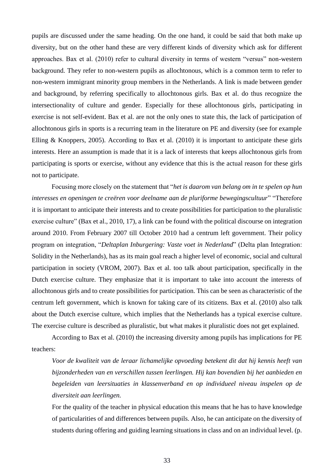pupils are discussed under the same heading. On the one hand, it could be said that both make up diversity, but on the other hand these are very different kinds of diversity which ask for different approaches. Bax et al. (2010) refer to cultural diversity in terms of western "versus" non-western background. They refer to non-western pupils as allochtonous, which is a common term to refer to non-western immigrant minority group members in the Netherlands. A link is made between gender and background, by referring specifically to allochtonous girls. Bax et al. do thus recognize the intersectionality of culture and gender. Especially for these allochtonous girls, participating in exercise is not self-evident. Bax et al. are not the only ones to state this, the lack of participation of allochtonous girls in sports is a recurring team in the literature on PE and diversity (see for example Elling & Knoppers, 2005). According to Bax et al. (2010) it is important to anticipate these girls interests. Here an assumption is made that it is a lack of interests that keeps allochtonous girls from participating is sports or exercise, without any evidence that this is the actual reason for these girls not to participate.

Focusing more closely on the statement that "*het is daarom van belang om in te spelen op hun interesses en openingen te creëren voor deelname aan de pluriforme bewegingscultuur*" "Therefore it is important to anticipate their interests and to create possibilities for participation to the pluralistic exercise culture" (Bax et al., 2010, 17), a link can be found with the political discourse on integration around 2010. From February 2007 till October 2010 had a centrum left government. Their policy program on integration, "*Deltaplan Inburgering: Vaste voet in Nederland*" (Delta plan Integration: Solidity in the Netherlands), has as its main goal reach a higher level of economic, social and cultural participation in society (VROM, 2007). Bax et al. too talk about participation, specifically in the Dutch exercise culture. They emphasize that it is important to take into account the interests of allochtonous girls and to create possibilities for participation. This can be seen as characteristic of the centrum left government, which is known for taking care of its citizens. Bax et al. (2010) also talk about the Dutch exercise culture, which implies that the Netherlands has a typical exercise culture. The exercise culture is described as pluralistic, but what makes it pluralistic does not get explained.

According to Bax et al. (2010) the increasing diversity among pupils has implications for PE teachers:

*Voor de kwaliteit van de leraar lichamelijke opvoeding betekent dit dat hij kennis heeft van bijzonderheden van en verschillen tussen leerlingen. Hij kan bovendien bij het aanbieden en begeleiden van leersituaties in klassenverband en op individueel niveau inspelen op de diversiteit aan leerlingen.*

For the quality of the teacher in physical education this means that he has to have knowledge of particularities of and differences between pupils. Also, he can anticipate on the diversity of students during offering and guiding learning situations in class and on an individual level. (p.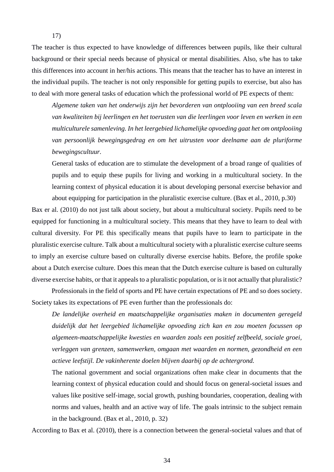The teacher is thus expected to have knowledge of differences between pupils, like their cultural background or their special needs because of physical or mental disabilities. Also, s/he has to take this differences into account in her/his actions. This means that the teacher has to have an interest in the individual pupils. The teacher is not only responsible for getting pupils to exercise, but also has to deal with more general tasks of education which the professional world of PE expects of them:

*Algemene taken van het onderwijs zijn het bevorderen van ontplooiing van een breed scala van kwaliteiten bij leerlingen en het toerusten van die leerlingen voor leven en werken in een multiculturele samenleving. In het leergebied lichamelijke opvoeding gaat het om ontplooiing van persoonlijk bewegingsgedrag en om het uitrusten voor deelname aan de pluriforme bewegingscultuur.*

General tasks of education are to stimulate the development of a broad range of qualities of pupils and to equip these pupils for living and working in a multicultural society. In the learning context of physical education it is about developing personal exercise behavior and about equipping for participation in the pluralistic exercise culture. (Bax et al., 2010, p.30)

Bax er al. (2010) do not just talk about society, but about a multicultural society. Pupils need to be equipped for functioning in a multicultural society. This means that they have to learn to deal with cultural diversity. For PE this specifically means that pupils have to learn to participate in the pluralistic exercise culture. Talk about a multicultural society with a pluralistic exercise culture seems to imply an exercise culture based on culturally diverse exercise habits. Before, the profile spoke about a Dutch exercise culture. Does this mean that the Dutch exercise culture is based on culturally diverse exercise habits, or that it appeals to a pluralistic population, or is it not actually that pluralistic?

Professionals in the field of sports and PE have certain expectations of PE and so does society. Society takes its expectations of PE even further than the professionals do:

*De landelijke overheid en maatschappelijke organisaties maken in documenten geregeld duidelijk dat het leergebied lichamelijke opvoeding zich kan en zou moeten focussen op algemeen-maatschappelijke kwesties en waarden zoals een positief zelfbeeld, sociale groei, verleggen van grenzen, samenwerken, omgaan met waarden en normen, gezondheid en een actieve leefstijl. De vakinherente doelen blijven daarbij op de achtergrond.*

The national government and social organizations often make clear in documents that the learning context of physical education could and should focus on general-societal issues and values like positive self-image, social growth, pushing boundaries, cooperation, dealing with norms and values, health and an active way of life. The goals intrinsic to the subject remain in the background. (Bax et al., 2010, p. 32)

According to Bax et al. (2010), there is a connection between the general-societal values and that of

17)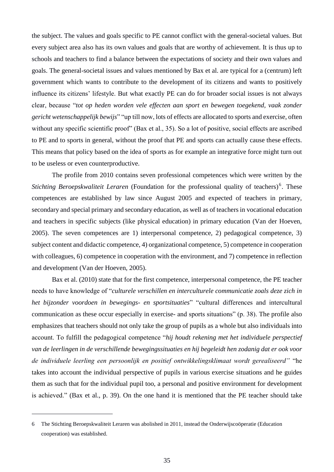the subject. The values and goals specific to PE cannot conflict with the general-societal values. But every subject area also has its own values and goals that are worthy of achievement. It is thus up to schools and teachers to find a balance between the expectations of society and their own values and goals. The general-societal issues and values mentioned by Bax et al. are typical for a (centrum) left government which wants to contribute to the development of its citizens and wants to positively influence its citizens' lifestyle. But what exactly PE can do for broader social issues is not always clear, because "*tot op heden worden vele effecten aan sport en bewegen toegekend, vaak zonder gericht wetenschappelijk bewijs*" "up till now, lots of effects are allocated to sports and exercise, often without any specific scientific proof" (Bax et al., 35). So a lot of positive, social effects are ascribed to PE and to sports in general, without the proof that PE and sports can actually cause these effects. This means that policy based on the idea of sports as for example an integrative force might turn out to be useless or even counterproductive.

The profile from 2010 contains seven professional competences which were written by the Stichting Beroepskwaliteit Leraren (Foundation for the professional quality of teachers)<sup>6</sup>. These competences are established by law since August 2005 and expected of teachers in primary, secondary and special primary and secondary education, as well as of teachers in vocational education and teachers in specific subjects (like physical education) in primary education (Van der Hoeven, 2005). The seven competences are 1) interpersonal competence, 2) pedagogical competence, 3) subject content and didactic competence, 4) organizational competence, 5) competence in cooperation with colleagues, 6) competence in cooperation with the environment, and 7) competence in reflection and development (Van der Hoeven, 2005).

Bax et al. (2010) state that for the first competence, interpersonal competence, the PE teacher needs to have knowledge of "*culturele verschillen en interculturele communicatie zoals deze zich in het bijzonder voordoen in bewegings- en sportsituaties*" "cultural differences and intercultural communication as these occur especially in exercise- and sports situations" (p. 38). The profile also emphasizes that teachers should not only take the group of pupils as a whole but also individuals into account. To fulfill the pedagogical competence "*hij houdt rekening met het individuele perspectief van de leerlingen in de verschillende bewegingssituaties en hij begeleidt hen zodanig dat er ook voor de individuele leerling een persoonlijk en positief ontwikkelingsklimaat wordt gerealiseerd"* "he takes into account the individual perspective of pupils in various exercise situations and he guides them as such that for the individual pupil too, a personal and positive environment for development is achieved." (Bax et al., p. 39). On the one hand it is mentioned that the PE teacher should take

1

<sup>6</sup> The Stichting Beroepskwaliteit Leraren was abolished in 2011, instead the Onderwijscoöperatie (Education cooperation) was established.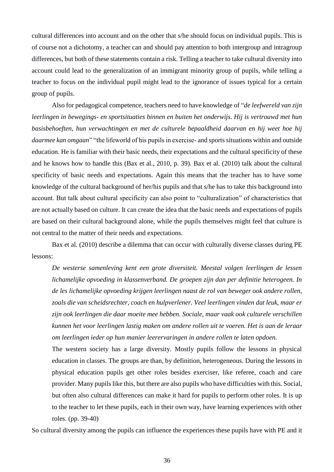cultural differences into account and on the other that s/he should focus on individual pupils. This is of course not a dichotomy, a teacher can and should pay attention to both intergroup and intragroup differences, but both of these statements contain a risk. Telling a teacher to take cultural diversity into account could lead to the generalization of an immigrant minority group of pupils, while telling a teacher to focus on the individual pupil might lead to the ignorance of issues typical for a certain group of pupils.

Also for pedagogical competence, teachers need to have knowledge of "*de leefwereld van zijn leerlingen in bewegings- en sportsituaties binnen en buiten het onderwijs. Hij is vertrouwd met hun basisbehoeften, hun verwachtingen en met de culturele bepaaldheid daarvan en hij weet hoe hij daarmee kan omgaan*" "the lifeworld of his pupils in exercise- and sports situations within and outside education. He is familiar with their basic needs, their expectations and the cultural specificity of these and he knows how to handle this (Bax et al., 2010, p. 39). Bax et al. (2010) talk about the cultural specificity of basic needs and expectations. Again this means that the teacher has to have some knowledge of the cultural background of her/his pupils and that s/he has to take this background into account. But talk about cultural specificity can also point to "culturalization" of characteristics that are not actually based on culture. It can create the idea that the basic needs and expectations of pupils are based on their cultural background alone, while the pupils themselves might feel that culture is not central to the matter of their needs and expectations.

Bax et al. (2010) describe a dilemma that can occur with culturally diverse classes during PE lessons:

*De westerse samenleving kent een grote diversiteit. Meestal volgen leerlingen de lessen lichamelijke opvoeding in klassenverband. De groepen zijn dan per definitie heterogeen. In de les lichamelijke opvoeding krijgen leerlingen naast de rol van beweger ook andere rollen, zoals die van scheidsrechter, coach en hulpverlener. Veel leerlingen vinden dat leuk, maar er zijn ook leerlingen die daar moeite mee hebben. Sociale, maar vaak ook culturele verschillen kunnen het voor leerlingen lastig maken om andere rollen uit te voeren. Het is aan de leraar om leerlingen ieder op hun manier leerervaringen in andere rollen te laten opdoen.*

The western society has a large diversity. Mostly pupils follow the lessons in physical education in classes. The groups are than, by definition, heterogeneous. During the lessons in physical education pupils get other roles besides exerciser, like referee, coach and care provider. Many pupils like this, but there are also pupils who have difficulties with this. Social, but often also cultural differences can make it hard for pupils to perform other roles. It is up to the teacher to let these pupils, each in their own way, have learning experiences with other roles. (pp. 39-40)

So cultural diversity among the pupils can influence the experiences these pupils have with PE and it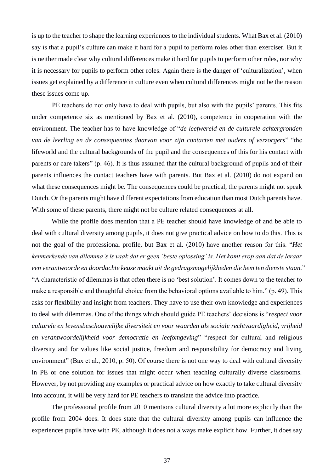is up to the teacher to shape the learning experiences to the individual students. What Bax et al. (2010) say is that a pupil's culture can make it hard for a pupil to perform roles other than exerciser. But it is neither made clear why cultural differences make it hard for pupils to perform other roles, nor why it is necessary for pupils to perform other roles. Again there is the danger of 'culturalization', when issues get explained by a difference in culture even when cultural differences might not be the reason these issues come up.

PE teachers do not only have to deal with pupils, but also with the pupils' parents. This fits under competence six as mentioned by Bax et al. (2010), competence in cooperation with the environment. The teacher has to have knowledge of "*de leefwereld en de culturele achtergronden van de leerling en de consequenties daarvan voor zijn contacten met ouders of verzorgers*" "the lifeworld and the cultural backgrounds of the pupil and the consequences of this for his contact with parents or care takers" (p. 46). It is thus assumed that the cultural background of pupils and of their parents influences the contact teachers have with parents. But Bax et al. (2010) do not expand on what these consequences might be. The consequences could be practical, the parents might not speak Dutch. Or the parents might have different expectations from education than most Dutch parents have. With some of these parents, there might not be culture related consequences at all.

While the profile does mention that a PE teacher should have knowledge of and be able to deal with cultural diversity among pupils, it does not give practical advice on how to do this. This is not the goal of the professional profile, but Bax et al. (2010) have another reason for this. "*Het kenmerkende van dilemma's is vaak dat er geen 'beste oplossing' is. Het komt erop aan dat de leraar een verantwoorde en doordachte keuze maakt uit de gedragsmogelijkheden die hem ten dienste staan.*" "A characteristic of dilemmas is that often there is no 'best solution'. It comes down to the teacher to make a responsible and thoughtful choice from the behavioral options available to him." (p. 49). This asks for flexibility and insight from teachers. They have to use their own knowledge and experiences to deal with dilemmas. One of the things which should guide PE teachers' decisions is "*respect voor culturele en levensbeschouwelijke diversiteit en voor waarden als sociale rechtvaardigheid, vrijheid en verantwoordelijkheid voor democratie en leefomgeving*" "respect for cultural and religious diversity and for values like social justice, freedom and responsibility for democracy and living environment" (Bax et al., 2010, p. 50). Of course there is not one way to deal with cultural diversity in PE or one solution for issues that might occur when teaching culturally diverse classrooms. However, by not providing any examples or practical advice on how exactly to take cultural diversity into account, it will be very hard for PE teachers to translate the advice into practice.

The professional profile from 2010 mentions cultural diversity a lot more explicitly than the profile from 2004 does. It does state that the cultural diversity among pupils can influence the experiences pupils have with PE, although it does not always make explicit how. Further, it does say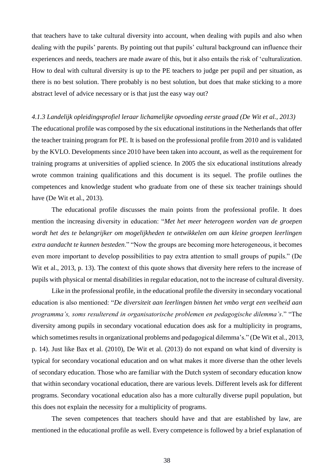that teachers have to take cultural diversity into account, when dealing with pupils and also when dealing with the pupils' parents. By pointing out that pupils' cultural background can influence their experiences and needs, teachers are made aware of this, but it also entails the risk of 'culturalization. How to deal with cultural diversity is up to the PE teachers to judge per pupil and per situation, as there is no best solution. There probably is no best solution, but does that make sticking to a more abstract level of advice necessary or is that just the easy way out?

#### *4.1.3 Landelijk opleidingsprofiel leraar lichamelijke opvoeding eerste graad (De Wit et al., 2013)*

The educational profile was composed by the six educational institutions in the Netherlands that offer the teacher training program for PE. It is based on the professional profile from 2010 and is validated by the KVLO. Developments since 2010 have been taken into account, as well as the requirement for training programs at universities of applied science. In 2005 the six educational institutions already wrote common training qualifications and this document is its sequel. The profile outlines the competences and knowledge student who graduate from one of these six teacher trainings should have (De Wit et al., 2013).

The educational profile discusses the main points from the professional profile. It does mention the increasing diversity in education: "*Met het meer heterogeen worden van de groepen wordt het des te belangrijker om mogelijkheden te ontwikkelen om aan kleine groepen leerlingen extra aandacht te kunnen besteden*." "Now the groups are becoming more heterogeneous, it becomes even more important to develop possibilities to pay extra attention to small groups of pupils." (De Wit et al., 2013, p. 13). The context of this quote shows that diversity here refers to the increase of pupils with physical or mental disabilities in regular education, not to the increase of cultural diversity.

Like in the professional profile, in the educational profile the diversity in secondary vocational education is also mentioned: "*De diversiteit aan leerlingen binnen het vmbo vergt een veelheid aan programma's, soms resulterend in organisatorische problemen en pedagogische dilemma's*." "The diversity among pupils in secondary vocational education does ask for a multiplicity in programs, which sometimes results in organizational problems and pedagogical dilemma's." (De Wit et al., 2013, p. 14). Just like Bax et al. (2010), De Wit et al. (2013) do not expand on what kind of diversity is typical for secondary vocational education and on what makes it more diverse than the other levels of secondary education. Those who are familiar with the Dutch system of secondary education know that within secondary vocational education, there are various levels. Different levels ask for different programs. Secondary vocational education also has a more culturally diverse pupil population, but this does not explain the necessity for a multiplicity of programs.

The seven competences that teachers should have and that are established by law, are mentioned in the educational profile as well. Every competence is followed by a brief explanation of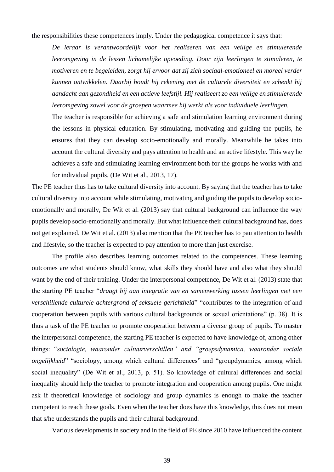the responsibilities these competences imply. Under the pedagogical competence it says that:

*De leraar is verantwoordelijk voor het realiseren van een veilige en stimulerende leeromgeving in de lessen lichamelijke opvoeding. Door zijn leerlingen te stimuleren, te motiveren en te begeleiden, zorgt hij ervoor dat zij zich sociaal-emotioneel en moreel verder kunnen ontwikkelen. Daarbij houdt hij rekening met de culturele diversiteit en schenkt hij aandacht aan gezondheid en een actieve leefstijl. Hij realiseert zo een veilige en stimulerende leeromgeving zowel voor de groepen waarmee hij werkt als voor individuele leerlingen.*

The teacher is responsible for achieving a safe and stimulation learning environment during the lessons in physical education. By stimulating, motivating and guiding the pupils, he ensures that they can develop socio-emotionally and morally. Meanwhile he takes into account the cultural diversity and pays attention to health and an active lifestyle. This way he achieves a safe and stimulating learning environment both for the groups he works with and for individual pupils. (De Wit et al., 2013, 17).

The PE teacher thus has to take cultural diversity into account. By saying that the teacher has to take cultural diversity into account while stimulating, motivating and guiding the pupils to develop socioemotionally and morally, De Wit et al. (2013) say that cultural background can influence the way pupils develop socio-emotionally and morally. But what influence their cultural background has, does not get explained. De Wit et al. (2013) also mention that the PE teacher has to pau attention to health and lifestyle, so the teacher is expected to pay attention to more than just exercise.

The profile also describes learning outcomes related to the competences. These learning outcomes are what students should know, what skills they should have and also what they should want by the end of their training. Under the interpersonal competence, De Wit et al. (2013) state that the starting PE teacher "*draagt bij aan integratie van en samenwerking tussen leerlingen met een verschillende culturele achtergrond of seksuele gerichtheid*" "contributes to the integration of and cooperation between pupils with various cultural backgrounds or sexual orientations" (p. 38). It is thus a task of the PE teacher to promote cooperation between a diverse group of pupils. To master the interpersonal competence, the starting PE teacher is expected to have knowledge of, among other things: "*sociologie, waaronder cultuurverschillen" and "groepsdynamica, waaronder sociale ongelijkheid*" "sociology, among which cultural differences" and "groupdynamics, among which social inequality" (De Wit et al., 2013, p. 51). So knowledge of cultural differences and social inequality should help the teacher to promote integration and cooperation among pupils. One might ask if theoretical knowledge of sociology and group dynamics is enough to make the teacher competent to reach these goals. Even when the teacher does have this knowledge, this does not mean that s/he understands the pupils and their cultural background.

Various developments in society and in the field of PE since 2010 have influenced the content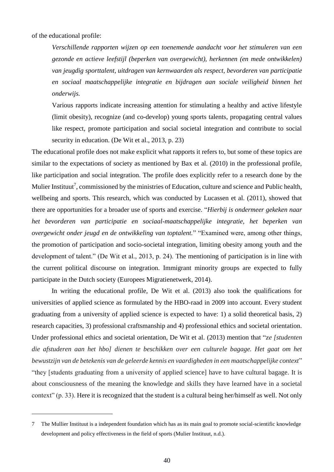of the educational profile:

1

*Verschillende rapporten wijzen op een toenemende aandacht voor het stimuleren van een gezonde en actieve leefstijl (beperken van overgewicht), herkennen (en mede ontwikkelen) van jeugdig sporttalent, uitdragen van kernwaarden als respect, bevorderen van participatie en sociaal maatschappelijke integratie en bijdragen aan sociale veiligheid binnen het onderwijs.* 

Various rapports indicate increasing attention for stimulating a healthy and active lifestyle (limit obesity), recognize (and co-develop) young sports talents, propagating central values like respect, promote participation and social societal integration and contribute to social security in education. (De Wit et al., 2013, p. 23)

The educational profile does not make explicit what rapports it refers to, but some of these topics are similar to the expectations of society as mentioned by Bax et al. (2010) in the professional profile, like participation and social integration. The profile does explicitly refer to a research done by the Mulier Instituut<sup>7</sup>, commissioned by the ministries of Education, culture and science and Public health, wellbeing and sports. This research, which was conducted by Lucassen et al. (2011), showed that there are opportunities for a broader use of sports and exercise. "*Hierbij is ondermeer gekeken naar het bevorderen van participatie en sociaal-maatschappelijke integratie, het beperken van overgewicht onder jeugd en de ontwikkeling van toptalent.*" "Examined were, among other things, the promotion of participation and socio-societal integration, limiting obesity among youth and the development of talent." (De Wit et al., 2013, p. 24). The mentioning of participation is in line with the current political discourse on integration. Immigrant minority groups are expected to fully participate in the Dutch society (Europees Migratienetwerk, 2014).

In writing the educational profile, De Wit et al. (2013) also took the qualifications for universities of applied science as formulated by the HBO-raad in 2009 into account. Every student graduating from a university of applied science is expected to have: 1) a solid theoretical basis, 2) research capacities, 3) professional craftsmanship and 4) professional ethics and societal orientation. Under professional ethics and societal orientation, De Wit et al. (2013) mention that "z*e [studenten die afstuderen aan het hbo] dienen te beschikken over een culturele bagage. Het gaat om het bewustzijn van de betekenis van de geleerde kennis en vaardigheden in een maatschappelijke context*" "they [students graduating from a university of applied science] have to have cultural bagage. It is about consciousness of the meaning the knowledge and skills they have learned have in a societal context" (p. 33). Here it is recognized that the student is a cultural being her/himself as well. Not only

<sup>7</sup> The Mullier Instituut is a independent foundation which has as its main goal to promote social-scientific knowledge development and policy effectiveness in the field of sports (Mulier Instituut, n.d.).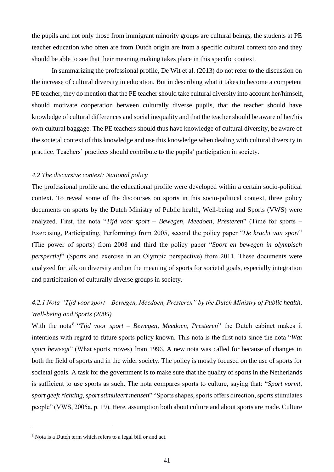the pupils and not only those from immigrant minority groups are cultural beings, the students at PE teacher education who often are from Dutch origin are from a specific cultural context too and they should be able to see that their meaning making takes place in this specific context.

In summarizing the professional profile, De Wit et al. (2013) do not refer to the discussion on the increase of cultural diversity in education. But in describing what it takes to become a competent PE teacher, they do mention that the PE teacher should take cultural diversity into account her/himself, should motivate cooperation between culturally diverse pupils, that the teacher should have knowledge of cultural differences and social inequality and that the teacher should be aware of her/his own cultural baggage. The PE teachers should thus have knowledge of cultural diversity, be aware of the societal context of this knowledge and use this knowledge when dealing with cultural diversity in practice. Teachers' practices should contribute to the pupils' participation in society.

## *4.2 The discursive context: National policy*

The professional profile and the educational profile were developed within a certain socio-political context. To reveal some of the discourses on sports in this socio-political context, three policy documents on sports by the Dutch Ministry of Public health, Well-being and Sports (VWS) were analyzed. First, the nota "*Tijd voor sport – Bewegen, Meedoen, Presteren*" (Time for sports – Exercising, Participating, Performing) from 2005, second the policy paper "*De kracht van sport*" (The power of sports) from 2008 and third the policy paper "*Sport en bewegen in olympisch perspectief*" (Sports and exercise in an Olympic perspective) from 2011. These documents were analyzed for talk on diversity and on the meaning of sports for societal goals, especially integration and participation of culturally diverse groups in society.

## *4.2.1 Nota "Tijd voor sport – Bewegen, Meedoen, Presteren" by the Dutch Ministry of Public health, Well-being and Sports (2005)*

With the nota<sup>8</sup> "Tijd voor sport – Bewegen, Meedoen, Presteren" the Dutch cabinet makes it intentions with regard to future sports policy known. This nota is the first nota since the nota "*Wat sport beweegt*" (What sports moves) from 1996. A new nota was called for because of changes in both the field of sports and in the wider society. The policy is mostly focused on the use of sports for societal goals. A task for the government is to make sure that the quality of sports in the Netherlands is sufficient to use sports as such. The nota compares sports to culture, saying that: "*Sport vormt, sport geeft richting, sport stimuleert mensen*" "Sports shapes, sports offers direction, sports stimulates people" (VWS, 2005a, p. 19). Here, assumption both about culture and about sports are made. Culture

1

<sup>8</sup> Nota is a Dutch term which refers to a legal bill or and act.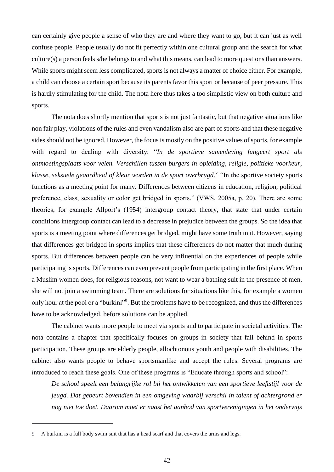can certainly give people a sense of who they are and where they want to go, but it can just as well confuse people. People usually do not fit perfectly within one cultural group and the search for what culture(s) a person feels s/he belongs to and what this means, can lead to more questions than answers. While sports might seem less complicated, sports is not always a matter of choice either. For example, a child can choose a certain sport because its parents favor this sport or because of peer pressure. This is hardly stimulating for the child. The nota here thus takes a too simplistic view on both culture and sports.

The nota does shortly mention that sports is not just fantastic, but that negative situations like non fair play, violations of the rules and even vandalism also are part of sports and that these negative sides should not be ignored. However, the focus is mostly on the positive values of sports, for example with regard to dealing with diversity: "*In de sportieve samenleving fungeert sport als ontmoetingsplaats voor velen. Verschillen tussen burgers in opleiding, religie, politieke voorkeur, klasse, seksuele geaardheid of kleur worden in de sport overbrugd*." "In the sportive society sports functions as a meeting point for many. Differences between citizens in education, religion, political preference, class, sexuality or color get bridged in sports." (VWS, 2005a, p. 20). There are some theories, for example Allport's (1954) intergroup contact theory, that state that under certain conditions intergroup contact can lead to a decrease in prejudice between the groups. So the idea that sports is a meeting point where differences get bridged, might have some truth in it. However, saying that differences get bridged in sports implies that these differences do not matter that much during sports. But differences between people can be very influential on the experiences of people while participating is sports. Differences can even prevent people from participating in the first place. When a Muslim women does, for religious reasons, not want to wear a bathing suit in the presence of men, she will not join a swimming team. There are solutions for situations like this, for example a women only hour at the pool or a "burkini"<sup>9</sup>. But the problems have to be recognized, and thus the differences have to be acknowledged, before solutions can be applied.

The cabinet wants more people to meet via sports and to participate in societal activities. The nota contains a chapter that specifically focuses on groups in society that fall behind in sports participation. These groups are elderly people, allochtonous youth and people with disabilities. The cabinet also wants people to behave sportsmanlike and accept the rules. Several programs are introduced to reach these goals. One of these programs is "Educate through sports and school":

*De school speelt een belangrijke rol bij het ontwikkelen van een sportieve leeftstijl voor de jeugd. Dat gebeurt bovendien in een omgeving waarbij verschil in talent of achtergrond er nog niet toe doet. Daarom moet er naast het aanbod van sportverenigingen in het onderwijs* 

<u>.</u>

<sup>9</sup> A burkini is a full body swim suit that has a head scarf and that covers the arms and legs.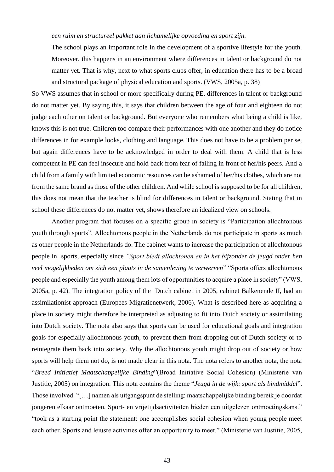### *een ruim en structureel pakket aan lichamelijke opvoeding en sport zijn.*

The school plays an important role in the development of a sportive lifestyle for the youth. Moreover, this happens in an environment where differences in talent or background do not matter yet. That is why, next to what sports clubs offer, in education there has to be a broad and structural package of physical education and sports. (VWS, 2005a, p. 38)

So VWS assumes that in school or more specifically during PE, differences in talent or background do not matter yet. By saying this, it says that children between the age of four and eighteen do not judge each other on talent or background. But everyone who remembers what being a child is like, knows this is not true. Children too compare their performances with one another and they do notice differences in for example looks, clothing and language. This does not have to be a problem per se, but again differences have to be acknowledged in order to deal with them. A child that is less competent in PE can feel insecure and hold back from fear of failing in front of her/his peers. And a child from a family with limited economic resources can be ashamed of her/his clothes, which are not from the same brand as those of the other children. And while school is supposed to be for all children, this does not mean that the teacher is blind for differences in talent or background. Stating that in school these differences do not matter yet, shows therefore an idealized view on schools.

Another program that focuses on a specific group in society is "Participation allochtonous youth through sports". Allochtonous people in the Netherlands do not participate in sports as much as other people in the Netherlands do. The cabinet wants to increase the participation of allochtonous people in sports, especially since *"Sport biedt allochtonen en in het bijzonder de jeugd onder hen veel mogelijkheden om zich een plaats in de samenleving te verwerven*" "Sports offers allochtonous people and especially the youth among them lots of opportunities to acquire a place in society" (VWS, 2005a, p. 42). The integration policy of the Dutch cabinet in 2005, cabinet Balkenende II, had an assimilationist approach (Europees Migratienetwerk, 2006). What is described here as acquiring a place in society might therefore be interpreted as adjusting to fit into Dutch society or assimilating into Dutch society. The nota also says that sports can be used for educational goals and integration goals for especially allochtonous youth, to prevent them from dropping out of Dutch society or to reintegrate them back into society. Why the allochtonous youth might drop out of society or how sports will help them not do, is not made clear in this nota. The nota refers to another nota, the nota "*Breed Initiatief Maatschappelijke Binding*"(Broad Initiative Social Cohesion) (Ministerie van Justitie, 2005) on integration. This nota contains the theme "*Jeugd in de wijk: sport als bindmiddel*". Those involved: "[…] namen als uitgangspunt de stelling: maatschappelijke binding bereik je doordat jongeren elkaar ontmoeten. Sport- en vrijetijdsactiviteiten bieden een uitgelezen ontmoetingskans." "took as a starting point the statement: one accomplishes social cohesion when young people meet each other. Sports and leiusre activities offer an opportunity to meet." (Ministerie van Justitie, 2005,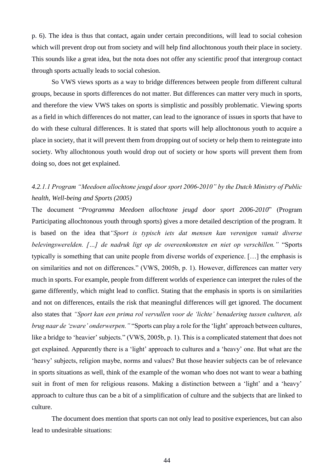p. 6). The idea is thus that contact, again under certain preconditions, will lead to social cohesion which will prevent drop out from society and will help find allochtonous youth their place in society. This sounds like a great idea, but the nota does not offer any scientific proof that intergroup contact through sports actually leads to social cohesion.

So VWS views sports as a way to bridge differences between people from different cultural groups, because in sports differences do not matter. But differences can matter very much in sports, and therefore the view VWS takes on sports is simplistic and possibly problematic. Viewing sports as a field in which differences do not matter, can lead to the ignorance of issues in sports that have to do with these cultural differences. It is stated that sports will help allochtonous youth to acquire a place in society, that it will prevent them from dropping out of society or help them to reintegrate into society. Why allochtonous youth would drop out of society or how sports will prevent them from doing so, does not get explained.

## *4.2.1.1 Program "Meedoen allochtone jeugd door sport 2006-2010" by the Dutch Ministry of Public health, Well-being and Sports (2005)*

The document "*Programma Meedoen allochtone jeugd door sport 2006-2010*" (Program Participating allochtonous youth through sports) gives a more detailed description of the program. It is based on the idea that*"Sport is typisch iets dat mensen kan verenigen vanuit diverse belevingswerelden. […] de nadruk ligt op de overeenkomsten en niet op verschillen."* "Sports typically is something that can unite people from diverse worlds of experience. […] the emphasis is on similarities and not on differences." (VWS, 2005b, p. 1). However, differences can matter very much in sports. For example, people from different worlds of experience can interpret the rules of the game differently, which might lead to conflict. Stating that the emphasis in sports is on similarities and not on differences, entails the risk that meaningful differences will get ignored. The document also states that *"Sport kan een prima rol vervullen voor de 'lichte' benadering tussen culturen, als brug naar de 'zware' onderwerpen."* "Sports can play a role for the 'light' approach between cultures, like a bridge to 'heavier' subjects." (VWS, 2005b, p. 1). This is a complicated statement that does not get explained. Apparently there is a 'light' approach to cultures and a 'heavy' one. But what are the 'heavy' subjects, religion maybe, norms and values? But those heavier subjects can be of relevance in sports situations as well, think of the example of the woman who does not want to wear a bathing suit in front of men for religious reasons. Making a distinction between a 'light' and a 'heavy' approach to culture thus can be a bit of a simplification of culture and the subjects that are linked to culture.

The document does mention that sports can not only lead to positive experiences, but can also lead to undesirable situations: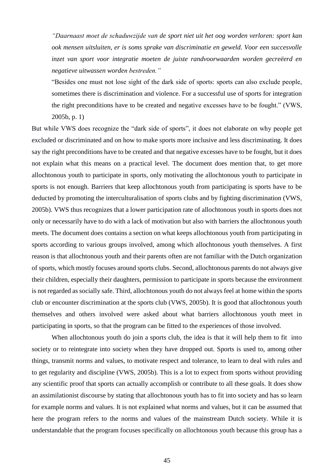*"Daarnaast moet de schaduwzijde van de sport niet uit het oog worden verloren: sport kan ook mensen uitsluiten, er is soms sprake van discriminatie en geweld. Voor een succesvolle inzet van sport voor integratie moeten de juiste randvoorwaarden worden gecreëerd en negatieve uitwassen worden bestreden."* 

"Besides one must not lose sight of the dark side of sports: sports can also exclude people, sometimes there is discrimination and violence. For a successful use of sports for integration the right preconditions have to be created and negative excesses have to be fought." (VWS, 2005b, p. 1)

But while VWS does recognize the "dark side of sports", it does not elaborate on why people get excluded or discriminated and on how to make sports more inclusive and less discriminating. It does say the right preconditions have to be created and that negative excesses have to be fought, but it does not explain what this means on a practical level. The document does mention that, to get more allochtonous youth to participate in sports, only motivating the allochtonous youth to participate in sports is not enough. Barriers that keep allochtonous youth from participating is sports have to be deducted by promoting the interculturalisation of sports clubs and by fighting discrimination (VWS, 2005b). VWS thus recognizes that a lower participation rate of allochtonous youth in sports does not only or necessarily have to do with a lack of motivation but also with barriers the allochtonous youth meets. The document does contains a section on what keeps allochtonous youth from participating in sports according to various groups involved, among which allochtonous youth themselves. A first reason is that allochtonous youth and their parents often are not familiar with the Dutch organization of sports, which mostly focuses around sports clubs. Second, allochtonous parents do not always give their children, especially their daughters, permission to participate in sports because the environment is not regarded as socially safe. Third, allochtonous youth do not always feel at home within the sports club or encounter discrimination at the sports club (VWS, 2005b). It is good that allochtonous youth themselves and others involved were asked about what barriers allochtonous youth meet in participating in sports, so that the program can be fitted to the experiences of those involved.

When allochtonous youth do join a sports club, the idea is that it will help them to fit into society or to reintegrate into society when they have dropped out. Sports is used to, among other things, transmit norms and values, to motivate respect and tolerance, to learn to deal with rules and to get regularity and discipline (VWS, 2005b). This is a lot to expect from sports without providing any scientific proof that sports can actually accomplish or contribute to all these goals. It does show an assimilationist discourse by stating that allochtonous youth has to fit into society and has so learn for example norms and values. It is not explained what norms and values, but it can be assumed that here the program refers to the norms and values of the mainstream Dutch society. While it is understandable that the program focuses specifically on allochtonous youth because this group has a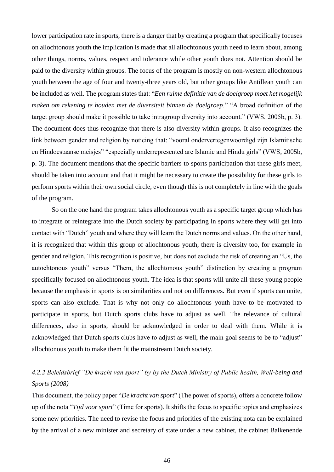lower participation rate in sports, there is a danger that by creating a program that specifically focuses on allochtonous youth the implication is made that all allochtonous youth need to learn about, among other things, norms, values, respect and tolerance while other youth does not. Attention should be paid to the diversity within groups. The focus of the program is mostly on non-western allochtonous youth between the age of four and twenty-three years old, but other groups like Antillean youth can be included as well. The program states that: "*Een ruime definitie van de doelgroep moet het mogelijk maken om rekening te houden met de diversiteit binnen de doelgroep*." "A broad definition of the target group should make it possible to take intragroup diversity into account." (VWS. 2005b, p. 3). The document does thus recognize that there is also diversity within groups. It also recognizes the link between gender and religion by noticing that: "vooral ondervertegenwoordigd zijn Islamitische en Hindoestaanse meisjes" "especially underrepresented are Islamic and Hindu girls" (VWS, 2005b, p. 3). The document mentions that the specific barriers to sports participation that these girls meet, should be taken into account and that it might be necessary to create the possibility for these girls to perform sports within their own social circle, even though this is not completely in line with the goals of the program.

So on the one hand the program takes allochtonous youth as a specific target group which has to integrate or reintegrate into the Dutch society by participating in sports where they will get into contact with "Dutch" youth and where they will learn the Dutch norms and values. On the other hand, it is recognized that within this group of allochtonous youth, there is diversity too, for example in gender and religion. This recognition is positive, but does not exclude the risk of creating an "Us, the autochtonous youth" versus "Them, the allochtonous youth" distinction by creating a program specifically focused on allochtonous youth. The idea is that sports will unite all these young people because the emphasis in sports is on similarities and not on differences. But even if sports can unite, sports can also exclude. That is why not only do allochtonous youth have to be motivated to participate in sports, but Dutch sports clubs have to adjust as well. The relevance of cultural differences, also in sports, should be acknowledged in order to deal with them. While it is acknowledged that Dutch sports clubs have to adjust as well, the main goal seems to be to "adjust" allochtonous youth to make them fit the mainstream Dutch society.

# *4.2.2 Beleidsbrief "De kracht van sport" by by the Dutch Ministry of Public health, Well-being and Sports (2008)*

This document, the policy paper "*De kracht van sport*" (The power of sports), offers a concrete follow up of the nota "*Tijd voor sport*" (Time for sports). It shifts the focus to specific topics and emphasizes some new priorities. The need to revise the focus and priorities of the existing nota can be explained by the arrival of a new minister and secretary of state under a new cabinet, the cabinet Balkenende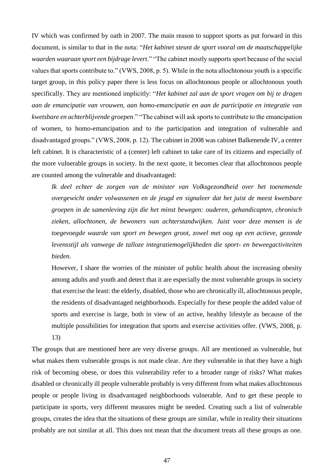IV which was confirmed by oath in 2007. The main reason to support sports as put forward in this document, is similar to that in the nota: "*Het kabinet steunt de sport vooral om de maatschappelijke waarden waaraan sport een bijdrage levert*." "The cabinet mostly supports sport because of the social values that sports contribute to." (VWS, 2008, p. 5). While in the nota allochtonous youth is a specific target group, in this policy paper there is less focus on allochtonous people or allochtonous youth specifically. They are mentioned implicitly: "*Het kabinet zal aan de sport vragen om bij te dragen aan de emancipatie van vrouwen, aan homo-emancipatie en aan de participatie en integratie van kwetsbare en achterblijvende groepen*." "The cabinet will ask sports to contribute to the emancipation of women, to homo-emancipation and to the participation and integration of vulnerable and disadvantaged groups." (VWS, 2008, p. 12). The cabinet in 2008 was cabinet Balkenende IV, a center left cabinet. It is characteristic of a (center) left cabinet to take care of its citizens and especially of the more vulnerable groups in society. In the next quote, it becomes clear that allochtonous people are counted among the vulnerable and disadvantaged:

*Ik deel echter de zorgen van de minister van Volksgezondheid over het toenemende overgewicht onder volwassenen en de jeugd en signaleer dat het juist de meest kwetsbare groepen in de samenleving zijn die het minst bewegen: ouderen, gehandicapten, chronisch zieken, allochtonen, de bewoners van achterstandwijken. Juist voor deze mensen is de toegevoegde waarde van sport en bewegen groot, zowel met oog op een actieve, gezonde levensstijl als vanwege de talloze integratiemogelijkheden die sport- en beweegactiviteiten bieden.*

However, I share the worries of the minister of public health about the increasing obesity among adults and youth and detect that it are especially the most vulnerable groups in society that exercise the least: the elderly, disabled, those who are chronically ill, allochtonous people, the residents of disadvantaged neighborhoods. Especially for these people the added value of sports and exercise is large, both in view of an active, healthy lifestyle as because of the multiple possibilities for integration that sports and exercise activities offer. (VWS, 2008, p. 13)

The groups that are mentioned here are very diverse groups. All are mentioned as vulnerable, but what makes them vulnerable groups is not made clear. Are they vulnerable in that they have a high risk of becoming obese, or does this vulnerability refer to a broader range of risks? What makes disabled or chronically ill people vulnerable probably is very different from what makes allochtonous people or people living in disadvantaged neighborhoods vulnerable. And to get these people to participate in sports, very different measures might be needed. Creating such a list of vulnerable groups, creates the idea that the situations of these groups are similar, while in reality their situations probably are not similar at all. This does not mean that the document treats all these groups as one.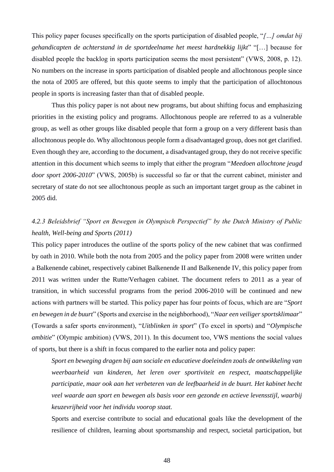This policy paper focuses specifically on the sports participation of disabled people, "*[…] omdat bij gehandicapten de achterstand in de sportdeelname het meest hardnekkig lijkt*" "[…] because for disabled people the backlog in sports participation seems the most persistent" (VWS, 2008, p. 12). No numbers on the increase in sports participation of disabled people and allochtonous people since the nota of 2005 are offered, but this quote seems to imply that the participation of allochtonous people in sports is increasing faster than that of disabled people.

Thus this policy paper is not about new programs, but about shifting focus and emphasizing priorities in the existing policy and programs. Allochtonous people are referred to as a vulnerable group, as well as other groups like disabled people that form a group on a very different basis than allochtonous people do. Why allochtonous people form a disadvantaged group, does not get clarified. Even though they are, according to the document, a disadvantaged group, they do not receive specific attention in this document which seems to imply that either the program "*Meedoen allochtone jeugd door sport 2006-2010*" (VWS, 2005b) is successful so far or that the current cabinet, minister and secretary of state do not see allochtonous people as such an important target group as the cabinet in 2005 did.

# *4.2.3 Beleidsbrief "Sport en Bewegen in Olympisch Perspectief" by the Dutch Ministry of Public health, Well-being and Sports (2011)*

This policy paper introduces the outline of the sports policy of the new cabinet that was confirmed by oath in 2010. While both the nota from 2005 and the policy paper from 2008 were written under a Balkenende cabinet, respectively cabinet Balkenende II and Balkenende IV, this policy paper from 2011 was written under the Rutte/Verhagen cabinet. The document refers to 2011 as a year of transition, in which successful programs from the period 2006-2010 will be continued and new actions with partners will be started. This policy paper has four points of focus, which are are "*Sport en bewegen in de buurt*" (Sports and exercise in the neighborhood), "*Naar een veiliger sportsklimaar*" (Towards a safer sports environment), "*Uitblinken in sport*" (To excel in sports) and "*Olympische ambitie*" (Olympic ambition) (VWS, 2011). In this document too, VWS mentions the social values of sports, but there is a shift in focus compared to the earlier nota and policy paper:

*Sport en beweging dragen bij aan sociale en educatieve doeleinden zoals de ontwikkeling van weerbaarheid van kinderen, het leren over sportiviteit en respect, maatschappelijke participatie, maar ook aan het verbeteren van de leefbaarheid in de buurt. Het kabinet hecht veel waarde aan sport en bewegen als basis voor een gezonde en actieve levensstijl, waarbij keuzevrijheid voor het individu voorop staat.* 

Sports and exercise contribute to social and educational goals like the development of the resilience of children, learning about sportsmanship and respect, societal participation, but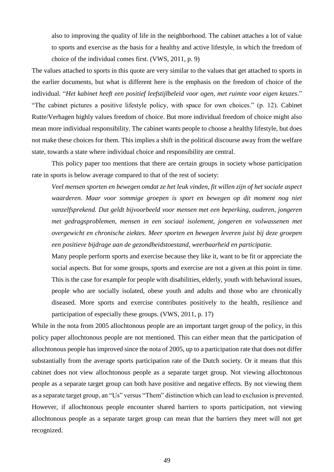also to improving the quality of life in the neighborhood. The cabinet attaches a lot of value to sports and exercise as the basis for a healthy and active lifestyle, in which the freedom of choice of the individual comes first. (VWS, 2011, p. 9)

The values attached to sports in this quote are very similar to the values that get attached to sports in the earlier documents, but what is different here is the emphasis on the freedom of choice of the individual. "*Het kabinet heeft een positief leefstijlbeleid voor ogen, met ruimte voor eigen keuzes*." "The cabinet pictures a positive lifestyle policy, with space for own choices." (p. 12). Cabinet Rutte/Verhagen highly values freedom of choice. But more individual freedom of choice might also mean more individual responsibility. The cabinet wants people to choose a healthy lifestyle, but does not make these choices for them. This implies a shift in the political discourse away from the welfare state, towards a state where individual choice and responsibility are central.

This policy paper too mentions that there are certain groups in society whose participation rate in sports is below average compared to that of the rest of society:

*Veel mensen sporten en bewegen omdat ze het leuk vinden, fit willen zijn of het sociale aspect waarderen. Maar voor sommige groepen is sport en bewegen op dit moment nog niet vanzelfsprekend. Dat geldt bijvoorbeeld voor mensen met een beperking, ouderen, jongeren met gedragsproblemen, mensen in een sociaal isolement, jongeren en volwassenen met overgewicht en chronische ziektes. Meer sporten en bewegen leveren juist bij deze groepen een positieve bijdrage aan de gezondheidstoestand, weerbaarheid en participatie.* 

Many people perform sports and exercise because they like it, want to be fit or appreciate the social aspects. But for some groups, sports and exercise are not a given at this point in time. This is the case for example for people with disabilities, elderly, youth with behavioral issues, people who are socially isolated, obese youth and adults and those who are chronically diseased. More sports and exercise contributes positively to the health, resilience and participation of especially these groups. (VWS, 2011, p. 17)

While in the nota from 2005 allochtonous people are an important target group of the policy, in this policy paper allochtonous people are not mentioned. This can either mean that the participation of allochtonous people has improved since the nota of 2005, up to a participation rate that does not differ substantially from the average sports participation rate of the Dutch society. Or it means that this cabinet does not view allochtonous people as a separate target group. Not viewing allochtonous people as a separate target group can both have positive and negative effects. By not viewing them as a separate target group, an "Us" versus "Them" distinction which can lead to exclusion is prevented. However, if allochtonous people encounter shared barriers to sports participation, not viewing allochtonous people as a separate target group can mean that the barriers they meet will not get recognized.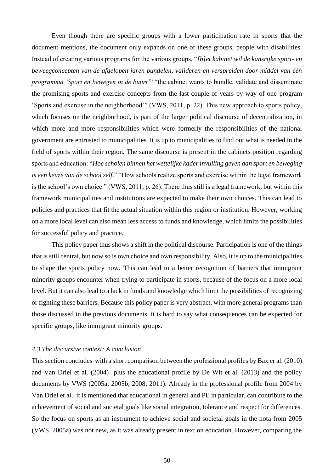Even though there are specific groups with a lower participation rate in sports that the document mentions, the document only expands on one of these groups, people with disabilities. Instead of creating various programs for the various groups, "*[h]et kabinet wil de kansrijke sport- en beweegconcepten van de afgelopen jaren bundelen, valideren en verspreiden door middel van één programma 'Sport en bewegen in de buurt'*" "the cabinet wants to bundle, validate and disseminate the promising sports and exercise concepts from the last couple of years by way of one program 'Sports and exercise in the neighborhood'" (VWS, 2011, p. 22). This new approach to sports policy, which focuses on the neighborhood, is part of the larger political discourse of decentralization, in which more and more responsibilities which were formerly the responsibilities of the national government are entrusted to municipalities. It is up to municipalities to find out what is needed in the field of sports within their region. The same discourse is present in the cabinets position regarding sports and education: "*Hoe scholen binnen het wettelijke kader invulling geven aan sport en beweging is een keuze van de school zelf*." "How schools realize sports and exercise within the legal framework is the school's own choice." (VWS, 2011, p. 26). There thus still is a legal framework, but within this framework municipalities and institutions are expected to make their own choices. This can lead to policies and practices that fit the actual situation within this region or institution. However, working on a more local level can also mean less access to funds and knowledge, which limits the possibilities for successful policy and practice.

This policy paper thus shows a shift in the political discourse. Participation is one of the things that is still central, but now so is own choice and own responsibility. Also, it is up to the municipalities to shape the sports policy now. This can lead to a better recognition of barriers that immigrant minority groups encounter when trying to participate in sports, because of the focus on a more local level. But it can also lead to a lack in funds and knowledge which limit the possibilities of recognizing or fighting these barriers. Because this policy paper is very abstract, with more general programs than those discussed in the previous documents, it is hard to say what consequences can be expected for specific groups, like immigrant minority groups.

#### *4.3 The discursive context: A conclusion*

This section concludes with a short comparison between the professional profiles by Bax er al. (2010) and Van Driel et al. (2004) plus the educational profile by De Wit et al. (2013) and the policy documents by VWS (2005a; 2005b; 2008; 2011). Already in the professional profile from 2004 by Van Driel et al., it is mentioned that educational in general and PE in particular, can contribute to the achievement of social and societal goals like social integration, tolerance and respect for differences. So the focus on sports as an instrument to achieve social and societal goals in the nota from 2005 (VWS, 2005a) was not new, as it was already present in text on education. However, comparing the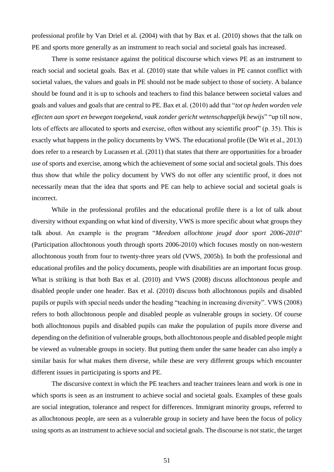professional profile by Van Driel et al. (2004) with that by Bax et al. (2010) shows that the talk on PE and sports more generally as an instrument to reach social and societal goals has increased.

There is some resistance against the political discourse which views PE as an instrument to reach social and societal goals. Bax et al. (2010) state that while values in PE cannot conflict with societal values, the values and goals in PE should not be made subject to those of society. A balance should be found and it is up to schools and teachers to find this balance between societal values and goals and values and goals that are central to PE. Bax et al. (2010) add that "*tot op heden worden vele effecten aan sport en bewegen toegekend, vaak zonder gericht wetenschappelijk bewijs*" "up till now, lots of effects are allocated to sports and exercise, often without any scientific proof" (p. 35). This is exactly what happens in the policy documents by VWS. The educational profile (De Wit et al., 2013) does refer to a research by Lucassen et al. (2011) that states that there are opportunities for a broader use of sports and exercise, among which the achievement of some social and societal goals. This does thus show that while the policy document by VWS do not offer any scientific proof, it does not necessarily mean that the idea that sports and PE can help to achieve social and societal goals is incorrect.

While in the professional profiles and the educational profile there is a lot of talk about diversity without expanding on what kind of diversity, VWS is more specific about what groups they talk about. An example is the program "*Meedoen allochtone jeugd door sport 2006-2010*" (Participation allochtonous youth through sports 2006-2010) which focuses mostly on non-western allochtonous youth from four to twenty-three years old (VWS, 2005b). In both the professional and educational profiles and the policy documents, people with disabilities are an important focus group. What is striking is that both Bax et al. (2010) and VWS (2008) discuss allochtonous people and disabled people under one header. Bax et al. (2010) discuss both allochtonous pupils and disabled pupils or pupils with special needs under the heading "teaching in increasing diversity". VWS (2008) refers to both allochtonous people and disabled people as vulnerable groups in society. Of course both allochtonous pupils and disabled pupils can make the population of pupils more diverse and depending on the definition of vulnerable groups, both allochtonous people and disabled people might be viewed as vulnerable groups in society. But putting them under the same header can also imply a similar basis for what makes them diverse, while these are very different groups which encounter different issues in participating is sports and PE.

The discursive context in which the PE teachers and teacher trainees learn and work is one in which sports is seen as an instrument to achieve social and societal goals. Examples of these goals are social integration, tolerance and respect for differences. Immigrant minority groups, referred to as allochtonous people, are seen as a vulnerable group in society and have been the focus of policy using sports as an instrument to achieve social and societal goals. The discourse is not static, the target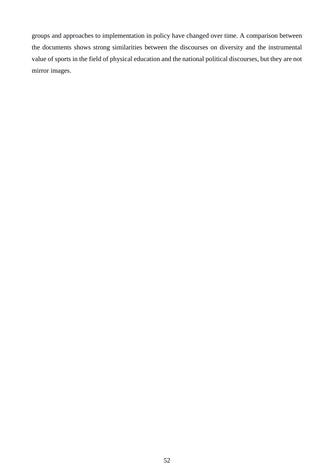groups and approaches to implementation in policy have changed over time. A comparison between the documents shows strong similarities between the discourses on diversity and the instrumental value of sports in the field of physical education and the national political discourses, but they are not mirror images.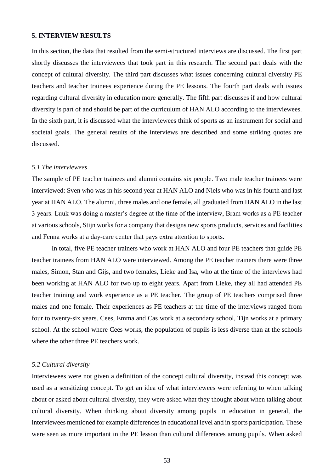#### **5. INTERVIEW RESULTS**

In this section, the data that resulted from the semi-structured interviews are discussed. The first part shortly discusses the interviewees that took part in this research. The second part deals with the concept of cultural diversity. The third part discusses what issues concerning cultural diversity PE teachers and teacher trainees experience during the PE lessons. The fourth part deals with issues regarding cultural diversity in education more generally. The fifth part discusses if and how cultural diversity is part of and should be part of the curriculum of HAN ALO according to the interviewees. In the sixth part, it is discussed what the interviewees think of sports as an instrument for social and societal goals. The general results of the interviews are described and some striking quotes are discussed.

#### *5.1 The interviewees*

The sample of PE teacher trainees and alumni contains six people. Two male teacher trainees were interviewed: Sven who was in his second year at HAN ALO and Niels who was in his fourth and last year at HAN ALO. The alumni, three males and one female, all graduated from HAN ALO in the last 3 years. Luuk was doing a master's degree at the time of the interview, Bram works as a PE teacher at various schools, Stijn works for a company that designs new sports products, services and facilities and Fenna works at a day-care center that pays extra attention to sports.

In total, five PE teacher trainers who work at HAN ALO and four PE teachers that guide PE teacher trainees from HAN ALO were interviewed. Among the PE teacher trainers there were three males, Simon, Stan and Gijs, and two females, Lieke and Isa, who at the time of the interviews had been working at HAN ALO for two up to eight years. Apart from Lieke, they all had attended PE teacher training and work experience as a PE teacher. The group of PE teachers comprised three males and one female. Their experiences as PE teachers at the time of the interviews ranged from four to twenty-six years. Cees, Emma and Cas work at a secondary school, Tijn works at a primary school. At the school where Cees works, the population of pupils is less diverse than at the schools where the other three PE teachers work.

#### *5.2 Cultural diversity*

Interviewees were not given a definition of the concept cultural diversity, instead this concept was used as a sensitizing concept. To get an idea of what interviewees were referring to when talking about or asked about cultural diversity, they were asked what they thought about when talking about cultural diversity. When thinking about diversity among pupils in education in general, the interviewees mentioned for example differences in educational level and in sports participation. These were seen as more important in the PE lesson than cultural differences among pupils. When asked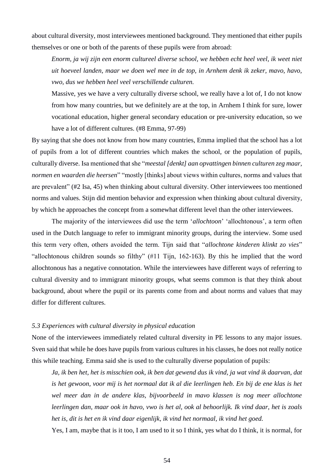about cultural diversity, most interviewees mentioned background. They mentioned that either pupils themselves or one or both of the parents of these pupils were from abroad:

*Enorm, ja wij zijn een enorm cultureel diverse school, we hebben echt heel veel, ik weet niet uit hoeveel landen, maar we doen wel mee in de top, in Arnhem denk ik zeker, mavo, havo, vwo, dus we hebben heel veel verschillende culturen.* 

Massive, yes we have a very culturally diverse school, we really have a lot of, I do not know from how many countries, but we definitely are at the top, in Arnhem I think for sure, lower vocational education, higher general secondary education or pre-university education, so we have a lot of different cultures. (#8 Emma, 97-99)

By saying that she does not know from how many countries, Emma implied that the school has a lot of pupils from a lot of different countries which makes the school, or the population of pupils, culturally diverse. Isa mentioned that she "*meestal [denkt] aan opvattingen binnen culturen zeg maar, normen en waarden die heersen*" "mostly [thinks] about views within cultures, norms and values that are prevalent" (#2 Isa, 45) when thinking about cultural diversity. Other interviewees too mentioned norms and values. Stijn did mention behavior and expression when thinking about cultural diversity, by which he approaches the concept from a somewhat different level than the other interviewees.

The majority of the interviewees did use the term '*allochtoon*' 'allochtonous', a term often used in the Dutch language to refer to immigrant minority groups, during the interview. Some used this term very often, others avoided the term. Tijn said that "*allochtone kinderen klinkt zo vies*" "allochtonous children sounds so filthy" (#11 Tijn, 162-163). By this he implied that the word allochtonous has a negative connotation. While the interviewees have different ways of referring to cultural diversity and to immigrant minority groups, what seems common is that they think about background, about where the pupil or its parents come from and about norms and values that may differ for different cultures.

#### *5.3 Experiences with cultural diversity in physical education*

None of the interviewees immediately related cultural diversity in PE lessons to any major issues. Sven said that while he does have pupils from various cultures in his classes, he does not really notice this while teaching. Emma said she is used to the culturally diverse population of pupils:

*Ja, ik ben het, het is misschien ook, ik ben dat gewend dus ik vind, ja wat vind ik daarvan, dat is het gewoon, voor mij is het normaal dat ik al die leerlingen heb. En bij de ene klas is het wel meer dan in de andere klas, bijvoorbeeld in mavo klassen is nog meer allochtone leerlingen dan, maar ook in havo, vwo is het al, ook al behoorlijk. Ik vind daar, het is zoals het is, dit is het en ik vind daar eigenlijk, ik vind het normaal, ik vind het goed.*

Yes, I am, maybe that is it too, I am used to it so I think, yes what do I think, it is normal, for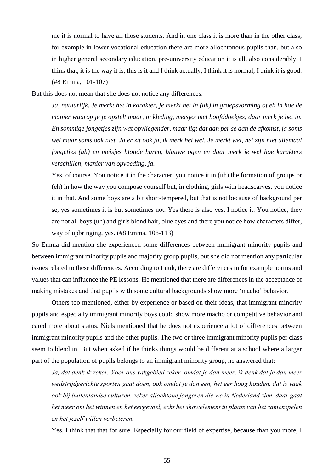me it is normal to have all those students. And in one class it is more than in the other class, for example in lower vocational education there are more allochtonous pupils than, but also in higher general secondary education, pre-university education it is all, also considerably. I think that, it is the way it is, this is it and I think actually, I think it is normal, I think it is good. (#8 Emma, 101-107)

But this does not mean that she does not notice any differences:

*Ja, natuurlijk. Je merkt het in karakter, je merkt het in (uh) in groepsvorming of eh in hoe de manier waarop je je opstelt maar, in kleding, meisjes met hoofddoekjes, daar merk je het in. En sommige jongetjes zijn wat opvliegender, maar ligt dat aan per se aan de afkomst, ja soms wel maar soms ook niet. Ja er zit ook ja, ik merk het wel. Je merkt wel, het zijn niet allemaal jongetjes (uh) en meisjes blonde haren, blauwe ogen en daar merk je wel hoe karakters verschillen, manier van opvoeding, ja.*

Yes, of course. You notice it in the character, you notice it in (uh) the formation of groups or (eh) in how the way you compose yourself but, in clothing, girls with headscarves, you notice it in that. And some boys are a bit short-tempered, but that is not because of background per se, yes sometimes it is but sometimes not. Yes there is also yes, I notice it. You notice, they are not all boys (uh) and girls blond hair, blue eyes and there you notice how characters differ, way of upbringing, yes. (#8 Emma, 108-113)

So Emma did mention she experienced some differences between immigrant minority pupils and between immigrant minority pupils and majority group pupils, but she did not mention any particular issues related to these differences. According to Luuk, there are differences in for example norms and values that can influence the PE lessons. He mentioned that there are differences in the acceptance of making mistakes and that pupils with some cultural backgrounds show more 'macho' behavior.

Others too mentioned, either by experience or based on their ideas, that immigrant minority pupils and especially immigrant minority boys could show more macho or competitive behavior and cared more about status. Niels mentioned that he does not experience a lot of differences between immigrant minority pupils and the other pupils. The two or three immigrant minority pupils per class seem to blend in. But when asked if he thinks things would be different at a school where a larger part of the population of pupils belongs to an immigrant minority group, he answered that:

*Ja, dat denk ik zeker. Voor ons vakgebied zeker, omdat je dan meer, ik denk dat je dan meer wedstrijdgerichte sporten gaat doen, ook omdat je dan een, het eer hoog houden, dat is vaak ook bij buitenlandse culturen, zeker allochtone jongeren die we in Nederland zien, daar gaat het meer om het winnen en het eergevoel, echt het showelement in plaats van het samenspelen en het jezelf willen verbeteren.* 

Yes, I think that that for sure. Especially for our field of expertise, because than you more, I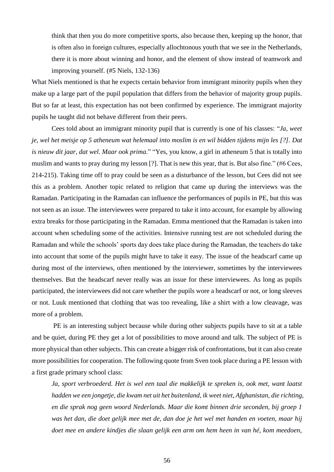think that then you do more competitive sports, also because then, keeping up the honor, that is often also in foreign cultures, especially allochtonous youth that we see in the Netherlands, there it is more about winning and honor, and the element of show instead of teamwork and improving yourself. (#5 Niels, 132-136)

What Niels mentioned is that he expects certain behavior from immigrant minority pupils when they make up a large part of the pupil population that differs from the behavior of majority group pupils. But so far at least, this expectation has not been confirmed by experience. The immigrant majority pupils he taught did not behave different from their peers.

Cees told about an immigrant minority pupil that is currently is one of his classes: "*Ja, weet je, wel het meisje op 5 atheneum wat helemaal into moslim is en wil bidden tijdens mijn les [?]. Dat is nieuw dit jaar, dat wel. Maar ook prima.*" "Yes, you know, a girl in atheneum 5 that is totally into muslim and wants to pray during my lesson [?]. That is new this year, that is. But also fine." (#6 Cees, 214-215). Taking time off to pray could be seen as a disturbance of the lesson, but Cees did not see this as a problem. Another topic related to religion that came up during the interviews was the Ramadan. Participating in the Ramadan can influence the performances of pupils in PE, but this was not seen as an issue. The interviewees were prepared to take it into account, for example by allowing extra breaks for those participating in the Ramadan. Emma mentioned that the Ramadan is taken into account when scheduling some of the activities. Intensive running test are not scheduled during the Ramadan and while the schools' sports day does take place during the Ramadan, the teachers do take into account that some of the pupils might have to take it easy. The issue of the headscarf came up during most of the interviews, often mentioned by the interviewer, sometimes by the interviewees themselves. But the headscarf never really was an issue for these interviewees. As long as pupils participated, the interviewees did not care whether the pupils wore a headscarf or not, or long sleeves or not. Luuk mentioned that clothing that was too revealing, like a shirt with a low cleavage, was more of a problem.

PE is an interesting subject because while during other subjects pupils have to sit at a table and be quiet, during PE they get a lot of possibilities to move around and talk. The subject of PE is more physical than other subjects. This can create a bigger risk of confrontations, but it can also create more possibilities for cooperation. The following quote from Sven took place during a PE lesson with a first grade primary school class:

*Ja, sport verbroederd. Het is wel een taal die makkelijk te spreken is, ook met, want laatst hadden we een jongetje, die kwam net uit het buitenland, ik weet niet, Afghanistan, die richting, en die sprak nog geen woord Nederlands. Maar die komt binnen drie seconden, bij groep 1 was het dan, die doet gelijk mee met de, dan doe je het wel met handen en voeten, maar hij doet mee en andere kindjes die slaan gelijk een arm om hem heen in van hé, kom meedoen,*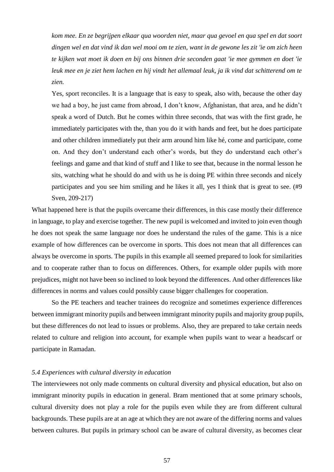*kom mee. En ze begrijpen elkaar qua woorden niet, maar qua gevoel en qua spel en dat soort dingen wel en dat vind ik dan wel mooi om te zien, want in de gewone les zit 'ie om zich heen te kijken wat moet ik doen en bij ons binnen drie seconden gaat 'ie mee gymmen en doet 'ie leuk mee en je ziet hem lachen en hij vindt het allemaal leuk, ja ik vind dat schitterend om te zien.*

Yes, sport reconciles. It is a language that is easy to speak, also with, because the other day we had a boy, he just came from abroad, I don't know, Afghanistan, that area, and he didn't speak a word of Dutch. But he comes within three seconds, that was with the first grade, he immediately participates with the, than you do it with hands and feet, but he does participate and other children immediately put their arm around him like hé, come and participate, come on. And they don't understand each other's words, but they do understand each other's feelings and game and that kind of stuff and I like to see that, because in the normal lesson he sits, watching what he should do and with us he is doing PE within three seconds and nicely participates and you see him smiling and he likes it all, yes I think that is great to see. (#9 Sven, 209-217)

What happened here is that the pupils overcame their differences, in this case mostly their difference in language, to play and exercise together. The new pupil is welcomed and invited to join even though he does not speak the same language nor does he understand the rules of the game. This is a nice example of how differences can be overcome in sports. This does not mean that all differences can always be overcome in sports. The pupils in this example all seemed prepared to look for similarities and to cooperate rather than to focus on differences. Others, for example older pupils with more prejudices, might not have been so inclined to look beyond the differences. And other differences like differences in norms and values could possibly cause bigger challenges for cooperation.

So the PE teachers and teacher trainees do recognize and sometimes experience differences between immigrant minority pupils and between immigrant minority pupils and majority group pupils, but these differences do not lead to issues or problems. Also, they are prepared to take certain needs related to culture and religion into account, for example when pupils want to wear a headscarf or participate in Ramadan.

#### *5.4 Experiences with cultural diversity in education*

The interviewees not only made comments on cultural diversity and physical education, but also on immigrant minority pupils in education in general. Bram mentioned that at some primary schools, cultural diversity does not play a role for the pupils even while they are from different cultural backgrounds. These pupils are at an age at which they are not aware of the differing norms and values between cultures. But pupils in primary school can be aware of cultural diversity, as becomes clear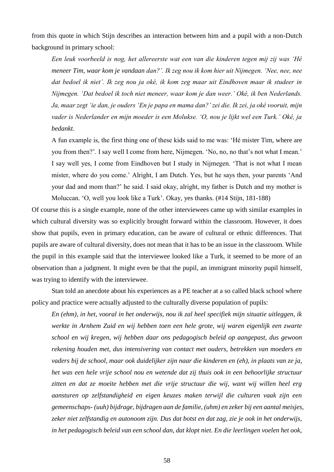from this quote in which Stijn describes an interaction between him and a pupil with a non-Dutch background in primary school:

*Een leuk voorbeeld is nog, het allereerste wat een van die kinderen tegen mij zij was 'Hé meneer Tim, waar kom je vandaan dan?'. Ik zeg nou ik kom hier uit Nijmegen. 'Nee, nee, nee dat bedoel ik niet'. Ik zeg nou ja oké, ik kom zeg maar uit Eindhoven maar ik studeer in Nijmegen. 'Dat bedoel ik toch niet meneer, waar kom je dan weer.' Oké, ik ben Nederlands. Ja, maar zegt 'ie dan, je ouders 'En je papa en mama dan?' zei die. Ik zei, ja oké vooruit, mijn vader is Nederlander en mijn moeder is een Molukse. 'O, nou je lijkt wel een Turk.' Oké, ja bedankt.*

A fun example is, the first thing one of these kids said to me was: 'Hé mister Tim, where are you from then?'. I say well I come from here, Nijmegen. 'No, no, no that's not what I mean.' I say well yes, I come from Eindhoven but I study in Nijmegen. 'That is not what I mean mister, where do you come.' Alright, I am Dutch. Yes, but he says then, your parents 'And your dad and mom than?' he said. I said okay, alright, my father is Dutch and my mother is Moluccan. 'O, well you look like a Turk'. Okay, yes thanks. (#14 Stijn, 181-188)

Of course this is a single example, none of the other interviewees came up with similar examples in which cultural diversity was so explicitly brought forward within the classroom. However, it does show that pupils, even in primary education, can be aware of cultural or ethnic differences. That pupils are aware of cultural diversity, does not mean that it has to be an issue in the classroom. While the pupil in this example said that the interviewee looked like a Turk, it seemed to be more of an observation than a judgment. It might even be that the pupil, an immigrant minority pupil himself, was trying to identify with the interviewee.

Stan told an anecdote about his experiences as a PE teacher at a so called black school where policy and practice were actually adjusted to the culturally diverse population of pupils:

*En (ehm), in het, vooral in het onderwijs, nou ik zal heel specifiek mijn situatie uitleggen, ik werkte in Arnhem Zuid en wij hebben toen een hele grote, wij waren eigenlijk een zwarte school en wij kregen, wij hebben daar ons pedagogisch beleid op aangepast, dus gewoon rekening houden met, dus intensivering van contact met ouders, betrekken van moeders en vaders bij de school, maar ook duidelijker zijn naar die kinderen en (eh), in plaats van ze ja, het was een hele vrije school nou en wetende dat zij thuis ook in een behoorlijke structuur zitten en dat ze moeite hebben met die vrije structuur die wij, want wij willen heel erg aansturen op zelfstandigheid en eigen keuzes maken terwijl die culturen vaak zijn een gemeenschaps- (uuh) bijdrage, bijdragen aan de familie, (uhm) en zeker bij een aantal meisjes, zeker niet zelfstandig en autonoom zijn. Dus dat botst en dat zag, zie je ook in het onderwijs, in het pedagogisch beleid van een school dan, dat klopt niet. En die leerlingen voelen het ook,*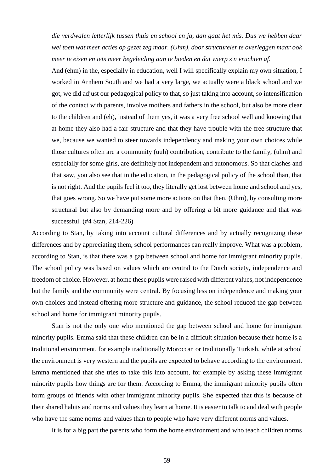*die verdwalen letterlijk tussen thuis en school en ja, dan gaat het mis. Dus we hebben daar wel toen wat meer acties op gezet zeg maar. (Uhm), door structureler te overleggen maar ook meer te eisen en iets meer begeleiding aan te bieden en dat wierp z'n vruchten af.*

And (ehm) in the, especially in education, well I will specifically explain my own situation, I worked in Arnhem South and we had a very large, we actually were a black school and we got, we did adjust our pedagogical policy to that, so just taking into account, so intensification of the contact with parents, involve mothers and fathers in the school, but also be more clear to the children and (eh), instead of them yes, it was a very free school well and knowing that at home they also had a fair structure and that they have trouble with the free structure that we, because we wanted to steer towards independency and making your own choices while those cultures often are a community (uuh) contribution, contribute to the family, (uhm) and especially for some girls, are definitely not independent and autonomous. So that clashes and that saw, you also see that in the education, in the pedagogical policy of the school than, that is not right. And the pupils feel it too, they literally get lost between home and school and yes, that goes wrong. So we have put some more actions on that then. (Uhm), by consulting more structural but also by demanding more and by offering a bit more guidance and that was successful. (#4 Stan, 214-226)

According to Stan, by taking into account cultural differences and by actually recognizing these differences and by appreciating them, school performances can really improve. What was a problem, according to Stan, is that there was a gap between school and home for immigrant minority pupils. The school policy was based on values which are central to the Dutch society, independence and freedom of choice. However, at home these pupils were raised with different values, not independence but the family and the community were central. By focusing less on independence and making your own choices and instead offering more structure and guidance, the school reduced the gap between school and home for immigrant minority pupils.

Stan is not the only one who mentioned the gap between school and home for immigrant minority pupils. Emma said that these children can be in a difficult situation because their home is a traditional environment, for example traditionally Moroccan or traditionally Turkish, while at school the environment is very western and the pupils are expected to behave according to the environment. Emma mentioned that she tries to take this into account, for example by asking these immigrant minority pupils how things are for them. According to Emma, the immigrant minority pupils often form groups of friends with other immigrant minority pupils. She expected that this is because of their shared habits and norms and values they learn at home. It is easier to talk to and deal with people who have the same norms and values than to people who have very different norms and values.

It is for a big part the parents who form the home environment and who teach children norms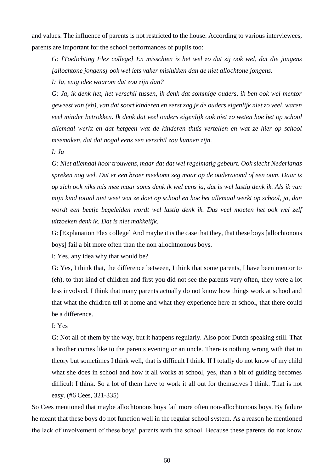and values. The influence of parents is not restricted to the house. According to various interviewees, parents are important for the school performances of pupils too:

*G: [Toelichting Flex college] En misschien is het wel zo dat zij ook wel, dat die jongens [allochtone jongens] ook wel iets vaker mislukken dan de niet allochtone jongens.*

*I: Ja, enig idee waarom dat zou zijn dan?*

*G: Ja, ik denk het, het verschil tussen, ik denk dat sommige ouders, ik ben ook wel mentor geweest van (eh), van dat soort kinderen en eerst zag je de ouders eigenlijk niet zo veel, waren veel minder betrokken. Ik denk dat veel ouders eigenlijk ook niet zo weten hoe het op school allemaal werkt en dat hetgeen wat de kinderen thuis vertellen en wat ze hier op school meemaken, dat dat nogal eens een verschil zou kunnen zijn.* 

*I: Ja*

*G: Niet allemaal hoor trouwens, maar dat dat wel regelmatig gebeurt. Ook slecht Nederlands spreken nog wel. Dat er een broer meekomt zeg maar op de ouderavond of een oom. Daar is op zich ook niks mis mee maar soms denk ik wel eens ja, dat is wel lastig denk ik. Als ik van mijn kind totaal niet weet wat ze doet op school en hoe het allemaal werkt op school, ja, dan wordt een beetje begeleiden wordt wel lastig denk ik. Dus veel moeten het ook wel zelf uitzoeken denk ik. Dat is niet makkelijk.* 

G: [Explanation Flex college] And maybe it is the case that they, that these boys [allochtonous boys] fail a bit more often than the non allochtnonous boys.

I: Yes, any idea why that would be?

G: Yes, I think that, the difference between, I think that some parents, I have been mentor to (eh), to that kind of children and first you did not see the parents very often, they were a lot less involved. I think that many parents actually do not know how things work at school and that what the children tell at home and what they experience here at school, that there could be a difference.

I: Yes

G: Not all of them by the way, but it happens regularly. Also poor Dutch speaking still. That a brother comes like to the parents evening or an uncle. There is nothing wrong with that in theory but sometimes I think well, that is difficult I think. If I totally do not know of my child what she does in school and how it all works at school, yes, than a bit of guiding becomes difficult I think. So a lot of them have to work it all out for themselves I think. That is not easy. (#6 Cees, 321-335)

So Cees mentioned that maybe allochtonous boys fail more often non-allochtonous boys. By failure he meant that these boys do not function well in the regular school system. As a reason he mentioned the lack of involvement of these boys' parents with the school. Because these parents do not know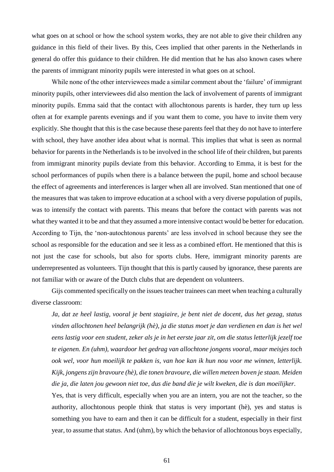what goes on at school or how the school system works, they are not able to give their children any guidance in this field of their lives. By this, Cees implied that other parents in the Netherlands in general do offer this guidance to their children. He did mention that he has also known cases where the parents of immigrant minority pupils were interested in what goes on at school.

While none of the other interviewees made a similar comment about the 'failure' of immigrant minority pupils, other interviewees did also mention the lack of involvement of parents of immigrant minority pupils. Emma said that the contact with allochtonous parents is harder, they turn up less often at for example parents evenings and if you want them to come, you have to invite them very explicitly. She thought that this is the case because these parents feel that they do not have to interfere with school, they have another idea about what is normal. This implies that what is seen as normal behavior for parents in the Netherlands is to be involved in the school life of their children, but parents from immigrant minority pupils deviate from this behavior. According to Emma, it is best for the school performances of pupils when there is a balance between the pupil, home and school because the effect of agreements and interferences is larger when all are involved. Stan mentioned that one of the measures that was taken to improve education at a school with a very diverse population of pupils, was to intensify the contact with parents. This means that before the contact with parents was not what they wanted it to be and that they assumed a more intensive contact would be better for education. According to Tijn, the 'non-autochtonous parents' are less involved in school because they see the school as responsible for the education and see it less as a combined effort. He mentioned that this is not just the case for schools, but also for sports clubs. Here, immigrant minority parents are underrepresented as volunteers. Tijn thought that this is partly caused by ignorance, these parents are not familiar with or aware of the Dutch clubs that are dependent on volunteers.

Gijs commented specifically on the issues teacher trainees can meet when teaching a culturally diverse classroom:

*Ja, dat ze heel lastig, vooral je bent stagiaire, je bent niet de docent, dus het gezag, status vinden allochtonen heel belangrijk (hè), ja die status moet je dan verdienen en dan is het wel eens lastig voor een student, zeker als je in het eerste jaar zit, om die status letterlijk jezelf toe te eigenen. En (uhm), waardoor het gedrag van allochtone jongens vooral, maar meisjes toch ook wel, voor hun moeilijk te pakken is, van hoe kan ik hun nou voor me winnen, letterlijk. Kijk, jongens zijn bravoure (hè), die tonen bravoure, die willen meteen boven je staan. Meiden die ja, die laten jou gewoon niet toe, dus die band die je wilt kweken, die is dan moeilijker.*

Yes, that is very difficult, especially when you are an intern, you are not the teacher, so the authority, allochtonous people think that status is very important (hè), yes and status is something you have to earn and then it can be difficult for a student, especially in their first year, to assume that status. And (uhm), by which the behavior of allochtonous boys especially,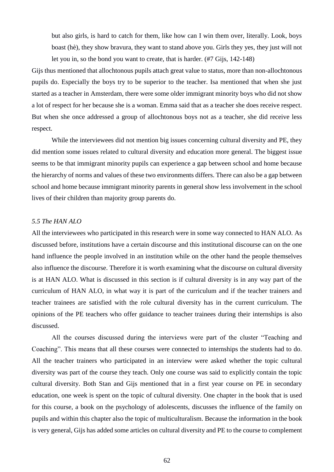but also girls, is hard to catch for them, like how can I win them over, literally. Look, boys boast (hè), they show bravura, they want to stand above you. Girls they yes, they just will not let you in, so the bond you want to create, that is harder. (#7 Gijs, 142-148)

Gijs thus mentioned that allochtonous pupils attach great value to status, more than non-allochtonous pupils do. Especially the boys try to be superior to the teacher. Isa mentioned that when she just started as a teacher in Amsterdam, there were some older immigrant minority boys who did not show a lot of respect for her because she is a woman. Emma said that as a teacher she does receive respect. But when she once addressed a group of allochtonous boys not as a teacher, she did receive less respect.

While the interviewees did not mention big issues concerning cultural diversity and PE, they did mention some issues related to cultural diversity and education more general. The biggest issue seems to be that immigrant minority pupils can experience a gap between school and home because the hierarchy of norms and values of these two environments differs. There can also be a gap between school and home because immigrant minority parents in general show less involvement in the school lives of their children than majority group parents do.

#### *5.5 The HAN ALO*

All the interviewees who participated in this research were in some way connected to HAN ALO. As discussed before, institutions have a certain discourse and this institutional discourse can on the one hand influence the people involved in an institution while on the other hand the people themselves also influence the discourse. Therefore it is worth examining what the discourse on cultural diversity is at HAN ALO. What is discussed in this section is if cultural diversity is in any way part of the curriculum of HAN ALO, in what way it is part of the curriculum and if the teacher trainers and teacher trainees are satisfied with the role cultural diversity has in the current curriculum. The opinions of the PE teachers who offer guidance to teacher trainees during their internships is also discussed.

All the courses discussed during the interviews were part of the cluster "Teaching and Coaching". This means that all these courses were connected to internships the students had to do. All the teacher trainers who participated in an interview were asked whether the topic cultural diversity was part of the course they teach. Only one course was said to explicitly contain the topic cultural diversity. Both Stan and Gijs mentioned that in a first year course on PE in secondary education, one week is spent on the topic of cultural diversity. One chapter in the book that is used for this course, a book on the psychology of adolescents, discusses the influence of the family on pupils and within this chapter also the topic of multiculturalism. Because the information in the book is very general, Gijs has added some articles on cultural diversity and PE to the course to complement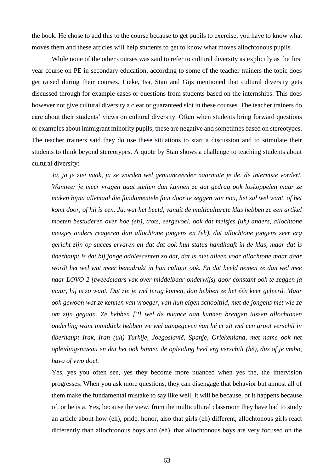the book. He chose to add this to the course because to get pupils to exercise, you have to know what moves them and these articles will help students to get to know what moves allochtonous pupils.

While none of the other courses was said to refer to cultural diversity as explicitly as the first year course on PE in secondary education, according to some of the teacher trainers the topic does get raised during their courses. Lieke, Isa, Stan and Gijs mentioned that cultural diversity gets discussed through for example cases or questions from students based on the internships. This does however not give cultural diversity a clear or guaranteed slot in these courses. The teacher trainers do care about their students' views on cultural diversity. Often when students bring forward questions or examples about immigrant minority pupils, these are negative and sometimes based on stereotypes. The teacher trainers said they do use these situations to start a discussion and to stimulate their students to think beyond stereotypes. A quote by Stan shows a challenge to teaching students about cultural diversity:

*Ja, ja je ziet vaak, ja ze worden wel genuanceerder naarmate je de, de intervisie vordert. Wanneer je meer vragen gaat stellen dan kunnen ze dat gedrag ook loskoppelen maar ze maken bijna allemaal die fundamentele fout door te zeggen van nou, het zal wel want, of het komt door, of hij is een. Ja, wat het beeld, vanuit de multiculturele klas hebben ze een artikel moeten bestuderen over hoe (eh), trots, eergevoel, ook dat meisjes (uh) anders, allochtone meisjes anders reageren dan allochtone jongens en (eh), dat allochtone jongens zeer erg gericht zijn op succes ervaren en dat dat ook hun status handhaaft in de klas, maar dat is überhaupt is dat bij jonge adolescenten zo dat, dat is niet alleen voor allochtone maar daar wordt het wel wat meer benadrukt in hun cultuur ook. En dat beeld nemen ze dan wel mee naar LOVO 2 [tweedejaars vak over middelbaar onderwijs] door constant ook te zeggen ja maar, hij is zo want. Dat zie je wel terug komen, dan hebben ze het één keer geleerd. Maar ook gewoon wat ze kennen van vroeger, van hun eigen schooltijd, met de jongens met wie ze om zijn gegaan. Ze hebben [?] wel de nuance aan kunnen brengen tussen allochtonen onderling want inmiddels hebben we wel aangegeven van hé er zit wel een groot verschil in überhaupt Irak, Iran (uh) Turkije, Joegoslavië, Spanje, Griekenland, met name ook het opleidingsniveau en dat het ook binnen de opleiding heel erg verschilt (hè), dus of je vmbo, havo of vwo doet.*

Yes, yes you often see, yes they become more nuanced when yes the, the intervision progresses. When you ask more questions, they can disengage that behavior but almost all of them make the fundamental mistake to say like well, it will be because, or it happens because of, or he is a. Yes, because the view, from the multicultural classroom they have had to study an article about how (eh), pride, honor, also that girls (eh) different, allochtonous girls react differently than allochtonous boys and (eh), that allochtonous boys are very focused on the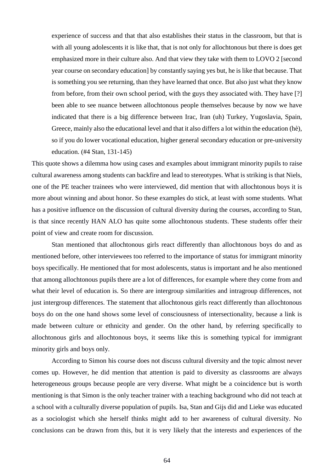experience of success and that that also establishes their status in the classroom, but that is with all young adolescents it is like that, that is not only for allochtonous but there is does get emphasized more in their culture also. And that view they take with them to LOVO 2 [second year course on secondary education] by constantly saying yes but, he is like that because. That is something you see returning, than they have learned that once. But also just what they know from before, from their own school period, with the guys they associated with. They have [?] been able to see nuance between allochtonous people themselves because by now we have indicated that there is a big difference between Irac, Iran (uh) Turkey, Yugoslavia, Spain, Greece, mainly also the educational level and that it also differs a lot within the education (hè), so if you do lower vocational education, higher general secondary education or pre-university education. (#4 Stan, 131-145)

This quote shows a dilemma how using cases and examples about immigrant minority pupils to raise cultural awareness among students can backfire and lead to stereotypes. What is striking is that Niels, one of the PE teacher trainees who were interviewed, did mention that with allochtonous boys it is more about winning and about honor. So these examples do stick, at least with some students. What has a positive influence on the discussion of cultural diversity during the courses, according to Stan, is that since recently HAN ALO has quite some allochtonous students. These students offer their point of view and create room for discussion.

Stan mentioned that allochtonous girls react differently than allochtonous boys do and as mentioned before, other interviewees too referred to the importance of status for immigrant minority boys specifically. He mentioned that for most adolescents, status is important and he also mentioned that among allochtonous pupils there are a lot of differences, for example where they come from and what their level of education is. So there are intergroup similarities and intragroup differences, not just intergroup differences. The statement that allochtonous girls react differently than allochtonous boys do on the one hand shows some level of consciousness of intersectionality, because a link is made between culture or ethnicity and gender. On the other hand, by referring specifically to allochtonous girls and allochtonous boys, it seems like this is something typical for immigrant minority girls and boys only.

According to Simon his course does not discuss cultural diversity and the topic almost never comes up. However, he did mention that attention is paid to diversity as classrooms are always heterogeneous groups because people are very diverse. What might be a coincidence but is worth mentioning is that Simon is the only teacher trainer with a teaching background who did not teach at a school with a culturally diverse population of pupils. Isa, Stan and Gijs did and Lieke was educated as a sociologist which she herself thinks might add to her awareness of cultural diversity. No conclusions can be drawn from this, but it is very likely that the interests and experiences of the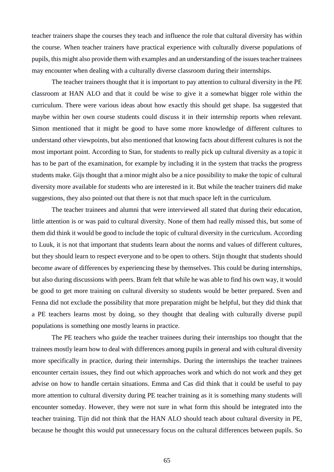teacher trainers shape the courses they teach and influence the role that cultural diversity has within the course. When teacher trainers have practical experience with culturally diverse populations of pupils, this might also provide them with examples and an understanding of the issues teacher trainees may encounter when dealing with a culturally diverse classroom during their internships.

The teacher trainers thought that it is important to pay attention to cultural diversity in the PE classroom at HAN ALO and that it could be wise to give it a somewhat bigger role within the curriculum. There were various ideas about how exactly this should get shape. Isa suggested that maybe within her own course students could discuss it in their internship reports when relevant. Simon mentioned that it might be good to have some more knowledge of different cultures to understand other viewpoints, but also mentioned that knowing facts about different cultures is not the most important point. According to Stan, for students to really pick up cultural diversity as a topic it has to be part of the examination, for example by including it in the system that tracks the progress students make. Gijs thought that a minor might also be a nice possibility to make the topic of cultural diversity more available for students who are interested in it. But while the teacher trainers did make suggestions, they also pointed out that there is not that much space left in the curriculum.

The teacher trainees and alumni that were interviewed all stated that during their education, little attention is or was paid to cultural diversity. None of them had really missed this, but some of them did think it would be good to include the topic of cultural diversity in the curriculum. According to Luuk, it is not that important that students learn about the norms and values of different cultures, but they should learn to respect everyone and to be open to others. Stijn thought that students should become aware of differences by experiencing these by themselves. This could be during internships, but also during discussions with peers. Bram felt that while he was able to find his own way, it would be good to get more training on cultural diversity so students would be better prepared. Sven and Fenna did not exclude the possibility that more preparation might be helpful, but they did think that a PE teachers learns most by doing, so they thought that dealing with culturally diverse pupil populations is something one mostly learns in practice.

The PE teachers who guide the teacher trainees during their internships too thought that the trainees mostly learn how to deal with differences among pupils in general and with cultural diversity more specifically in practice, during their internships. During the internships the teacher trainees encounter certain issues, they find out which approaches work and which do not work and they get advise on how to handle certain situations. Emma and Cas did think that it could be useful to pay more attention to cultural diversity during PE teacher training as it is something many students will encounter someday. However, they were not sure in what form this should be integrated into the teacher training. Tijn did not think that the HAN ALO should teach about cultural diversity in PE, because he thought this would put unnecessary focus on the cultural differences between pupils. So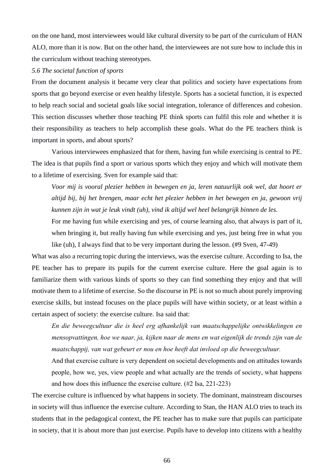on the one hand, most interviewees would like cultural diversity to be part of the curriculum of HAN ALO, more than it is now. But on the other hand, the interviewees are not sure how to include this in the curriculum without teaching stereotypes.

## *5.6 The societal function of sports*

From the document analysis it became very clear that politics and society have expectations from sports that go beyond exercise or even healthy lifestyle. Sports has a societal function, it is expected to help reach social and societal goals like social integration, tolerance of differences and cohesion. This section discusses whether those teaching PE think sports can fulfil this role and whether it is their responsibility as teachers to help accomplish these goals. What do the PE teachers think is important in sports, and about sports?

Various interviewees emphasized that for them, having fun while exercising is central to PE. The idea is that pupils find a sport or various sports which they enjoy and which will motivate them to a lifetime of exercising. Sven for example said that:

*Voor mij is vooral plezier hebben in bewegen en ja, leren natuurlijk ook wel, dat hoort er altijd bij, bij het brengen, maar echt het plezier hebben in het bewegen en ja, gewoon vrij kunnen zijn in wat je leuk vindt (uh), vind ik altijd wel heel belangrijk binnen de les.*

For me having fun while exercising and yes, of course learning also, that always is part of it, when bringing it, but really having fun while exercising and yes, just being free in what you like (uh), I always find that to be very important during the lesson. (#9 Sven, 47-49)

What was also a recurring topic during the interviews, was the exercise culture. According to Isa, the PE teacher has to prepare its pupils for the current exercise culture. Here the goal again is to familiarize them with various kinds of sports so they can find something they enjoy and that will motivate them to a lifetime of exercise. So the discourse in PE is not so much about purely improving exercise skills, but instead focuses on the place pupils will have within society, or at least within a certain aspect of society: the exercise culture. Isa said that:

*En die beweegcultuur die is heel erg afhankelijk van maatschappelijke ontwikkelingen en mensopvattingen, hoe we naar, ja, kijken naar de mens en wat eigenlijk de trends zijn van de maatschappij, van wat gebeurt er nou en hoe heeft dat invloed op die beweegcultuur.*

And that exercise culture is very dependent on societal developments and on attitudes towards people, how we, yes, view people and what actually are the trends of society, what happens and how does this influence the exercise culture. (#2 Isa, 221-223)

The exercise culture is influenced by what happens in society. The dominant, mainstream discourses in society will thus influence the exercise culture. According to Stan, the HAN ALO tries to teach its students that in the pedagogical context, the PE teacher has to make sure that pupils can participate in society, that it is about more than just exercise. Pupils have to develop into citizens with a healthy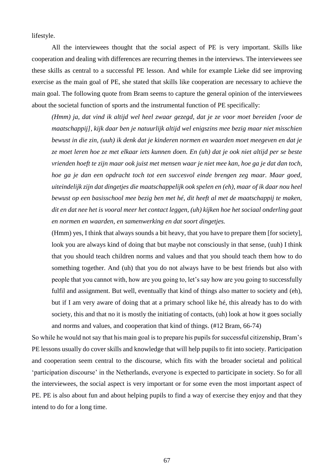lifestyle.

All the interviewees thought that the social aspect of PE is very important. Skills like cooperation and dealing with differences are recurring themes in the interviews. The interviewees see these skills as central to a successful PE lesson. And while for example Lieke did see improving exercise as the main goal of PE, she stated that skills like cooperation are necessary to achieve the main goal. The following quote from Bram seems to capture the general opinion of the interviewees about the societal function of sports and the instrumental function of PE specifically:

*(Hmm) ja, dat vind ik altijd wel heel zwaar gezegd, dat je ze voor moet bereiden [voor de maatschappij], kijk daar ben je natuurlijk altijd wel enigszins mee bezig maar niet misschien bewust in die zin, (uuh) ik denk dat je kinderen normen en waarden moet meegeven en dat je ze moet leren hoe ze met elkaar iets kunnen doen. En (uh) dat je ook niet altijd per se beste vrienden hoeft te zijn maar ook juist met mensen waar je niet mee kan, hoe ga je dat dan toch, hoe ga je dan een opdracht toch tot een succesvol einde brengen zeg maar. Maar goed, uiteindelijk zijn dat dingetjes die maatschappelijk ook spelen en (eh), maar of ik daar nou heel bewust op een basisschool mee bezig ben met hé, dit heeft al met de maatschappij te maken, dit en dat nee het is vooral meer het contact leggen, (uh) kijken hoe het sociaal onderling gaat en normen en waarden, en samenwerking en dat soort dingetjes.*

(Hmm) yes, I think that always sounds a bit heavy, that you have to prepare them [for society], look you are always kind of doing that but maybe not consciously in that sense, (uuh) I think that you should teach children norms and values and that you should teach them how to do something together. And (uh) that you do not always have to be best friends but also with people that you cannot with, how are you going to, let's say how are you going to successfully fulfil and assignment. But well, eventually that kind of things also matter to society and (eh), but if I am very aware of doing that at a primary school like hé, this already has to do with society, this and that no it is mostly the initiating of contacts, (uh) look at how it goes socially and norms and values, and cooperation that kind of things. (#12 Bram, 66-74)

So while he would not say that his main goal is to prepare his pupils for successful citizenship, Bram's PE lessons usually do cover skills and knowledge that will help pupils to fit into society. Participation and cooperation seem central to the discourse, which fits with the broader societal and political 'participation discourse' in the Netherlands, everyone is expected to participate in society. So for all the interviewees, the social aspect is very important or for some even the most important aspect of PE. PE is also about fun and about helping pupils to find a way of exercise they enjoy and that they intend to do for a long time.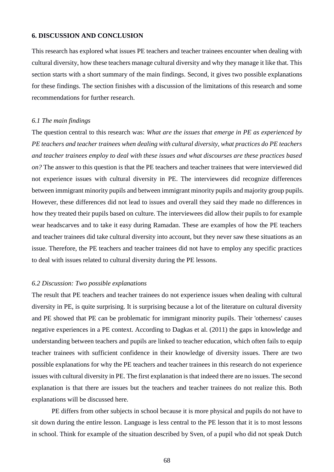#### **6. DISCUSSION AND CONCLUSION**

This research has explored what issues PE teachers and teacher trainees encounter when dealing with cultural diversity, how these teachers manage cultural diversity and why they manage it like that. This section starts with a short summary of the main findings. Second, it gives two possible explanations for these findings. The section finishes with a discussion of the limitations of this research and some recommendations for further research.

#### *6.1 The main findings*

The question central to this research was: *What are the issues that emerge in PE as experienced by PE teachers and teacher trainees when dealing with cultural diversity, what practices do PE teachers and teacher trainees employ to deal with these issues and what discourses are these practices based on?* The answer to this question is that the PE teachers and teacher trainees that were interviewed did not experience issues with cultural diversity in PE. The interviewees did recognize differences between immigrant minority pupils and between immigrant minority pupils and majority group pupils. However, these differences did not lead to issues and overall they said they made no differences in how they treated their pupils based on culture. The interviewees did allow their pupils to for example wear headscarves and to take it easy during Ramadan. These are examples of how the PE teachers and teacher trainees did take cultural diversity into account, but they never saw these situations as an issue. Therefore, the PE teachers and teacher trainees did not have to employ any specific practices to deal with issues related to cultural diversity during the PE lessons.

#### *6.2 Discussion: Two possible explanations*

The result that PE teachers and teacher trainees do not experience issues when dealing with cultural diversity in PE, is quite surprising. It is surprising because a lot of the literature on cultural diversity and PE showed that PE can be problematic for immigrant minority pupils. Their 'otherness' causes negative experiences in a PE context. According to Dagkas et al. (2011) the gaps in knowledge and understanding between teachers and pupils are linked to teacher education, which often fails to equip teacher trainees with sufficient confidence in their knowledge of diversity issues. There are two possible explanations for why the PE teachers and teacher trainees in this research do not experience issues with cultural diversity in PE. The first explanation is that indeed there are no issues. The second explanation is that there are issues but the teachers and teacher trainees do not realize this. Both explanations will be discussed here.

PE differs from other subjects in school because it is more physical and pupils do not have to sit down during the entire lesson. Language is less central to the PE lesson that it is to most lessons in school. Think for example of the situation described by Sven, of a pupil who did not speak Dutch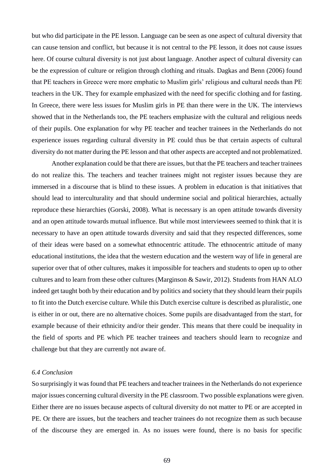but who did participate in the PE lesson. Language can be seen as one aspect of cultural diversity that can cause tension and conflict, but because it is not central to the PE lesson, it does not cause issues here. Of course cultural diversity is not just about language. Another aspect of cultural diversity can be the expression of culture or religion through clothing and rituals. Dagkas and Benn (2006) found that PE teachers in Greece were more emphatic to Muslim girls' religious and cultural needs than PE teachers in the UK. They for example emphasized with the need for specific clothing and for fasting. In Greece, there were less issues for Muslim girls in PE than there were in the UK. The interviews showed that in the Netherlands too, the PE teachers emphasize with the cultural and religious needs of their pupils. One explanation for why PE teacher and teacher trainees in the Netherlands do not experience issues regarding cultural diversity in PE could thus be that certain aspects of cultural diversity do not matter during the PE lesson and that other aspects are accepted and not problematized.

Another explanation could be that there are issues, but that the PE teachers and teacher trainees do not realize this. The teachers and teacher trainees might not register issues because they are immersed in a discourse that is blind to these issues. A problem in education is that initiatives that should lead to interculturality and that should undermine social and political hierarchies, actually reproduce these hierarchies (Gorski, 2008). What is necessary is an open attitude towards diversity and an open attitude towards mutual influence. But while most interviewees seemed to think that it is necessary to have an open attitude towards diversity and said that they respected differences, some of their ideas were based on a somewhat ethnocentric attitude. The ethnocentric attitude of many educational institutions, the idea that the western education and the western way of life in general are superior over that of other cultures, makes it impossible for teachers and students to open up to other cultures and to learn from these other cultures (Marginson & Sawir, 2012). Students from HAN ALO indeed get taught both by their education and by politics and society that they should learn their pupils to fit into the Dutch exercise culture. While this Dutch exercise culture is described as pluralistic, one is either in or out, there are no alternative choices. Some pupils are disadvantaged from the start, for example because of their ethnicity and/or their gender. This means that there could be inequality in the field of sports and PE which PE teacher trainees and teachers should learn to recognize and challenge but that they are currently not aware of.

# *6.4 Conclusion*

So surprisingly it was found that PE teachers and teacher trainees in the Netherlands do not experience major issues concerning cultural diversity in the PE classroom. Two possible explanations were given. Either there are no issues because aspects of cultural diversity do not matter to PE or are accepted in PE. Or there are issues, but the teachers and teacher trainees do not recognize them as such because of the discourse they are emerged in. As no issues were found, there is no basis for specific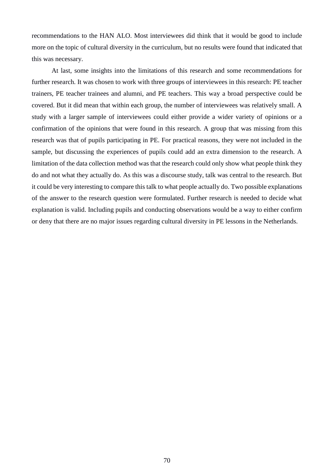recommendations to the HAN ALO. Most interviewees did think that it would be good to include more on the topic of cultural diversity in the curriculum, but no results were found that indicated that this was necessary.

At last, some insights into the limitations of this research and some recommendations for further research. It was chosen to work with three groups of interviewees in this research: PE teacher trainers, PE teacher trainees and alumni, and PE teachers. This way a broad perspective could be covered. But it did mean that within each group, the number of interviewees was relatively small. A study with a larger sample of interviewees could either provide a wider variety of opinions or a confirmation of the opinions that were found in this research. A group that was missing from this research was that of pupils participating in PE. For practical reasons, they were not included in the sample, but discussing the experiences of pupils could add an extra dimension to the research. A limitation of the data collection method was that the research could only show what people think they do and not what they actually do. As this was a discourse study, talk was central to the research. But it could be very interesting to compare this talk to what people actually do. Two possible explanations of the answer to the research question were formulated. Further research is needed to decide what explanation is valid. Including pupils and conducting observations would be a way to either confirm or deny that there are no major issues regarding cultural diversity in PE lessons in the Netherlands.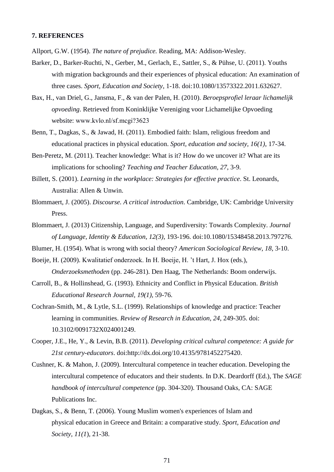### **7. REFERENCES**

Allport, G.W. (1954). *The nature of prejudice.* Reading, MA: Addison-Wesley.

- Barker, D., Barker-Ruchti, N., Gerber, M., Gerlach, E., Sattler, S., & Pühse, U. (2011). Youths with migration backgrounds and their experiences of physical education: An examination of three cases. *Sport, Education and Society*, 1-18. doi:10.1080/13573322.2011.632627.
- Bax, H., van Driel, G., Jansma, F., & van der Palen, H. (2010). *Beroepsprofiel leraar lichamelijk opvoeding*. Retrieved from Koninklijke Vereniging voor Lichamelijke Opvoeding website: www.kvlo.nl/sf.mcgi?3623
- Benn, T., Dagkas, S., & Jawad, H. (2011). Embodied faith: Islam, religious freedom and educational practices in physical education. *Sport, education and society, 16(1)*, 17-34.
- Ben-Peretz, M. (2011). Teacher knowledge: What is it? How do we uncover it? What are its implications for schooling? *Teaching and Teacher Education, 27*, 3-9.
- Billett, S. (2001). *Learning in the workplace: Strategies for effective practice*. St. Leonards, Australia: Allen & Unwin.
- Blommaert, J. (2005). *Discourse. A critical introduction*. Cambridge, UK: Cambridge University Press.
- Blommaert, J. (2013) Citizenship, Language, and Superdiversity: Towards Complexity. *Journal of Language, Identity & Education, 12(3)*, 193-196. doi:10.1080/15348458.2013.797276.
- Blumer, H. (1954). What is wrong with social theory? *American Sociological Review*, *18*, 3-10.
- Boeije, H. (2009). Kwalitatief onderzoek. In H. Boeije, H. 't Hart, J. Hox (eds.), *Onderzoeksmethoden* (pp. 246-281). Den Haag, The Netherlands: Boom onderwijs.
- Carroll, B., & Hollinshead, G. (1993). Ethnicity and Conflict in Physical Education. *British Educational Research Journal, 19(1),* 59-76.
- Cochran-Smith, M., & Lytle, S.L. (1999). Relationships of knowledge and practice: Teacher learning in communities. *Review of Research in Education, 24*, 249-305. doi: 10.3102/0091732X024001249.
- Cooper, J.E., He, Y., & Levin, B.B. (2011). *Developing critical cultural competence: A guide for 21st century-educators*. doi[:http://dx.doi.org/10.4135/9781452275420.](http://dx.doi.org/10.4135/9781452275420)
- Cushner, K. & Mahon, J. (2009). Intercultural competence in teacher education. Developing the intercultural competence of educators and their students. In D.K. Deardorff (Ed.), The *SAGE handbook of intercultural competence* (pp. 304-320). Thousand Oaks, CA: SAGE Publications Inc.
- Dagkas, S., & Benn, T. (2006). Young Muslim women's experiences of Islam and physical education in Greece and Britain: a comparative study. *Sport, Education and Society, 11(1*)*,* 21-38.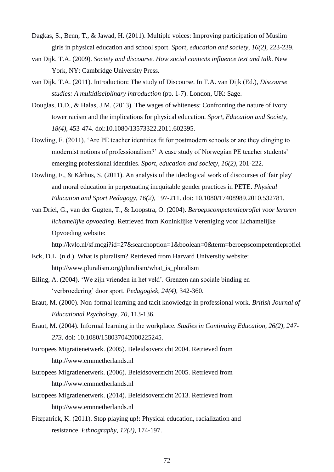- Dagkas, S., Benn, T., & Jawad, H. (2011). Multiple voices: Improving participation of Muslim girls in physical education and school sport. *Sport, education and society, 16(2)*, 223-239.
- van Dijk, T.A. (2009). *Society and discourse. How social contexts influence text and talk*. New York, NY: Cambridge University Press.
- van Dijk, T.A. (2011). Introduction: The study of Discourse. In T.A. van Dijk (Ed.), *Discourse studies: A multidisciplinary introduction* (pp. 1-7). London, UK: Sage.
- Douglas, D.D., & Halas, J.M. (2013). The wages of whiteness: Confronting the nature of ivory tower racism and the implications for physical education. *Sport, Education and Society, 18(4)*, 453-474. doi:10.1080/13573322.2011.602395.
- Dowling, F. (2011). 'Are PE teacher identities fit for postmodern schools or are they clinging to modernist notions of professionalism?' A case study of Norwegian PE teacher students' emerging professional identities. *Sport, education and society, 16(2)*, 201-222.
- Dowling, F., & Kårhus, S. (2011). An analysis of the ideological work of discourses of 'fair play' and moral education in perpetuating inequitable gender practices in PETE. *Physical Education and Sport Pedagogy, 16(2)*, 197-211. doi: 10.1080/17408989.2010.532781.
- van Driel, G., van der Gugten, T., & Loopstra, O. (2004). *Beroepscompetentieprofiel voor leraren lichamelijke opvoeding*. Retrieved from Koninklijke Vereniging voor Lichamelijke Opvoeding website:

http://kvlo.nl/sf.mcgi?id=27&searchoption=1&boolean=0&term=beroepscompetentieprofiel

- Eck, D.L. (n.d.). What is pluralism? Retrieved from Harvard University website: http://www.pluralism.org/pluralism/what\_is\_pluralism
- Elling, A. (2004). 'We zijn vrienden in het veld'. Grenzen aan sociale binding en 'verbroedering' door sport. *Pedagogiek, 24(4),* 342-360.
- Eraut, M. (2000). Non-formal learning and tacit knowledge in professional work. *British Journal of Educational Psychology, 70*, 113-136.
- Eraut, M. (2004). Informal learning in the workplace. *Studies in Continuing Education, 26(2), 247- 273*. doi: 10.1080/158037042000225245.
- Europees Migratienetwerk. (2005). Beleidsoverzicht 2004. Retrieved from http://www.emnnetherlands.nl
- Europees Migratienetwerk. (2006). Beleidsoverzicht 2005. Retrieved from http://www.emnnetherlands.nl
- Europees Migratienetwerk. (2014). Beleidsoverzicht 2013. Retrieved from http://www.emnnetherlands.nl
- Fitzpatrick, K. (2011). Stop playing up!: Physical education, racialization and resistance. *Ethnography, 12(2),* 174-197.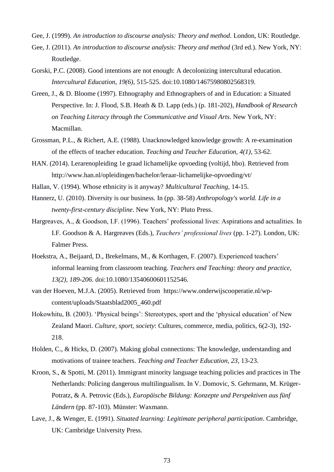Gee, J. (1999). *An introduction to discourse analysis: Theory and method*. London, UK: Routledge.

- Gee, J. (2011). *An introduction to discourse analysis: Theory and method* (3rd ed.). New York, NY: Routledge.
- Gorski, P.C. (2008). Good intentions are not enough: A decolonizing intercultural education. *Intercultural Education, 19(6)*, 515-525. doi:10.1080/14675980802568319.
- Green, J., & D. Bloome (1997). Ethnography and Ethnographers of and in Education: a Situated Perspective. In: J. Flood, S.B. Heath & D. Lapp (eds.) (p. 181-202), *Handbook of Research on Teaching Literacy through the Communicative and Visual Arts*. New York, NY: Macmillan.
- Grossman, P.L., & Richert, A.E. (1988). Unacknowledged knowledge growth: A re-examination of the effects of teacher education. *Teaching and Teacher Education, 4(1)*, 53-62.
- HAN. (2014). Lerarenopleiding 1e graad lichamelijke opvoeding (voltijd, hbo). Retrieved from http://www.han.nl/opleidingen/bachelor/leraar-lichamelijke-opvoeding/vt/
- Hallan, V. (1994). Whose ethnicity is it anyway? *Multicultural Teaching*, 14-15.
- Hannerz, U. (2010). Diversity is our business. In (pp. 38-58) *Anthropology's world. Life in a twenty-first-century discipline*. New York, NY: Pluto Press.
- Hargreaves, A., & Goodson, I.F. (1996). Teachers' professional lives: Aspirations and actualities. In I.F. Goodson & A. Hargreaves (Eds.), *Teachers' professional lives* (pp. 1-27). London, UK: Falmer Press.
- Hoekstra, A., Beijaard, D., Brekelmans, M., & Korthagen, F. (2007). Experienced teachers' informal learning from classroom teaching. *Teachers and Teaching: theory and practice, 13(2), 189-206*. doi:10.1080/13540600601152546.
- van der Hoeven, M.J.A. (2005). Retrieved from https://www.onderwijscooperatie.nl/wpcontent/uploads/Staatsblad2005\_460.pdf
- Hokowhitu, B. (2003). 'Physical beings': Stereotypes, sport and the 'physical education' of New Zealand Maori. *Culture, sport, society*: Cultures, commerce, media, politics, 6(2-3), 192- 218.
- Holden, C., & Hicks, D. (2007). Making global connections: The knowledge, understanding and motivations of trainee teachers. *Teaching and Teacher Education, 23*, 13-23.
- Kroon, S., & Spotti, M. (2011). Immigrant minority language teaching policies and practices in The Netherlands: Policing dangerous multilingualism. In V. Domovic, S. Gehrmann, M. Krüger-Potratz, & A. Petrovic (Eds.), *Europäische Bildung: Konzepte und Perspektiven aus fünf Ländern* (pp. 87-103). Münster: Waxmann.
- Lave, J., & Wenger, E. (1991). *Situated learning: Legitimate peripheral participation*. Cambridge, UK: Cambridge University Press.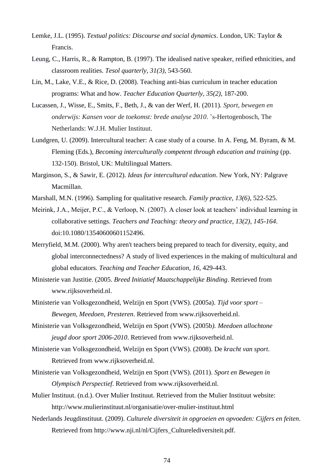- Lemke, J.L. (1995). *Textual politics: Discourse and social dynamics*. London, UK: Taylor & Francis.
- Leung, C., Harris, R., & Rampton, B. (1997). The idealised native speaker, reified ethnicities, and classroom realities. *Tesol quarterly, 31(3)*, 543-560.
- Lin, M., Lake, V.E., & Rice, D. (2008). Teaching anti-bias curriculum in teacher education programs: What and how. *Teacher Education Quarterly, 35(2)*, 187-200.
- Lucassen, J., Wisse, E., Smits, F., Beth, J., & van der Werf, H. (2011). *Sport, bewegen en onderwijs: Kansen voor de toekomst: brede analyse 2010*. 's-Hertogenbosch, The Netherlands: W.J.H. Mulier Instituut.
- Lundgren, U. (2009). Intercultural teacher: A case study of a course. In A. Feng, M. Byram, & M. Fleming (Eds.), *Becoming interculturally competent through education and training* (pp. 132-150). Bristol, UK: Multilingual Matters.
- Marginson, S., & Sawir, E. (2012). *Ideas for intercultural education*. New York, NY: Palgrave Macmillan.
- Marshall, M.N. (1996). Sampling for qualitative research. *Family practice, 13(6)*, 522-525.
- Meirink, J.A., Meijer, P.C., & Verloop, N. (2007). A closer look at teachers' individual learning in collaborative settings. *Teachers and Teaching: theory and practice, 13(2), 145-164*. doi:10.1080/13540600601152496.
- Merryfield, M.M. (2000). Why aren't teachers being prepared to teach for diversity, equity, and global interconnectedness? A study of lived experiences in the making of multicultural and global educators. *Teaching and Teacher Education, 16*, 429-443.
- Ministerie van Justitie. (2005. *Breed Initiatief Maatschappelijke Binding*. Retrieved from www.rijksoverheid.nl.
- Ministerie van Volksgezondheid, Welzijn en Sport (VWS). (2005a). *Tijd voor sport – Bewegen, Meedoen, Presteren*. Retrieved from www.rijksoverheid.nl.
- Ministerie van Volksgezondheid, Welzijn en Sport (VWS). (2005b*). Meedoen allochtone jeugd door sport 2006-2010*. Retrieved from www.rijksoverheid.nl.
- Ministerie van Volksgezondheid, Welzijn en Sport (VWS). (2008). De *kracht van sport*. Retrieved from www.rijksoverheid.nl.
- Ministerie van Volksgezondheid, Welzijn en Sport (VWS). (2011). *Sport en Bewegen in Olympisch Perspectief*. Retrieved from www.rijksoverheid.nl.
- Mulier Instituut. (n.d.). Over Mulier Instituut. Retrieved from the Mulier Instituut website: http://www.mulierinstituut.nl/organisatie/over-mulier-instituut.html
- Nederlands Jeugdinstituut. (2009). *Culturele diversiteit in opgroeien en opvoeden: Cijfers en feiten*. Retrieved from http://www.nji.nl/nl/Cijfers\_Culturelediversiteit.pdf.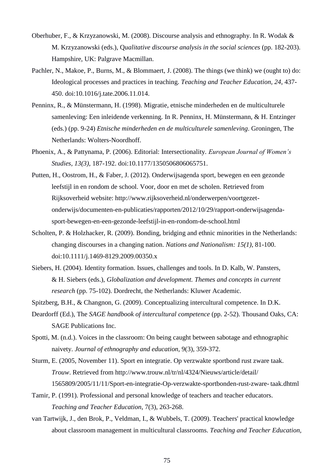- Oberhuber, F., & Krzyzanowski, M. (2008). Discourse analysis and ethnography. In R. Wodak & M. Krzyzanowski (eds.), Q*ualitative discourse analysis in the social sciences* (pp. 182-203). Hampshire, UK: Palgrave Macmillan.
- Pachler, N., Makoe, P., Burns, M., & Blommaert, J. (2008). The things (we think) we (ought to) do: Ideological processes and practices in teaching. *Teaching and Teacher Education, 24*, 437- 450. doi:10.1016/j.tate.2006.11.014.
- Penninx, R., & Münstermann, H. (1998). Migratie, etnische minderheden en de multiculturele samenleving: Een inleidende verkenning. In R. Penninx, H. Münstermann, & H. Entzinger (eds.) (pp. 9-24) *Etnische minderheden en de multiculturele samenleving*. Groningen, The Netherlands: Wolters-Noordhoff.
- Phoenix, A., & Pattynama, P. (2006). Editorial: Intersectionality. *European Journal of Women's Studies, 13(3)*, 187-192. doi:10.1177/1350506806065751.
- Putten, H., Oostrom, H., & Faber, J. (2012). Onderwijsagenda sport, bewegen en een gezonde leefstijl in en rondom de school. Voor, door en met de scholen. Retrieved from Rijksoverheid website: http://www.rijksoverheid.nl/onderwerpen/voortgezetonderwijs/documenten-en-publicaties/rapporten/2012/10/29/rapport-onderwijsagendasport-bewegen-en-een-gezonde-leefstijl-in-en-rondom-de-school.html
- Scholten, P. & Holzhacker, R. (2009). Bonding, bridging and ethnic minorities in the Netherlands: changing discourses in a changing nation. *Nations and Nationalism: 15(1)*, 81-100. doi[:10.1111/j.1469-8129.2009.00350.x](http://dx.doi.org/10.1111/j.1469-8129.2009.00350.x)
- Siebers, H. (2004). Identity formation. Issues, challenges and tools. In D. Kalb, W. Pansters, & H. Siebers (eds.), *Globalization and development. Themes and concepts in current research* (pp. 75-102). Dordrecht, the Netherlands: Kluwer Academic.

Spitzberg, B.H., & Changnon, G. (2009). Conceptualizing intercultural competence. In D.K.

- Deardorff (Ed.), The *SAGE handbook of intercultural competence* (pp. 2-52). Thousand Oaks, CA: SAGE Publications Inc.
- Spotti, M. (n.d.). Voices in the classroom: On being caught between sabotage and ethnographic naivety. *Journal of ethnography and education*, 9(3), 359-372.
- Sturm, E. (2005, November 11). Sport en integratie. Op verzwakte sportbond rust zware taak. *Trouw*. Retrieved from http://www.trouw.nl/tr/nl/4324/Nieuws/article/detail/ 1565809/2005/11/11/Sport-en-integratie-Op-verzwakte-sportbonden-rust-zware- taak.dhtml
- Tamir, P. (1991). Professional and personal knowledge of teachers and teacher educators. *Teaching and Teacher Education*, 7(3), 263-268.
- van Tartwijk, J., den Brok, P., Veldman, I., & Wubbels, T. (2009). Teachers' practical knowledge about classroom management in multicultural classrooms. *Teaching and Teacher Education,*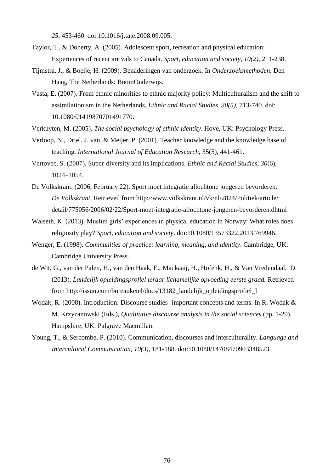*25*, 453-460. doi:10.1016/j.tate.2008.09.005.

- Taylor, T., & Doherty, A. (2005). Adolescent sport, recreation and physical education: Experiences of recent arrivals to Canada. *Sport, education and society, 10(2)*, 211-238.
- Tijmstra, J., & Boeije, H. (2009). Benaderingen van onderzoek. In *Onderzoeksmethoden*. Den Haag, The Netherlands: BoomOnderwijs.
- Vasta, E. (2007). From ethnic minorities to ethnic majority policy: Multiculturalism and the shift to assimilationism in the Netherlands, *Ethnic and Racial Studies, 30(5),* 713-740. doi: 10.1080/01419870701491770.
- Verkuyten, M. (2005). *The social psychology of ethnic identity*. Hove, UK: Psychology Press.
- Verloop, N., Driel, J. van, & Meijer, P. (2001). Teacher knowledge and the knowledge base of teaching. *International Journal of Education Research*, 35(5), 441-461.
- Vertovec, S. (2007). Super-diversity and its implications. *Ethnic and Racial Studies*, *30*(6), 1024–1054.
- De Volkskrant. (2006, February 22). Sport moet integratie allochtone jongeren bevorderen. *De Volkskrant*. Retrieved from http://www.volkskrant.nl/vk/nl/2824/Politiek/article/ detail/775056/2006/02/22/Sport-moet-integratie-allochtone-jongeren-bevorderen.dhtml
- Walseth, K. (2013). Muslim girls' experiences in physical education in Norway: What roles does religiosity play? *Sport, education and society*. doi:10.1080/13573322.2013.769946.
- Wenger, E. (1998). *Communities of practice: learning, meaning, and identity*. Cambridge, UK: Cambridge University Press.
- de Wit, G., van der Palen, H., van den Haak, E., Mackaaij, H., Hofenk, H., & Van Vredendaal, D. (2013). *Landelijk opleidingsprofiel leraar lichamelijke opvoeding eerste graad.* Retrieved from [http://issuu.com/bureauketel/docs/13182\\_landelijk\\_opleidingsprofiel\\_l](http://issuu.com/bureauketel/docs/13182_landelijk_opleidingsprofiel_l)
- Wodak, R. (2008). Introduction: Discourse studies- important concepts and terms. In R. Wodak & M. Krzyzanowski (Eds.), *Qualitative discourse analysis in the social sciences* (pp. 1-29). Hampshire, UK: Palgrave Macmillan.
- Young, T., & Sercombe, P. (2010). Communication, discourses and interculturality. *Language and Intercultural Communication, 10(3)*, 181-188. doi:10.1080/14708470903348523.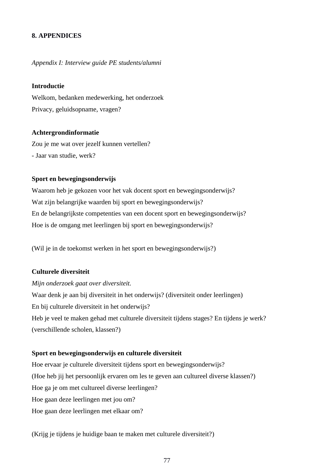# **8. APPENDICES**

#### *Appendix I: Interview guide PE students/alumni*

#### **Introductie**

Welkom, bedanken medewerking, het onderzoek Privacy, geluidsopname, vragen?

## **Achtergrondinformatie**

Zou je me wat over jezelf kunnen vertellen? - Jaar van studie, werk?

#### **Sport en bewegingsonderwijs**

Waarom heb je gekozen voor het vak docent sport en bewegingsonderwijs? Wat zijn belangrijke waarden bij sport en bewegingsonderwijs? En de belangrijkste competenties van een docent sport en bewegingsonderwijs? Hoe is de omgang met leerlingen bij sport en bewegingsonderwijs?

(Wil je in de toekomst werken in het sport en bewegingsonderwijs?)

#### **Culturele diversiteit**

#### *Mijn onderzoek gaat over diversiteit.*

Waar denk je aan bij diversiteit in het onderwijs? (diversiteit onder leerlingen) En bij culturele diversiteit in het onderwijs? Heb je veel te maken gehad met culturele diversiteit tijdens stages? En tijdens je werk? (verschillende scholen, klassen?)

# **Sport en bewegingsonderwijs en culturele diversiteit**

Hoe ervaar je culturele diversiteit tijdens sport en bewegingsonderwijs? (Hoe heb jij het persoonlijk ervaren om les te geven aan cultureel diverse klassen?) Hoe ga je om met cultureel diverse leerlingen? Hoe gaan deze leerlingen met jou om? Hoe gaan deze leerlingen met elkaar om?

(Krijg je tijdens je huidige baan te maken met culturele diversiteit?)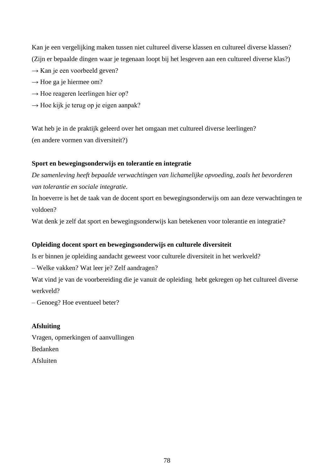Kan je een vergelijking maken tussen niet cultureel diverse klassen en cultureel diverse klassen? (Zijn er bepaalde dingen waar je tegenaan loopt bij het lesgeven aan een cultureel diverse klas?)

- $\rightarrow$  Kan je een voorbeeld geven?
- $\rightarrow$  Hoe ga je hiermee om?
- $\rightarrow$  Hoe reageren leerlingen hier op?
- $\rightarrow$  Hoe kijk je terug op je eigen aanpak?

Wat heb je in de praktijk geleerd over het omgaan met cultureel diverse leerlingen? (en andere vormen van diversiteit?)

# **Sport en bewegingsonderwijs en tolerantie en integratie**

*De samenleving heeft bepaalde verwachtingen van lichamelijke opvoeding, zoals het bevorderen van tolerantie en sociale integratie.* 

In hoeverre is het de taak van de docent sport en bewegingsonderwijs om aan deze verwachtingen te voldoen?

Wat denk je zelf dat sport en bewegingsonderwijs kan betekenen voor tolerantie en integratie?

## **Opleiding docent sport en bewegingsonderwijs en culturele diversiteit**

Is er binnen je opleiding aandacht geweest voor culturele diversiteit in het werkveld?

– Welke vakken? Wat leer je? Zelf aandragen?

Wat vind je van de voorbereiding die je vanuit de opleiding hebt gekregen op het cultureel diverse werkveld?

– Genoeg? Hoe eventueel beter?

#### **Afsluiting**

Vragen, opmerkingen of aanvullingen Bedanken Afsluiten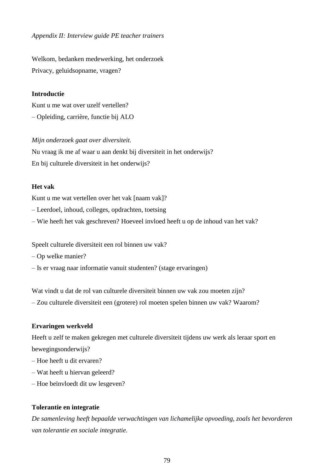*Appendix II: Interview guide PE teacher trainers* 

Welkom, bedanken medewerking, het onderzoek Privacy, geluidsopname, vragen?

# **Introductie**

Kunt u me wat over uzelf vertellen? – Opleiding, carrière, functie bij ALO

### *Mijn onderzoek gaat over diversiteit.*

Nu vraag ik me af waar u aan denkt bij diversiteit in het onderwijs? En bij culturele diversiteit in het onderwijs?

### **Het vak**

Kunt u me wat vertellen over het vak [naam vak]?

– Leerdoel, inhoud, colleges, opdrachten, toetsing

– Wie heeft het vak geschreven? Hoeveel invloed heeft u op de inhoud van het vak?

Speelt culturele diversiteit een rol binnen uw vak?

– Op welke manier?

– Is er vraag naar informatie vanuit studenten? (stage ervaringen)

Wat vindt u dat de rol van culturele diversiteit binnen uw vak zou moeten zijn? – Zou culturele diversiteit een (grotere) rol moeten spelen binnen uw vak? Waarom?

### **Ervaringen werkveld**

Heeft u zelf te maken gekregen met culturele diversiteit tijdens uw werk als leraar sport en bewegingsonderwijs?

- Hoe heeft u dit ervaren?
- Wat heeft u hiervan geleerd?
- Hoe beïnvloedt dit uw lesgeven?

### **Tolerantie en integratie**

*De samenleving heeft bepaalde verwachtingen van lichamelijke opvoeding, zoals het bevorderen van tolerantie en sociale integratie.*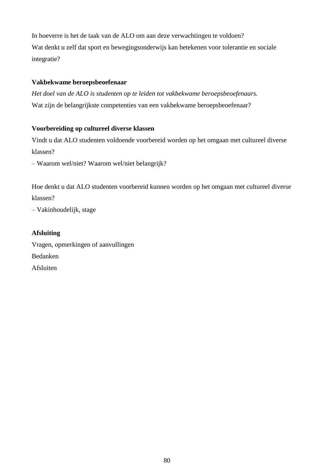In hoeverre is het de taak van de ALO om aan deze verwachtingen te voldoen? Wat denkt u zelf dat sport en bewegingsonderwijs kan betekenen voor tolerantie en sociale integratie?

# **Vakbekwame beroepsbeoefenaar**

*Het doel van de ALO is studenten op te leiden tot vakbekwame beroepsbeoefenaars.* Wat zijn de belangrijkste competenties van een vakbekwame beroepsbeoefenaar?

# **Voorbereiding op cultureel diverse klassen**

Vindt u dat ALO studenten voldoende voorbereid worden op het omgaan met cultureel diverse klassen?

– Waarom wel/niet? Waarom wel/niet belangrijk?

Hoe denkt u dat ALO studenten voorbereid kunnen worden op het omgaan met cultureel diverse klassen?

– Vakinhoudelijk, stage

# **Afsluiting**

Vragen, opmerkingen of aanvullingen Bedanken Afsluiten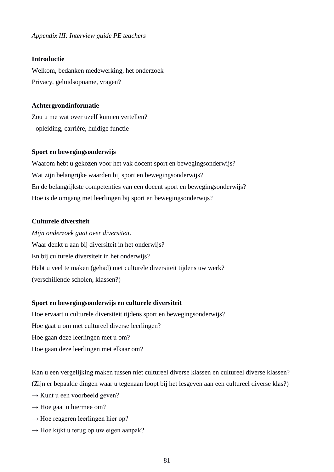*Appendix III: Interview guide PE teachers*

#### **Introductie**

Welkom, bedanken medewerking, het onderzoek Privacy, geluidsopname, vragen?

#### **Achtergrondinformatie**

Zou u me wat over uzelf kunnen vertellen? - opleiding, carrière, huidige functie

#### **Sport en bewegingsonderwijs**

Waarom hebt u gekozen voor het vak docent sport en bewegingsonderwijs? Wat zijn belangrijke waarden bij sport en bewegingsonderwijs? En de belangrijkste competenties van een docent sport en bewegingsonderwijs? Hoe is de omgang met leerlingen bij sport en bewegingsonderwijs?

# **Culturele diversiteit**

*Mijn onderzoek gaat over diversiteit.*  Waar denkt u aan bij diversiteit in het onderwijs? En bij culturele diversiteit in het onderwijs? Hebt u veel te maken (gehad) met culturele diversiteit tijdens uw werk? (verschillende scholen, klassen?)

#### **Sport en bewegingsonderwijs en culturele diversiteit**

Hoe ervaart u culturele diversiteit tijdens sport en bewegingsonderwijs? Hoe gaat u om met cultureel diverse leerlingen? Hoe gaan deze leerlingen met u om? Hoe gaan deze leerlingen met elkaar om?

Kan u een vergelijking maken tussen niet cultureel diverse klassen en cultureel diverse klassen? (Zijn er bepaalde dingen waar u tegenaan loopt bij het lesgeven aan een cultureel diverse klas?)

- $\rightarrow$  Kunt u een voorbeeld geven?
- $\rightarrow$  Hoe gaat u hiermee om?
- $\rightarrow$  Hoe reageren leerlingen hier op?
- $\rightarrow$  Hoe kijkt u terug op uw eigen aanpak?